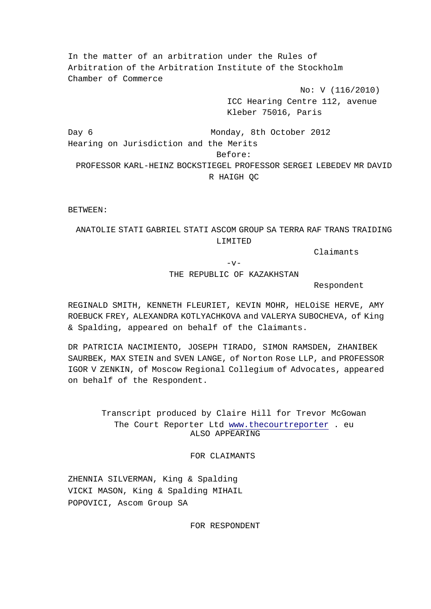In the matter of an arbitration under the Rules of Arbitration of the Arbitration Institute of the Stockholm Chamber of Commerce

No: V (116/2010)

ICC Hearing Centre 112, avenue Kleber 75016, Paris

Day 6 Monday, 8th October 2012 Hearing on Jurisdiction and the Merits Before: PROFESSOR KARL-HEINZ BOCKSTIEGEL PROFESSOR SERGEI LEBEDEV MR DAVID R HAIGH QC

BETWEEN:

# ANATOLIE STATI GABRIEL STATI ASCOM GROUP SA TERRA RAF TRANS TRAIDING LIMITED

Claimants

 $-v-$ 

THE REPUBLIC OF KAZAKHSTAN

Respondent

REGINALD SMITH, KENNETH FLEURIET, KEVIN MOHR, HELOiSE HERVE, AMY ROEBUCK FREY, ALEXANDRA KOTLYACHKOVA and VALERYA SUBOCHEVA, of King & Spalding, appeared on behalf of the Claimants.

DR PATRICIA NACIMIENTO, JOSEPH TIRADO, SIMON RAMSDEN, ZHANIBEK SAURBEK, MAX STEIN and SVEN LANGE, of Norton Rose LLP, and PROFESSOR IGOR V ZENKIN, of Moscow Regional Collegium of Advocates, appeared on behalf of the Respondent.

> Transcript produced by Claire Hill for Trevor McGowan The Court Reporter Ltd www.thecourtreporter . eu ALSO APPEARING

> > FOR CLAIMANTS

ZHENNIA SILVERMAN, King & Spalding VICKI MASON, King & Spalding MIHAIL POPOVICI, Ascom Group SA

FOR RESPONDENT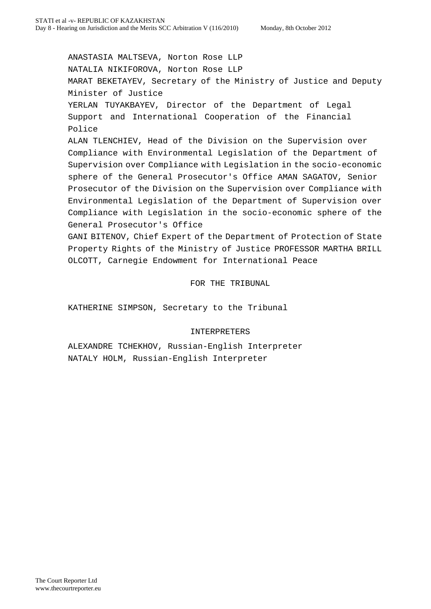ANASTASIA MALTSEVA, Norton Rose LLP NATALIA NIKIFOROVA, Norton Rose LLP MARAT BEKETAYEV, Secretary of the Ministry of Justice and Deputy Minister of Justice YERLAN TUYAKBAYEV, Director of the Department of Legal Support and International Cooperation of the Financial Police ALAN TLENCHIEV, Head of the Division on the Supervision over Compliance with Environmental Legislation of the Department of Supervision over Compliance with Legislation in the socio-economic sphere of the General Prosecutor's Office AMAN SAGATOV, Senior Prosecutor of the Division on the Supervision over Compliance with Environmental Legislation of the Department of Supervision over Compliance with Legislation in the socio-economic sphere of the General Prosecutor's Office

GANI BITENOV, Chief Expert of the Department of Protection of State Property Rights of the Ministry of Justice PROFESSOR MARTHA BRILL OLCOTT, Carnegie Endowment for International Peace

FOR THE TRIBUNAL

KATHERINE SIMPSON, Secretary to the Tribunal

## INTERPRETERS

ALEXANDRE TCHEKHOV, Russian-English Interpreter NATALY HOLM, Russian-English Interpreter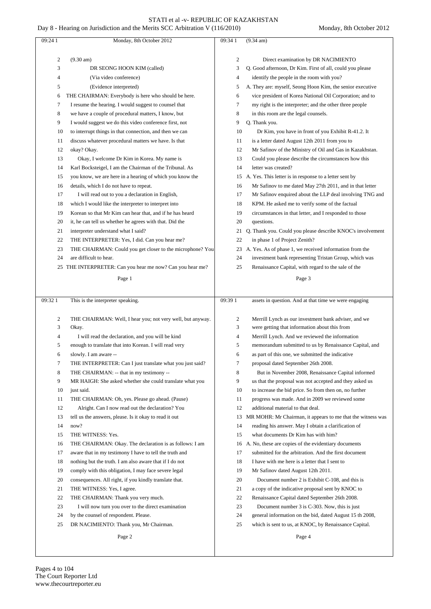| 09:24 1        | Monday, 8th October 2012                                                                             | 09:34 1          | $(9.34 \text{ am})$                                                                                              |
|----------------|------------------------------------------------------------------------------------------------------|------------------|------------------------------------------------------------------------------------------------------------------|
|                |                                                                                                      |                  |                                                                                                                  |
| 2              | $(9.30 \text{ am})$                                                                                  | $\boldsymbol{2}$ | Direct examination by DR NACIMIENTO                                                                              |
| 3              | DR SEONG HOON KIM (called)                                                                           | 3                | Q. Good afternoon, Dr Kim. First of all, could you please                                                        |
| $\overline{4}$ | (Via video conference)                                                                               | 4                | identify the people in the room with you?                                                                        |
| 5              | (Evidence interpreted)                                                                               | 5                | A. They are: myself, Seong Hoon Kim, the senior executive                                                        |
| 6              | THE CHAIRMAN: Everybody is here who should be here.                                                  | 6                | vice president of Korea National Oil Corporation; and to                                                         |
| 7              | I resume the hearing. I would suggest to counsel that                                                | 7                | my right is the interpreter; and the other three people                                                          |
| 8              | we have a couple of procedural matters, I know, but                                                  | 8                | in this room are the legal counsels.                                                                             |
| 9              | I would suggest we do this video conference first, not                                               | 9                | Q. Thank you.                                                                                                    |
| 10             | to interrupt things in that connection, and then we can                                              | 10               | Dr Kim, you have in front of you Exhibit R-41.2. It                                                              |
| 11             | discuss whatever procedural matters we have. Is that                                                 | 11               | is a letter dated August 12th 2011 from you to                                                                   |
| 12             | okay? Okay.                                                                                          | 12               | Mr Safinov of the Ministry of Oil and Gas in Kazakhstan.                                                         |
| 13             | Okay, I welcome Dr Kim in Korea. My name is                                                          | 13               | Could you please describe the circumstances how this                                                             |
| 14             | Karl Bocksteigel, I am the Chairman of the Tribunal. As                                              | 14               | letter was created?                                                                                              |
| 15             | you know, we are here in a hearing of which you know the                                             | 15               | A. Yes. This letter is in response to a letter sent by                                                           |
| 16             | details, which I do not have to repeat.                                                              | 16               | Mr Safinov to me dated May 27th 2011, and in that letter                                                         |
| 17             | I will read out to you a declaration in English,                                                     | 17               | Mr Safinov enquired about the LLP deal involving TNG and                                                         |
| 18             | which I would like the interpreter to interpret into                                                 | 18               | KPM. He asked me to verify some of the factual                                                                   |
| 19             | Korean so that Mr Kim can hear that, and if he has heard                                             | 19               | circumstances in that letter, and I responded to those                                                           |
| 20             | it, he can tell us whether he agrees with that. Did the                                              | 20               | questions.                                                                                                       |
| 21             | interpreter understand what I said?                                                                  | 21               | Q. Thank you. Could you please describe KNOC's involvement<br>in phase 1 of Project Zenith?                      |
| 22             | THE INTERPRETER: Yes, I did. Can you hear me?                                                        | 22               |                                                                                                                  |
| 23<br>24       | THE CHAIRMAN: Could you get closer to the microphone? You<br>are difficult to hear.                  | 23<br>24         | A. Yes. As of phase 1, we received information from the<br>investment bank representing Tristan Group, which was |
|                | 25 THE INTERPRETER: Can you hear me now? Can you hear me?                                            | 25               | Renaissance Capital, with regard to the sale of the                                                              |
|                |                                                                                                      |                  |                                                                                                                  |
|                | Page 1                                                                                               |                  | Page 3                                                                                                           |
|                |                                                                                                      |                  |                                                                                                                  |
|                |                                                                                                      |                  |                                                                                                                  |
| 09:321         | This is the interpreter speaking.                                                                    | 09:391           | assets in question. And at that time we were engaging                                                            |
|                |                                                                                                      |                  |                                                                                                                  |
| 2              | THE CHAIRMAN: Well, I hear you; not very well, but anyway.                                           | 2                | Merrill Lynch as our investment bank adviser, and we                                                             |
| 3              | Okay.                                                                                                | 3                | were getting that information about this from                                                                    |
| 4              | I will read the declaration, and you will be kind                                                    | 4                | Merrill Lynch. And we reviewed the information                                                                   |
| 5              | enough to translate that into Korean. I will read very                                               | 5                | memorandum submitted to us by Renaissance Capital, and                                                           |
| 6              | slowly. I am aware --                                                                                | 6                | as part of this one, we submitted the indicative                                                                 |
| $\tau$         | THE INTERPRETER: Can I just translate what you just said?                                            | $\boldsymbol{7}$ | proposal dated September 26th 2008.                                                                              |
| 8<br>9         | THE CHAIRMAN: -- that in my testimony --<br>MR HAIGH: She asked whether she could translate what you | 8<br>9           | But in November 2008, Renaissance Capital informed<br>us that the proposal was not accepted and they asked us    |
| 10             | just said.                                                                                           | 10               | to increase the bid price. So from then on, no further                                                           |
| 11             | THE CHAIRMAN: Oh, yes. Please go ahead. (Pause)                                                      | 11               | progress was made. And in 2009 we reviewed some                                                                  |
| 12             | Alright. Can I now read out the declaration? You                                                     | 12               | additional material to that deal.                                                                                |
| 13             | tell us the answers, please. Is it okay to read it out                                               | 13               | MR MOHR: Mr Chairman, it appears to me that the witness was                                                      |
| 14             | now?                                                                                                 | 14               | reading his answer. May I obtain a clarification of                                                              |
| 15             | THE WITNESS: Yes.                                                                                    | 15               | what documents Dr Kim has with him?                                                                              |
| 16             | THE CHAIRMAN: Okay. The declaration is as follows: I am                                              |                  | 16 A. No, these are copies of the evidentiary documents                                                          |
| 17             | aware that in my testimony I have to tell the truth and                                              | 17               | submitted for the arbitration. And the first document                                                            |
| 18             | nothing but the truth. I am also aware that if I do not                                              | 18               | I have with me here is a letter that I sent to                                                                   |
| 19             | comply with this obligation, I may face severe legal                                                 | 19               | Mr Safinov dated August 12th 2011.                                                                               |
| 20             | consequences. All right, if you kindly translate that.                                               | 20               | Document number 2 is Exhibit C-108, and this is                                                                  |
| 21             | THE WITNESS: Yes, I agree.                                                                           | 21               | a copy of the indicative proposal sent by KNOC to                                                                |
| 22             | THE CHAIRMAN: Thank you very much.                                                                   | 22               | Renaissance Capital dated September 26th 2008.                                                                   |
| 23             | I will now turn you over to the direct examination                                                   | 23               | Document number 3 is C-303. Now, this is just                                                                    |
| 24             | by the counsel of respondent. Please.                                                                | 24               | general information on the bid, dated August 15 th 2008,                                                         |
| 25             | DR NACIMIENTO: Thank you, Mr Chairman.                                                               | 25               | which is sent to us, at KNOC, by Renaissance Capital.                                                            |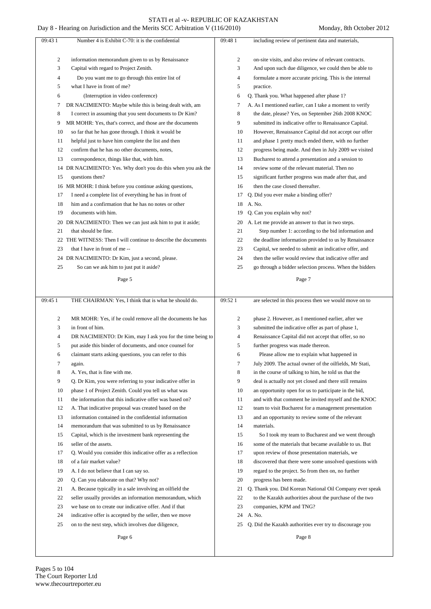| 09:43 1  | Number 4 is Exhibit C-70: it is the confidential                                                                     | 09:48 1  | including review of pertinent data and materials,                                  |
|----------|----------------------------------------------------------------------------------------------------------------------|----------|------------------------------------------------------------------------------------|
| 2        | information memorandum given to us by Renaissance                                                                    | 2        | on-site visits, and also review of relevant contracts.                             |
| 3        | Capital with regard to Project Zenith.                                                                               | 3        | And upon such due diligence, we could then be able to                              |
| 4        | Do you want me to go through this entire list of                                                                     | 4        | formulate a more accurate pricing. This is the internal                            |
| 5        | what I have in front of me?                                                                                          | 5        | practice.                                                                          |
| 6        | (Interruption in video conference)                                                                                   | 6        | Q. Thank you. What happened after phase 1?                                         |
| 7        | DR NACIMIENTO: Maybe while this is being dealt with, am                                                              | 7        | A. As I mentioned earlier, can I take a moment to verify                           |
| 8        | I correct in assuming that you sent documents to Dr Kim?                                                             | 8        | the date, please? Yes, on September 26th 2008 KNOC                                 |
| 9        | MR MOHR: Yes, that's correct, and those are the documents                                                            | 9        | submitted its indicative offer to Renaissance Capital.                             |
| 10       | so far that he has gone through. I think it would be                                                                 | 10       | However, Renaissance Capital did not accept our offer                              |
| 11       | helpful just to have him complete the list and then                                                                  | 11       | and phase 1 pretty much ended there, with no further                               |
| 12       | confirm that he has no other documents, notes,                                                                       | 12       | progress being made. And then in July 2009 we visited                              |
| 13       | correspondence, things like that, with him.                                                                          | 13       | Bucharest to attend a presentation and a session to                                |
|          | 14 DR NACIMIENTO: Yes. Why don't you do this when you ask the                                                        | 14       | review some of the relevant material. Then no                                      |
| 15       | questions then?                                                                                                      | 15       | significant further progress was made after that, and                              |
|          | 16 MR MOHR: I think before you continue asking questions,                                                            | 16       | then the case closed thereafter.                                                   |
| 17       | I need a complete list of everything he has in front of                                                              | 17       | Q. Did you ever make a binding offer?                                              |
| 18       | him and a confirmation that he has no notes or other                                                                 | 18       | A. No.                                                                             |
| 19       | documents with him.                                                                                                  | 19       | Q. Can you explain why not?                                                        |
|          | 20 DR NACIMIENTO: Then we can just ask him to put it aside;                                                          | 20       | A. Let me provide an answer to that in two steps.                                  |
| 21       | that should be fine.                                                                                                 | 21       | Step number 1: according to the bid information and                                |
|          | 22 THE WITNESS: Then I will continue to describe the documents                                                       | 22       | the deadline information provided to us by Renaissance                             |
| 23       | that I have in front of me --                                                                                        | 23       | Capital, we needed to submit an indicative offer, and                              |
|          | 24 DR NACIMIENTO: Dr Kim, just a second, please.                                                                     | 24       | then the seller would review that indicative offer and                             |
| 25       | So can we ask him to just put it aside?                                                                              | 25       | go through a bidder selection process. When the bidders                            |
|          | Page 5                                                                                                               |          | Page 7                                                                             |
|          |                                                                                                                      |          |                                                                                    |
| 09:45 1  | THE CHAIRMAN: Yes, I think that is what he should do.                                                                | 09:52 1  |                                                                                    |
|          |                                                                                                                      |          | are selected in this process then we would move on to                              |
| 2        | MR MOHR: Yes, if he could remove all the documents he has                                                            | 2        | phase 2. However, as I mentioned earlier, after we                                 |
| 3        | in front of him.                                                                                                     | 3        | submitted the indicative offer as part of phase 1,                                 |
| 4        | DR NACIMIENTO: Dr Kim, may I ask you for the time being to                                                           | 4        | Renaissance Capital did not accept that offer, so no                               |
| 5        | put aside this binder of documents, and once counsel for                                                             | 5        | further progress was made thereon.                                                 |
| 6        | claimant starts asking questions, you can refer to this                                                              | 6        | Please allow me to explain what happened in                                        |
| $\tau$   | again.                                                                                                               | 7        | July 2009. The actual owner of the oilfields, Mr Stati,                            |
| 8        | A. Yes, that is fine with me.                                                                                        | 8        | in the course of talking to him, he told us that the                               |
| 9        | Q. Dr Kim, you were referring to your indicative offer in                                                            | 9        | deal is actually not yet closed and there still remains                            |
| 10       | phase 1 of Project Zenith. Could you tell us what was                                                                | 10       | an opportunity open for us to participate in the bid,                              |
| 11       | the information that this indicative offer was based on?                                                             | 11       | and with that comment he invited myself and the KNOC                               |
| 12       | A. That indicative proposal was created based on the                                                                 | 12       | team to visit Bucharest for a management presentation                              |
| 13       | information contained in the confidential information                                                                | 13       | and an opportunity to review some of the relevant                                  |
| 14       | memorandum that was submitted to us by Renaissance                                                                   | 14       | materials.                                                                         |
| 15       | Capital, which is the investment bank representing the                                                               | 15       | So I took my team to Bucharest and we went through                                 |
| 16       | seller of the assets.                                                                                                | 16       | some of the materials that became available to us. But                             |
| 17       | Q. Would you consider this indicative offer as a reflection                                                          | 17       | upon review of those presentation materials, we                                    |
| 18       | of a fair market value?                                                                                              | 18       | discovered that there were some unsolved questions with                            |
| 19       | A. I do not believe that I can say so.                                                                               | 19       | regard to the project. So from then on, no further                                 |
| 20<br>21 | Q. Can you elaborate on that? Why not?                                                                               | 20       | progress has been made.                                                            |
| 22       | A. Because typically in a sale involving an oilfield the<br>seller usually provides an information memorandum, which | 21<br>22 | Q. Thank you. Did Korean National Oil Company ever speak                           |
| 23       | we base on to create our indicative offer. And if that                                                               | 23       | to the Kazakh authorities about the purchase of the two<br>companies, KPM and TNG? |
| 24       | indicative offer is accepted by the seller, then we move                                                             | 24       | A. No.                                                                             |
| 25       | on to the next step, which involves due diligence,                                                                   | 25       | Q. Did the Kazakh authorities ever try to discourage you                           |
|          | Page 6                                                                                                               |          | Page 8                                                                             |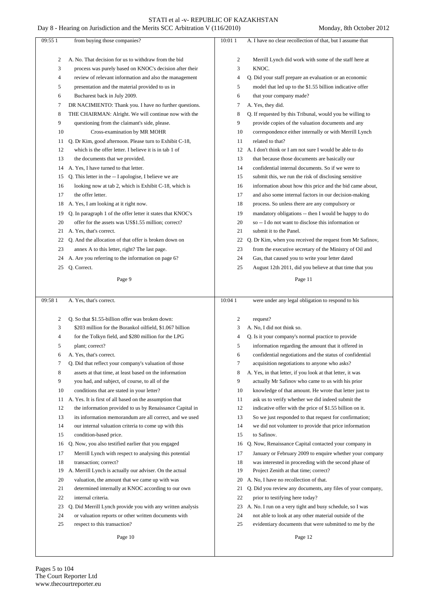| 09:55 1 | from buying those companies?                                | 10:01 1 | A. I have no clear recollection of that, but I assume that  |
|---------|-------------------------------------------------------------|---------|-------------------------------------------------------------|
| 2       | A. No. That decision for us to withdraw from the bid        | 2       | Merrill Lynch did work with some of the staff here at       |
| 3       | process was purely based on KNOC's decision after their     | 3       | KNOC.                                                       |
| 4       | review of relevant information and also the management      | 4       | Q. Did your staff prepare an evaluation or an economic      |
| 5       | presentation and the material provided to us in             | 5       | model that led up to the \$1.55 billion indicative offer    |
| 6       | Bucharest back in July 2009.                                | 6       | that your company made?                                     |
| 7       | DR NACIMIENTO: Thank you. I have no further questions.      | 7       | A. Yes, they did.                                           |
| 8       | THE CHAIRMAN: Alright. We will continue now with the        | 8       | Q. If requested by this Tribunal, would you be willing to   |
|         |                                                             | 9       |                                                             |
| 9       | questioning from the claimant's side, please.               |         | provide copies of the valuation documents and any           |
| 10      | Cross-examination by MR MOHR                                | 10      | correspondence either internally or with Merrill Lynch      |
| 11      | Q. Dr Kim, good afternoon. Please turn to Exhibit C-18,     | 11      | related to that?                                            |
| 12      | which is the offer letter. I believe it is in tab 1 of      |         | 12 A. I don't think or I am not sure I would be able to do  |
| 13      | the documents that we provided.                             | 13      | that because those documents are basically our              |
| 14      | A. Yes, I have turned to that letter.                       | 14      | confidential internal documents. So if we were to           |
| 15      | Q. This letter in the -- I apologise, I believe we are      | 15      | submit this, we run the risk of disclosing sensitive        |
| 16      | looking now at tab 2, which is Exhibit C-18, which is       | 16      | information about how this price and the bid came about,    |
| 17      | the offer letter.                                           | 17      | and also some internal factors in our decision-making       |
| 18      | A. Yes, I am looking at it right now.                       | 18      | process. So unless there are any compulsory or              |
| 19      | Q. In paragraph 1 of the offer letter it states that KNOC's | 19      | mandatory obligations -- then I would be happy to do        |
| 20      | offer for the assets was US\$1.55 million; correct?         | 20      | so -- I do not want to disclose this information or         |
| 21      | A. Yes, that's correct.                                     | 21      | submit it to the Panel.                                     |
| 22      | Q. And the allocation of that offer is broken down on       | 22      | Q. Dr Kim, when you received the request from Mr Safinov,   |
| 23      | annex A to this letter, right? The last page.               | 23      | from the executive secretary of the Ministry of Oil and     |
| 24      | A. Are you referring to the information on page 6?          | 24      | Gas, that caused you to write your letter dated             |
| 25      | Q. Correct.                                                 | 25      | August 12th 2011, did you believe at that time that you     |
|         | Page 9                                                      |         | Page 11                                                     |
|         |                                                             |         |                                                             |
|         |                                                             |         |                                                             |
| 09:581  | A. Yes, that's correct.                                     | 10:04 1 | were under any legal obligation to respond to his           |
|         |                                                             |         |                                                             |
| 2       | Q. So that \$1.55-billion offer was broken down:            | 2       | request?                                                    |
| 3       | \$203 million for the Borankol oilfield, \$1.067 billion    | 3       | A. No, I did not think so.                                  |
| 4       | for the Tolkyn field, and \$280 million for the LPG         | 4       | Q. Is it your company's normal practice to provide          |
| 5       | plant; correct?                                             | 5       | information regarding the amount that it offered in         |
| 6       | A. Yes, that's correct.                                     | 6       | confidential negotiations and the status of confidential    |
| 7       | Q. Did that reflect your company's valuation of those       | 7       | acquisition negotiations to anyone who asks?                |
| 8       | assets at that time, at least based on the information      | 8       | A. Yes, in that letter, if you look at that letter, it was  |
| 9       | you had, and subject, of course, to all of the              | 9       | actually Mr Safinov who came to us with his prior           |
| 10      | conditions that are stated in your letter?                  | 10      | knowledge of that amount. He wrote that letter just to      |
| 11      | A. Yes. It is first of all based on the assumption that     | 11      | ask us to verify whether we did indeed submit the           |
| 12      | the information provided to us by Renaissance Capital in    | 12      | indicative offer with the price of \$1.55 billion on it.    |
| 13      | its information memorandum are all correct, and we used     | 13      | So we just responded to that request for confirmation;      |
| 14      | our internal valuation criteria to come up with this        | 14      | we did not volunteer to provide that price information      |
| 15      | condition-based price.                                      | 15      | to Safinov.                                                 |
| 16      | Q. Now, you also testified earlier that you engaged         | 16      | Q. Now, Renaissance Capital contacted your company in       |
| 17      | Merrill Lynch with respect to analysing this potential      | 17      | January or February 2009 to enquire whether your company    |
| 18      | transaction; correct?                                       | 18      | was interested in proceeding with the second phase of       |
| 19      | A. Merrill Lynch is actually our adviser. On the actual     | 19      | Project Zenith at that time; correct?                       |
| 20      | valuation, the amount that we came up with was              | 20      | A. No, I have no recollection of that.                      |
| 21      | determined internally at KNOC according to our own          | 21      | Q. Did you review any documents, any files of your company, |
| 22      | internal criteria.                                          | 22      | prior to testifying here today?                             |
| 23      | Q. Did Merrill Lynch provide you with any written analysis  | 23      | A. No. I run on a very tight and busy schedule, so I was    |
| 24      | or valuation reports or other written documents with        | 24      | not able to look at any other material outside of the       |
| 25      | respect to this transaction?                                | 25      | evidentiary documents that were submitted to me by the      |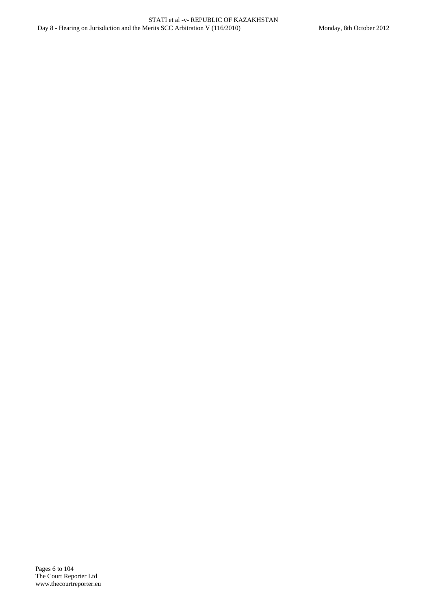Pages 6 to 104 The Court Reporter Ltd www.thecourtreporter.eu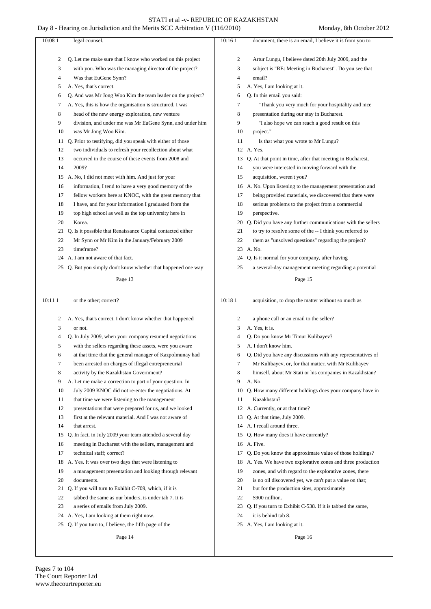| 10:08 1  | legal counsel.                                                                                                     | 10:16 1  | document, there is an email, I believe it is from you to                |
|----------|--------------------------------------------------------------------------------------------------------------------|----------|-------------------------------------------------------------------------|
| 2        | Q. Let me make sure that I know who worked on this project                                                         | 2        | Artur Lungu, I believe dated 20th July 2009, and the                    |
| 3        | with you. Who was the managing director of the project?                                                            | 3        | subject is "RE: Meeting in Bucharest". Do you see that                  |
| 4        | Was that EuGene Synn?                                                                                              | 4        | email?                                                                  |
| 5        | A. Yes, that's correct.                                                                                            | 5        | A. Yes, I am looking at it.                                             |
| 6        | Q. And was Mr Jong Woo Kim the team leader on the project?                                                         | 6        | Q. In this email you said:                                              |
| 7        | A. Yes, this is how the organisation is structured. I was                                                          | 7        | "Thank you very much for your hospitality and nice                      |
| 8        | head of the new energy exploration, new venture                                                                    | 8        | presentation during our stay in Bucharest.                              |
| 9        | division, and under me was Mr EuGene Synn, and under him                                                           | 9        | "I also hope we can reach a good result on this                         |
| 10       | was Mr Jong Woo Kim.                                                                                               | 10       | project."                                                               |
|          | 11 Q. Prior to testifying, did you speak with either of those                                                      | 11       | Is that what you wrote to Mr Lungu?                                     |
| 12       | two individuals to refresh your recollection about what                                                            |          | 12 A. Yes.                                                              |
| 13       | occurred in the course of these events from 2008 and                                                               | 13       | Q. At that point in time, after that meeting in Bucharest,              |
| 14       | 2009?                                                                                                              | 14       | you were interested in moving forward with the                          |
|          | 15 A. No, I did not meet with him. And just for your                                                               | 15       | acquisition, weren't you?                                               |
| 16       | information, I tend to have a very good memory of the                                                              |          | 16 A. No. Upon listening to the management presentation and             |
| 17       | fellow workers here at KNOC, with the great memory that                                                            | 17       | being provided materials, we discovered that there were                 |
| 18       | I have, and for your information I graduated from the                                                              | 18       | serious problems to the project from a commercial                       |
| 19       | top high school as well as the top university here in                                                              | 19       | perspective.                                                            |
| 20       | Korea.                                                                                                             | 20       | Q. Did you have any further communications with the sellers             |
| 21       | Q. Is it possible that Renaissance Capital contacted either                                                        | 21       | to try to resolve some of the -- I think you referred to                |
| 22       | Mr Synn or Mr Kim in the January/February 2009                                                                     | 22       | them as "unsolved questions" regarding the project?                     |
| 23       | timeframe?                                                                                                         | 23       | A. No.                                                                  |
| 24       | A. I am not aware of that fact.                                                                                    | 24       | Q. Is it normal for your company, after having                          |
| 25       | Q. But you simply don't know whether that happened one way                                                         | 25       | a several-day management meeting regarding a potential                  |
|          |                                                                                                                    |          |                                                                         |
|          | Page 13                                                                                                            |          | Page 15                                                                 |
|          |                                                                                                                    |          |                                                                         |
| 10:11 1  | or the other; correct?                                                                                             | 10:18 1  | acquisition, to drop the matter without so much as                      |
| 2        | A. Yes, that's correct. I don't know whether that happened                                                         | 2        | a phone call or an email to the seller?                                 |
| 3        | or not.                                                                                                            | 3        | A. Yes, it is.                                                          |
| 4        | Q. In July 2009, when your company resumed negotiations                                                            | 4        | Q. Do you know Mr Timur Kulibayev?                                      |
| 5        | with the sellers regarding these assets, were you aware                                                            | 5        | A. I don't know him.                                                    |
| 6        |                                                                                                                    | 6        | Q. Did you have any discussions with any representatives of             |
| 7        | at that time that the general manager of Kazpolmunay had                                                           | 7        |                                                                         |
| 8        | been arrested on charges of illegal entrepreneurial<br>activity by the Kazakhstan Government?                      | 8        | Mr Kulibayev, or, for that matter, with Mr Kulibayev                    |
| 9        | A. Let me make a correction to part of your question. In                                                           | 9        | himself, about Mr Stati or his companies in Kazakhstan?<br>A. No.       |
|          |                                                                                                                    | 10       |                                                                         |
| 10<br>11 | July 2009 KNOC did not re-enter the negotiations. At                                                               | 11       | Q. How many different holdings does your company have in<br>Kazakhstan? |
| 12       | that time we were listening to the management                                                                      | 12       |                                                                         |
| 13       | presentations that were prepared for us, and we looked<br>first at the relevant material. And I was not aware of   | 13       | A. Currently, or at that time?                                          |
| 14       | that arrest.                                                                                                       | 14       | Q. At that time, July 2009.<br>A. I recall around three.                |
| 15       |                                                                                                                    | 15       | Q. How many does it have currently?                                     |
| 16       | Q. In fact, in July 2009 your team attended a several day<br>meeting in Bucharest with the sellers, management and | 16       | A. Five.                                                                |
| 17       | technical staff; correct?                                                                                          | 17       |                                                                         |
|          |                                                                                                                    |          | Q. Do you know the approximate value of those holdings?                 |
|          | 18 A. Yes. It was over two days that were listening to                                                             | 18<br>19 | A. Yes. We have two explorative zones and three production              |
| 19<br>20 | a management presentation and looking through relevant<br>documents.                                               | 20       | zones, and with regard to the explorative zones, there                  |
| 21       |                                                                                                                    | 21       | is no oil discovered yet, we can't put a value on that;                 |
|          | Q. If you will turn to Exhibit C-709, which, if it is                                                              | 22       | but for the production sites, approximately                             |
| 22<br>23 | tabbed the same as our binders, is under tab 7. It is                                                              | 23       | \$900 million.                                                          |
|          | a series of emails from July 2009.                                                                                 | 24       | Q. If you turn to Exhibit C-538. If it is tabbed the same,              |
| 24       | A. Yes, I am looking at them right now.                                                                            |          | it is behind tab 8.                                                     |
| 25       | Q. If you turn to, I believe, the fifth page of the<br>Page 14                                                     | 25       | A. Yes, I am looking at it.<br>Page 16                                  |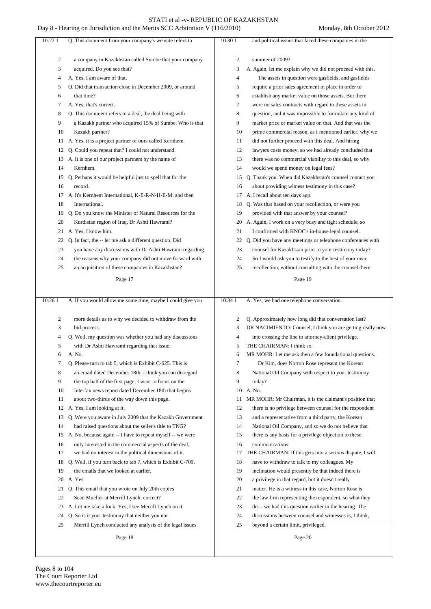| 10:22 1 | Q. This document from your company's website refers to              | 10:30 1 | and political issues that faced these companies in the     |
|---------|---------------------------------------------------------------------|---------|------------------------------------------------------------|
| 2       | a company in Kazakhstan called Sumbe that your company              | 2       | summer of 2009?                                            |
| 3       | acquired. Do you see that?                                          | 3       | A. Again, let me explain why we did not proceed with this. |
| 4       | A. Yes, I am aware of that.                                         | 4       | The assets in question were gasfields, and gasfields       |
| 5       | Q. Did that transaction close in December 2009, or around           | 5       | require a prior sales agreement in place in order to       |
| 6       | that time?                                                          | 6       | establish any market value on those assets. But there      |
| 7       | A. Yes, that's correct.                                             | 7       | were no sales contracts with regard to these assets in     |
| 8       | Q. This document refers to a deal, the deal being with              | 8       | question, and it was impossible to formulate any kind of   |
| 9       | a Kazakh partner who acquired 15% of Sumbe. Who is that             | 9       | market price or market value on that. And that was the     |
| 10      | Kazakh partner?                                                     | 10      | prime commercial reason, as I mentioned earlier, why we    |
| 11.     | A. Yes, it is a project partner of ours called Kernhem.             | 11      | did not further proceed with this deal. And hiring         |
| 12      | Q. Could you repeat that? I could not understand.                   | 12      | lawyers costs money, so we had already concluded that      |
| 13      | A. It is one of our project partners by the name of                 | 13      | there was no commercial viability to this deal, so why     |
| 14      | Kernhem.                                                            | 14      | would we spend money on legal fees?                        |
| 15      | Q. Perhaps it would be helpful just to spell that for the           | 15      | Q. Thank you. When did Kazakhstan's counsel contact you    |
| 16      | record.                                                             | 16      | about providing witness testimony in this case?            |
| 17      | A. It's Kernhem International, K-E-R-N-H-E-M, and then              | 17      | A. I recall about ten days ago.                            |
| 18      | International.                                                      | 18      | Q. Was that based on your recollection, or were you        |
| 19      | Q. Do you know the Minister of Natural Resources for the            | 19      | provided with that answer by your counsel?                 |
| 20      | Kurdistan region of Iraq, Dr Ashti Hawrami?                         | 20      | A. Again, I work on a very busy and tight schedule, so     |
| 21      | A. Yes, I know him.                                                 | 21      | I confirmed with KNOC's in-house legal counsel.            |
| 22      | Q. In fact, the -- let me ask a different question. Did             | 22      | Q. Did you have any meetings or telephone conferences with |
| 23      | you have any discussions with Dr Ashti Hawrami regarding            | 23      | counsel for Kazakhstan prior to your testimony today?      |
| 24      | the reasons why your company did not move forward with              | 24      | So I would ask you to testify to the best of your own      |
| 25      | an acquisition of these companies in Kazakhstan?                    | 25      | recollection, without consulting with the counsel there.   |
|         |                                                                     |         |                                                            |
|         | Page 17                                                             |         | Page 19                                                    |
|         |                                                                     |         |                                                            |
| 10:26 1 | A. If you would allow me some time, maybe I could give you          | 10:34 1 | A. Yes, we had one telephone conversation.                 |
|         |                                                                     |         |                                                            |
| 2       | more details as to why we decided to withdraw from the              | 2       | Q. Approximately how long did that conversation last?      |
| 3       | bid process.                                                        | 3       | DR NACIMIENTO: Counsel, I think you are getting really now |
| 4       | Q. Well, my question was whether you had any discussions            | 4       | into crossing the line to attorney-client privilege.       |
| 5       | with Dr Ashti Hawrami regarding that issue.                         | 5       | THE CHAIRMAN: I think so.                                  |
| 6       | A. No.                                                              | 6       | MR MOHR: Let me ask then a few foundational questions.     |
| 7       | Q. Please turn to tab 5, which is Exhibit C-625. This is            | 7       | Dr Kim, does Norton Rose represent the Korean              |
| 8       | an email dated December 18th. I think you can disregard             | 8       | National Oil Company with respect to your testimony        |
| 9       | the top half of the first page; I want to focus on the              | 9       | today?                                                     |
| 10      | Interfax news report dated December 18th that begins                | 10      | A. No.                                                     |
| 11      | about two-thirds of the way down this page.                         | 11      | MR MOHR: Mr Chairman, it is the claimant's position that   |
| 12      | A. Yes, I am looking at it.                                         | 12      | there is no privilege between counsel for the respondent   |
| 13      | Q. Were you aware in July 2009 that the Kazakh Government           | 13      | and a representative from a third party, the Korean        |
| 14      | had raised questions about the seller's title to TNG?               | 14      | National Oil Company, and so we do not believe that        |
|         | 15 A. No, because again -- I have to repeat myself -- we were       | 15      | there is any basis for a privilege objection to these      |
| 16      | only interested in the commercial aspects of the deal;              | 16      | communications.                                            |
| 17      | we had no interest in the political dimensions of it.               | 17      | THE CHAIRMAN: If this gets into a serious dispute, I will  |
| 18      | Q. Well, if you turn back to tab 7, which is Exhibit C-709,         | 18      | have to withdraw to talk to my colleagues. My              |
| 19      | the emails that we looked at earlier.                               | 19      | inclination would presently be that indeed there is        |
| 20      | A. Yes.                                                             | 20      | a privilege in that regard, but it doesn't really          |
| 21      | Q. This email that you wrote on July 20th copies                    | 21      | matter. He is a witness in this case, Norton Rose is       |
| 22      | Sean Mueller at Merrill Lynch; correct?                             | 22      | the law firm representing the respondent, so what they     |
| 23      | A. Let me take a look. Yes, I see Merrill Lynch on it.              | 23      | do -- we had this question earlier in the hearing. The     |
| 24      | Q. So is it your testimony that neither you nor                     | 24      | discussions between counsel and witnesses is, I think,     |
| 25      | Merrill Lynch conducted any analysis of the legal issues<br>Page 18 | 25      | beyond a certain limit, privileged.<br>Page 20             |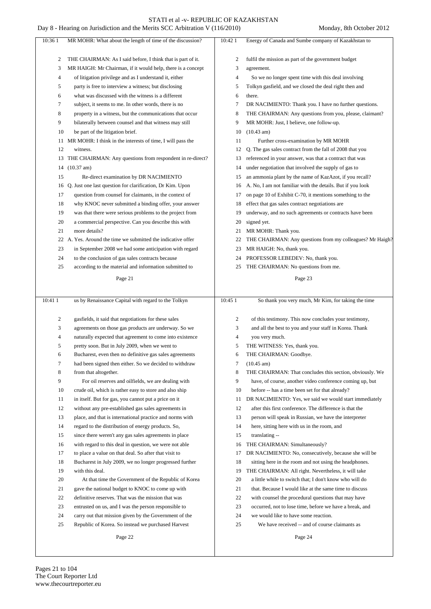| 10:36 1 | MR MOHR: What about the length of time of the discussion?    | 10:42 1 | Energy of Canada and Sumbe company of Kazakhstan to        |
|---------|--------------------------------------------------------------|---------|------------------------------------------------------------|
| 2       | THE CHAIRMAN: As I said before, I think that is part of it.  | 2       | fulfil the mission as part of the government budget        |
| 3       | MR HAIGH: Mr Chairman, if it would help, there is a concept  | 3       | agreement.                                                 |
| 4       | of litigation privilege and as I understand it, either       | 4       | So we no longer spent time with this deal involving        |
| 5       | party is free to interview a witness; but disclosing         | 5       | Tolkyn gasfield, and we closed the deal right then and     |
| 6       | what was discussed with the witness is a different           | 6       | there.                                                     |
| 7       | subject, it seems to me. In other words, there is no         | 7       | DR NACIMIENTO: Thank you. I have no further questions.     |
| 8       | property in a witness, but the communications that occur     | 8       | THE CHAIRMAN: Any questions from you, please, claimant?    |
| 9       | bilaterally between counsel and that witness may still       | 9       | MR MOHR: Just, I believe, one follow-up.                   |
| 10      | be part of the litigation brief.                             | 10      | $(10.43 \text{ am})$                                       |
| 11      | MR MOHR: I think in the interests of time, I will pass the   | 11      | Further cross-examination by MR MOHR                       |
| 12      | witness.                                                     | 12      | Q. The gas sales contract from the fall of 2008 that you   |
| 13      | THE CHAIRMAN: Any questions from respondent in re-direct?    | 13      | referenced in your answer, was that a contract that was    |
| 14      | $(10.37 \text{ am})$                                         | 14      | under negotiation that involved the supply of gas to       |
| 15      | Re-direct examination by DR NACIMIENTO                       | 15      | an ammonia plant by the name of KazAzot, if you recall?    |
| 16      | Q. Just one last question for clarification, Dr Kim. Upon    | 16      | A. No, I am not familiar with the details. But if you look |
| 17      | question from counsel for claimants, in the context of       | 17      | on page 10 of Exhibit C-70, it mentions something to the   |
| 18      | why KNOC never submitted a binding offer, your answer        | 18      | effect that gas sales contract negotiations are            |
| 19      | was that there were serious problems to the project from     | 19      | underway, and no such agreements or contracts have been    |
| 20      | a commercial perspective. Can you describe this with         | 20      | signed yet.                                                |
| 21      | more details?                                                | 21      | MR MOHR: Thank you.                                        |
|         | 22 A. Yes. Around the time we submitted the indicative offer | 22      | THE CHAIRMAN: Any questions from my colleagues? Mr Haigh?  |
| 23      | in September 2008 we had some anticipation with regard       | 23      | MR HAIGH: No, thank you.                                   |
| 24      | to the conclusion of gas sales contracts because             | 24      | PROFESSOR LEBEDEV: No, thank you.                          |
| 25      | according to the material and information submitted to       | 25      | THE CHAIRMAN: No questions from me.                        |
|         | Page 21                                                      |         | Page 23                                                    |
| 10:41 1 | us by Renaissance Capital with regard to the Tolkyn          | 10:45 1 | So thank you very much, Mr Kim, for taking the time        |
| 2       | gasfields, it said that negotiations for these sales         | 2       | of this testimony. This now concludes your testimony,      |
| 3       | agreements on those gas products are underway. So we         | 3       | and all the best to you and your staff in Korea. Thank     |
| 4       | naturally expected that agreement to come into existence     | 4       | you very much.                                             |
| 5       | pretty soon. But in July 2009, when we went to               | 5       | THE WITNESS: Yes, thank you.                               |
| 6       | Bucharest, even then no definitive gas sales agreements      | 6       | THE CHAIRMAN: Goodbye.                                     |
| 7       | had been signed then either. So we decided to withdraw       | 7       | $(10.45 \text{ am})$                                       |
| 8       | from that altogether.                                        | 8       | THE CHAIRMAN: That concludes this section, obviously. We   |
| 9       | For oil reserves and oilfields, we are dealing with          | 9       | have, of course, another video conference coming up, but   |
| 10      | crude oil, which is rather easy to store and also ship       | 10      | before -- has a time been set for that already?            |
| 11      | in itself. But for gas, you cannot put a price on it         | 11      | DR NACIMIENTO: Yes, we said we would start immediately     |
| 12      | without any pre-established gas sales agreements in          | 12      | after this first conference. The difference is that the    |
| 13      | place, and that is international practice and norms with     | 13      | person will speak in Russian, we have the interpreter      |
| 14      | regard to the distribution of energy products. So,           | 14      | here, sitting here with us in the room, and                |
| 15      | since there weren't any gas sales agreements in place        | 15      | translating --                                             |
| 16      | with regard to this deal in question, we were not able       | 16      | THE CHAIRMAN: Simultaneously?                              |
| 17      | to place a value on that deal. So after that visit to        | 17      | DR NACIMIENTO: No, consecutively, because she will be      |
| 18      | Bucharest in July 2009, we no longer progressed further      | 18      | sitting here in the room and not using the headphones.     |
| 19      | with this deal.                                              | 19      | THE CHAIRMAN: All right. Nevertheless, it will take        |
| 20      | At that time the Government of the Republic of Korea         | 20      | a little while to switch that; I don't know who will do    |
| 21      | gave the national budget to KNOC to come up with             | 21      | that. Because I would like at the same time to discuss     |
| 22      | definitive reserves. That was the mission that was           | 22      | with counsel the procedural questions that may have        |
| 23      | entrusted on us, and I was the person responsible to         | 23      | occurred, not to lose time, before we have a break, and    |
| 24      | carry out that mission given by the Government of the        | 24      | we would like to have some reaction.                       |
| 25      | Republic of Korea. So instead we purchased Harvest           | 25      | We have received -- and of course claimants as             |
|         | Page 22                                                      |         | Page 24                                                    |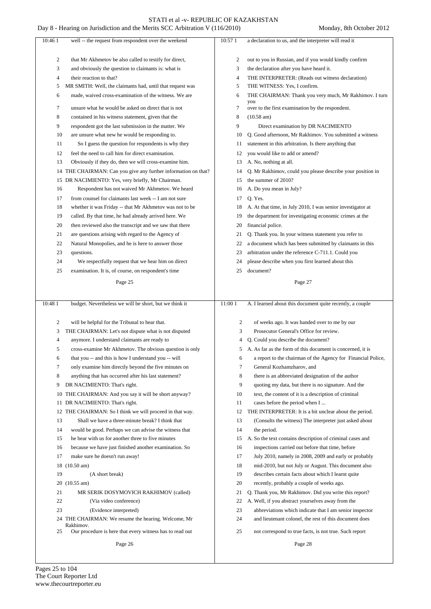| 10:46 1     |                                                                                       |         |                                                                                                          |
|-------------|---------------------------------------------------------------------------------------|---------|----------------------------------------------------------------------------------------------------------|
|             | well -- the request from respondent over the weekend                                  | 10:57 1 | a declaration to us, and the interpreter will read it                                                    |
| 2           | that Mr Akhmetov be also called to testify for direct,                                | 2       | out to you in Russian, and if you would kindly confirm                                                   |
| 3           | and obviously the question to claimants is: what is                                   | 3       | the declaration after you have heard it.                                                                 |
| 4           | their reaction to that?                                                               | 4       | THE INTERPRETER: (Reads out witness declaration)                                                         |
| 5           | MR SMITH: Well, the claimants had, until that request was                             | 5       | THE WITNESS: Yes, I confirm.                                                                             |
| 6           | made, waived cross-examination of the witness. We are                                 | 6       | THE CHAIRMAN: Thank you very much, Mr Rakhimov. I turn<br>you                                            |
| 7           | unsure what he would be asked on direct that is not                                   | 7       | over to the first examination by the respondent.                                                         |
| 8           | contained in his witness statement, given that the                                    | 8       | $(10.58 \text{ am})$                                                                                     |
| 9           | respondent got the last submission in the matter. We                                  | 9       | Direct examination by DR NACIMIENTO                                                                      |
| 10          | are unsure what new he would be responding to.                                        | 10      | Q. Good afternoon, Mr Rakhimov. You submitted a witness                                                  |
| 11          | So I guess the question for respondents is why they                                   | 11      | statement in this arbitration. Is there anything that                                                    |
| 12          | feel the need to call him for direct examination.                                     | 12      | you would like to add or amend?                                                                          |
| 13          | Obviously if they do, then we will cross-examine him.                                 | 13      | A. No, nothing at all.                                                                                   |
|             | 14 THE CHAIRMAN: Can you give any further information on that?                        | 14      | Q. Mr Rakhimov, could you please describe your position in                                               |
|             | 15 DR NACIMIENTO: Yes, very briefly, Mr Chairman.                                     | 15      | the summer of 2010?                                                                                      |
| 16          | Respondent has not waived Mr Akhmetov. We heard                                       | 16      | A. Do you mean in July?                                                                                  |
| 17          | from counsel for claimants last week -- I am not sure                                 | 17      | Q. Yes.                                                                                                  |
| 18          | whether it was Friday -- that Mr Akhmetov was not to be                               | 18      | A. At that time, in July 2010, I was senior investigator at                                              |
| 19          | called. By that time, he had already arrived here. We                                 | 19      | the department for investigating economic crimes at the                                                  |
| 20          | then reviewed also the transcript and we saw that there                               | 20      | financial police.                                                                                        |
| 21          | are questions arising with regard to the Agency of                                    | 21      | Q. Thank you. In your witness statement you refer to                                                     |
| 22          | Natural Monopolies, and he is here to answer those                                    | 22      | a document which has been submitted by claimants in this                                                 |
| 23          | questions.                                                                            | 23      | arbitration under the reference C-711.1. Could you                                                       |
| 24          | We respectfully request that we hear him on direct                                    | 24      | please describe when you first learned about this                                                        |
| 25          | examination. It is, of course, on respondent's time                                   | 25      | document?                                                                                                |
|             | Page 25                                                                               |         | Page 27                                                                                                  |
|             |                                                                                       |         |                                                                                                          |
|             |                                                                                       |         |                                                                                                          |
| 10:48 1     | budget. Nevertheless we will be short, but we think it                                | 11:00 1 | A. I learned about this document quite recently, a couple                                                |
|             |                                                                                       |         |                                                                                                          |
|             |                                                                                       |         |                                                                                                          |
| 2           | will be helpful for the Tribunal to hear that.                                        | 2       | of weeks ago. It was handed over to me by our                                                            |
| 3<br>4      | THE CHAIRMAN: Let's not dispute what is not disputed                                  | 3<br>4  | Prosecutor General's Office for review.                                                                  |
| 5           | anymore. I understand claimants are ready to                                          | 5       | Q. Could you describe the document?                                                                      |
|             | cross-examine Mr Akhmetov. The obvious question is only                               |         | A. As far as the form of this document is concerned, it is                                               |
| 6<br>$\tau$ | that you -- and this is how I understand you -- will                                  | 6<br>7  | a report to the chairman of the Agency for Financial Police,<br>General Kozhamzharov, and                |
| 8           | only examine him directly beyond the five minutes on                                  | 8       |                                                                                                          |
| 9           | anything that has occurred after his last statement?<br>DR NACIMIENTO: That's right.  | 9       | there is an abbreviated designation of the author<br>quoting my data, but there is no signature. And the |
|             |                                                                                       | 10      | text, the content of it is a description of criminal                                                     |
| 11          | 10 THE CHAIRMAN: And you say it will be short anyway?<br>DR NACIMIENTO: That's right. | 11      | cases before the period when I                                                                           |
|             | 12 THE CHAIRMAN: So I think we will proceed in that way.                              | 12      | THE INTERPRETER: It is a bit unclear about the period.                                                   |
| 13          | Shall we have a three-minute break? I think that                                      | 13      | (Consults the witness) The interpreter just asked about                                                  |
| 14          | would be good. Perhaps we can advise the witness that                                 | 14      | the period.                                                                                              |
| 15          | he bear with us for another three to five minutes                                     | 15      | A. So the text contains description of criminal cases and                                                |
| 16          | because we have just finished another examination. So                                 | 16      | inspections carried out before that time, before                                                         |
| 17          | make sure he doesn't run away!                                                        | 17      | July 2010, namely in 2008, 2009 and early or probably                                                    |
|             | 18 (10.50 am)                                                                         | 18      | mid-2010, but not July or August. This document also                                                     |
| 19          | (A short break)                                                                       | 19      | describes certain facts about which I learnt quite                                                       |
|             | 20 (10.55 am)                                                                         | 20      | recently, probably a couple of weeks ago.                                                                |
| 21          | MR SERIK DOSYMOVICH RAKHIMOV (called)                                                 | 21      | Q. Thank you, Mr Rakhimov. Did you write this report?                                                    |
| 22          | (Via video conference)                                                                | 22      | A. Well, if you abstract yourselves away from the                                                        |
| 23          | (Evidence interpreted)                                                                | 23      | abbreviations which indicate that I am senior inspector                                                  |
|             | 24 THE CHAIRMAN: We resume the hearing. Welcome, Mr                                   | 24      | and lieutenant colonel, the rest of this document does                                                   |
|             | Rakhimov.                                                                             |         |                                                                                                          |
| 25          | Our procedure is here that every witness has to read out<br>Page 26                   | 25      | not correspond to true facts, is not true. Such report<br>Page 28                                        |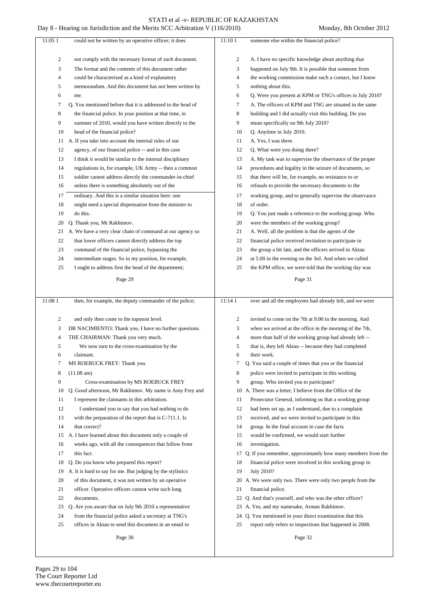| 11:05 1        | could not be written by an operative officer; it does                                                        | 11:10 1 | someone else within the financial police?                                                                      |
|----------------|--------------------------------------------------------------------------------------------------------------|---------|----------------------------------------------------------------------------------------------------------------|
|                |                                                                                                              |         |                                                                                                                |
| 2              | not comply with the necessary format of such document.                                                       | 2       | A. I have no specific knowledge about anything that                                                            |
| 3              | The format and the contents of this document rather                                                          | 3       | happened on July 9th. It is possible that someone from                                                         |
| $\overline{4}$ | could be characterised as a kind of explanatory                                                              | 4       | the working commission make such a contact, but I know                                                         |
| 5              | memorandum. And this document has not been written by                                                        | 5       | nothing about this.                                                                                            |
| 6              | me.                                                                                                          | 6       | Q. Were you present at KPM or TNG's offices in July 2010?                                                      |
| 7              | Q. You mentioned before that it is addressed to the head of                                                  | 7       | A. The officers of KPM and TNG are situated in the same                                                        |
| 8              | the financial police. In your position at that time, in                                                      | 8       | building and I did actually visit this building. Do you                                                        |
| 9              | summer of 2010, would you have written directly to the                                                       | 9       | mean specifically on 9th July 2010?                                                                            |
| 10             | head of the financial police?                                                                                | 10      | Q. Anytime in July 2010.                                                                                       |
| 11             | A. If you take into account the internal rules of our                                                        | 11      | A. Yes, I was there.                                                                                           |
| 12             | agency, of our financial police -- and in this case                                                          | 12      | Q. What were you doing there?                                                                                  |
| 13             | I think it would be similar to the internal disciplinary                                                     | 13      | A. My task was to supervise the observance of the proper                                                       |
| 14             | regulations in, for example, UK Army -- then a common                                                        | 14      | procedures and legality in the seizure of documents, so                                                        |
| 15             | soldier cannot address directly the commander-in-chief                                                       | 15      | that there will be, for example, no resistance to or                                                           |
| 16             | unless there is something absolutely out of the                                                              | 16      | refusals to provide the necessary documents to the                                                             |
| 17             | ordinary. And this is a similar situation here: one                                                          | 17      | working group, and to generally supervise the observance                                                       |
| 18             | might need a special dispensation from the minister to                                                       | 18      | of order.                                                                                                      |
| 19             | do this.                                                                                                     | 19      | Q. You just made a reference to the working group. Who                                                         |
| 20             | Q. Thank you, Mr Rakhimov.                                                                                   | 20      | were the members of the working group?                                                                         |
| 21             | A. We have a very clear chain of command at our agency so                                                    | 21      | A. Well, all the problem is that the agents of the                                                             |
| 22             | that lower officers cannot directly address the top                                                          | 22      | financial police received invitation to participate in                                                         |
| 23             | command of the financial police, bypassing the                                                               | 23      | the group a bit late, and the officers arrived in Aktau                                                        |
| 24             |                                                                                                              | 24      |                                                                                                                |
| 25             | intermediate stages. So in my position, for example,<br>I ought to address first the head of the department; | 25      | at 5.00 in the evening on the 3rd. And when we called<br>the KPM office, we were told that the working day was |
|                |                                                                                                              |         |                                                                                                                |
|                | Page 29                                                                                                      |         | Page 31                                                                                                        |
|                |                                                                                                              |         |                                                                                                                |
| 11:08 1        | then, for example, the deputy commander of the police;                                                       | 11:14 1 | over and all the employees had already left, and we were                                                       |
|                |                                                                                                              |         |                                                                                                                |
| 2              | and only then come to the topmost level.                                                                     | 2       | invited to come on the 7th at 9.00 in the morning. And                                                         |
| 3              | DR NACIMIENTO: Thank you. I have no further questions.                                                       | 3       | when we arrived at the office in the morning of the 7th,                                                       |
| 4              | THE CHAIRMAN: Thank you very much.                                                                           | 4       | more than half of the working group had already left --                                                        |
| 5              | We now turn to the cross-examination by the                                                                  | 5       | that is, they left Aktau -- because they had completed                                                         |
| 6              | claimant.                                                                                                    | 6       | their work.                                                                                                    |
| 7              | MS ROEBUCK FREY: Thank you.                                                                                  | 7       | Q. You said a couple of times that you or the financial                                                        |
| 8              | (11.08 am)                                                                                                   | 8       | police were invited to participate in this working                                                             |
| 9              | Cross-examination by MS ROEBUCK FREY                                                                         | 9       | group. Who invited you to participate?                                                                         |
| 10             | Q. Good afternoon, Mr Rakhimov. My name is Amy Frey and                                                      | 10      | A. There was a letter, I believe from the Office of the                                                        |
| 11             | I represent the claimants in this arbitration.                                                               | 11      | Prosecutor General, informing us that a working group                                                          |
| 12             | I understand you to say that you had nothing to do                                                           | 12      | had been set up, as I understand, due to a complaint                                                           |
| 13             | with the preparation of the report that is C-711.1. Is                                                       | 13      | received, and we were invited to participate in this                                                           |
| 14             | that correct?                                                                                                | 14      | group. In the final account in case the facts                                                                  |
| 15             | A. I have learned about this document only a couple of                                                       | 15      | would be confirmed, we would start further                                                                     |
| 16             | weeks ago, with all the consequences that follow from                                                        | 16      | investigation.                                                                                                 |
| 17             | this fact.                                                                                                   | 17      | Q. If you remember, approximately how many members from the                                                    |
| 18             | Q. Do you know who prepared this report?                                                                     | 18      | financial police were involved in this working group in                                                        |
| 19             | A. It is hard to say for me. But judging by the stylistics                                                   | 19      | July 2010?                                                                                                     |
| 20             | of this document, it was not written by an operative                                                         | 20      | A. We were only two. There were only two people from the                                                       |
| 21             | officer. Operative officers cannot write such long                                                           | 21      | financial police.                                                                                              |
| 22             | documents.                                                                                                   | 22      | Q. And that's yourself, and who was the other officer?                                                         |
| 23             | Q. Are you aware that on July 9th 2010 a representative                                                      | 23      | A. Yes, and my namesake, Arman Rakhimov.                                                                       |
| 24             | from the financial police asked a secretary at TNG's                                                         | 24      | Q. You mentioned in your direct examination that this                                                          |
| 25             | offices in Aktau to send this document in an email to                                                        | 25      | report only refers to inspections that happened in 2008.                                                       |
|                | Page 30                                                                                                      |         | Page 32                                                                                                        |
|                |                                                                                                              |         |                                                                                                                |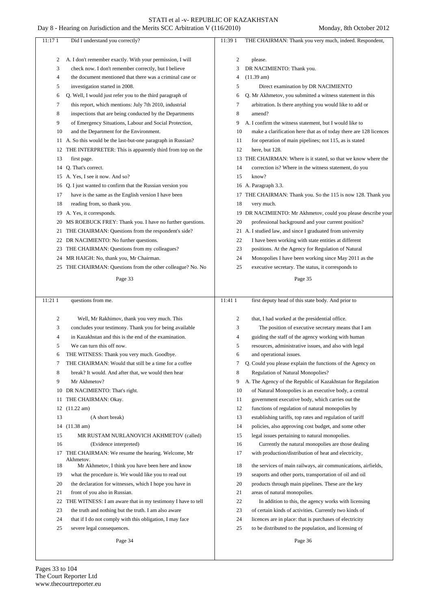| 11:17 1  | Did I understand you correctly?                                                                         | 11:39 1             | THE CHAIRMAN: Thank you very much, indeed. Respondent,                                                              |
|----------|---------------------------------------------------------------------------------------------------------|---------------------|---------------------------------------------------------------------------------------------------------------------|
| 2        | A. I don't remember exactly. With your permission, I will                                               | 2                   | please.                                                                                                             |
| 3        | check now. I don't remember correctly, but I believe                                                    | 3                   | DR NACIMIENTO: Thank you.                                                                                           |
| 4        | the document mentioned that there was a criminal case or                                                | 4                   | (11.39 am)                                                                                                          |
| 5        | investigation started in 2008.                                                                          | 5                   | Direct examination by DR NACIMIENTO                                                                                 |
| 6        | Q. Well, I would just refer you to the third paragraph of                                               | 6                   | Q. Mr Akhmetov, you submitted a witness statement in this                                                           |
| 7        | this report, which mentions: July 7th 2010, industrial                                                  | 7                   | arbitration. Is there anything you would like to add or                                                             |
| 8        | inspections that are being conducted by the Departments                                                 | 8                   | amend?                                                                                                              |
| 9        | of Emergency Situations, Labour and Social Protection,                                                  | 9                   | A. I confirm the witness statement, but I would like to                                                             |
| 10       | and the Department for the Environment.                                                                 | 10                  | make a clarification here that as of today there are 128 licences                                                   |
|          | 11 A. So this would be the last-but-one paragraph in Russian?                                           | 11                  | for operation of main pipelines; not 115, as is stated                                                              |
|          | 12 THE INTERPRETER: This is apparently third from top on the                                            | 12                  | here, but 128.                                                                                                      |
| 13       | first page.                                                                                             |                     | 13 THE CHAIRMAN: Where is it stated, so that we know where the                                                      |
| 14       | Q. That's correct.<br>15 A. Yes, I see it now. And so?                                                  | 14<br>15            | correction is? Where in the witness statement, do you<br>know?                                                      |
|          | 16 Q. I just wanted to confirm that the Russian version you                                             |                     | 16 A. Paragraph 3.3.                                                                                                |
|          |                                                                                                         |                     | 17 THE CHAIRMAN: Thank you. So the 115 is now 128. Thank you                                                        |
| 17<br>18 | have is the same as the English version I have been<br>reading from, so thank you.                      | 18                  | very much.                                                                                                          |
|          | A. Yes, it corresponds.                                                                                 |                     |                                                                                                                     |
| 19<br>20 | MS ROEBUCK FREY: Thank you. I have no further questions.                                                | 20                  | 19 DR NACIMIENTO: Mr Akhmetov, could you please describe your<br>professional background and your current position? |
|          | 21 THE CHAIRMAN: Questions from the respondent's side?                                                  |                     | 21 A. I studied law, and since I graduated from university                                                          |
|          | 22 DR NACIMIENTO: No further questions.                                                                 | 22                  | I have been working with state entities at different                                                                |
|          | 23 THE CHAIRMAN: Questions from my colleagues?                                                          | 23                  | positions. At the Agency for Regulation of Natural                                                                  |
|          | 24 MR HAIGH: No, thank you, Mr Chairman.                                                                | 24                  | Monopolies I have been working since May 2011 as the                                                                |
|          | 25 THE CHAIRMAN: Questions from the other colleague? No. No                                             | 25                  | executive secretary. The status, it corresponds to                                                                  |
|          |                                                                                                         |                     |                                                                                                                     |
|          | Page 33                                                                                                 |                     | Page 35                                                                                                             |
| 11:21 1  | questions from me.                                                                                      | 11:411              | first deputy head of this state body. And prior to                                                                  |
|          |                                                                                                         |                     |                                                                                                                     |
| 2<br>3   | Well, Mr Rakhimov, thank you very much. This<br>concludes your testimony. Thank you for being available | $\overline{c}$<br>3 | that, I had worked at the presidential office.                                                                      |
| 4        | in Kazakhstan and this is the end of the examination.                                                   | $\overline{4}$      | The position of executive secretary means that I am<br>guiding the staff of the agency working with human           |
| 5        | We can turn this off now.                                                                               | 5                   | resources, administrative issues, and also with legal                                                               |
| 6        | THE WITNESS: Thank you very much. Goodbye.                                                              | 6                   | and operational issues.                                                                                             |
| 7        | THE CHAIRMAN: Would that still be a time for a coffee                                                   | 7                   | Q. Could you please explain the functions of the Agency on                                                          |
| 8        | break? It would. And after that, we would then hear                                                     | 8                   | Regulation of Natural Monopolies?                                                                                   |
| 9        | Mr Akhmetov?                                                                                            | 9                   | A. The Agency of the Republic of Kazakhstan for Regulation                                                          |
| 10       | DR NACIMIENTO: That's right.                                                                            | 10                  | of Natural Monopolies is an executive body, a central                                                               |
|          | 11 THE CHAIRMAN: Okay.                                                                                  | 11                  | government executive body, which carries out the                                                                    |
|          | $12$ (11.22 am)                                                                                         | 12                  | functions of regulation of natural monopolies by                                                                    |
| 13       | (A short break)                                                                                         | 13                  | establishing tariffs, top rates and regulation of tariff                                                            |
|          | 14 (11.38 am)                                                                                           | 14                  | policies, also approving cost budget, and some other                                                                |
| 15       | MR RUSTAM NURLANOVICH AKHMETOV (called)                                                                 | 15                  | legal issues pertaining to natural monopolies.                                                                      |
| 16       | (Evidence interpreted)                                                                                  | 16                  | Currently the natural monopolies are those dealing                                                                  |
|          | 17 THE CHAIRMAN: We resume the hearing. Welcome, Mr                                                     | 17                  | with production/distribution of heat and electricity,                                                               |
| 18       | Akhmetov.<br>Mr Akhmetov, I think you have been here and know                                           | 18                  | the services of main railways, air communications, airfields,                                                       |
| 19       | what the procedure is. We would like you to read out                                                    | 19                  | seaports and other ports, transportation of oil and oil                                                             |
| 20       | the declaration for witnesses, which I hope you have in                                                 | 20                  | products through main pipelines. These are the key                                                                  |
| 21       | front of you also in Russian.                                                                           | 21                  | areas of natural monopolies.                                                                                        |
|          | 22 THE WITNESS: I am aware that in my testimony I have to tell                                          | 22                  | In addition to this, the agency works with licensing                                                                |
| 23       | the truth and nothing but the truth. I am also aware                                                    | 23                  | of certain kinds of activities. Currently two kinds of                                                              |
| 24       | that if I do not comply with this obligation, I may face                                                | 24                  | licences are in place: that is purchases of electricity                                                             |
| 25       | severe legal consequences.                                                                              | 25                  | to be distributed to the population, and licensing of                                                               |
|          |                                                                                                         |                     |                                                                                                                     |
|          | Page 34                                                                                                 |                     | Page 36                                                                                                             |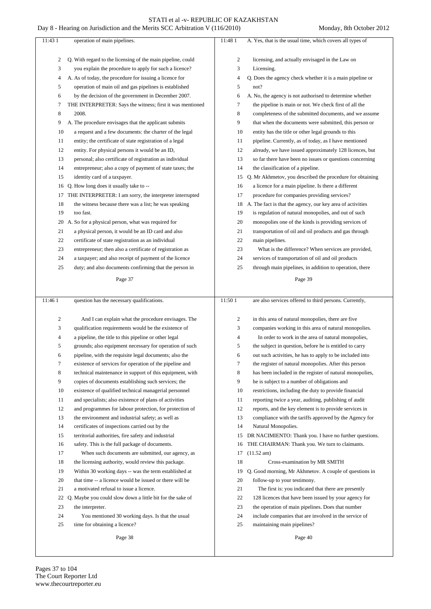|          | $Day$ o - Hearing on Jurisdiction and the Merris SCC Arbitration $\bf{v}$ (110/2010)                  |                  | MORAL OCTODEL 2012                                                                                       |
|----------|-------------------------------------------------------------------------------------------------------|------------------|----------------------------------------------------------------------------------------------------------|
| 11:43 1  | operation of main pipelines.                                                                          | 11:48 1          | A. Yes, that is the usual time, which covers all types of                                                |
| 2        | Q. With regard to the licensing of the main pipeline, could                                           | $\boldsymbol{2}$ | licensing, and actually envisaged in the Law on                                                          |
| 3        | you explain the procedure to apply for such a licence?                                                | 3                | Licensing.                                                                                               |
| 4        | A. As of today, the procedure for issuing a licence for                                               | 4                | Q. Does the agency check whether it is a main pipeline or                                                |
| 5        | operation of main oil and gas pipelines is established                                                | 5                | not?                                                                                                     |
| 6        | by the decision of the government in December 2007.                                                   | 6                | A. No, the agency is not authorised to determine whether                                                 |
| 7        | THE INTERPRETER: Says the witness; first it was mentioned                                             | $\tau$           | the pipeline is main or not. We check first of all the                                                   |
| 8        | 2008.                                                                                                 | 8                | completeness of the submitted documents, and we assume                                                   |
| 9        | A. The procedure envisages that the applicant submits                                                 | 9                | that when the documents were submitted, this person or                                                   |
| 10       | a request and a few documents: the charter of the legal                                               | 10               | entity has the title or other legal grounds to this                                                      |
| 11       | entity; the certificate of state registration of a legal                                              | 11               | pipeline. Currently, as of today, as I have mentioned                                                    |
| 12       | entity. For physical persons it would be an ID,                                                       | 12               | already, we have issued approximately 128 licences, but                                                  |
| 13       | personal; also certificate of registration as individual                                              | 13               | so far there have been no issues or questions concerning                                                 |
| 14       | entrepreneur; also a copy of payment of state taxes; the                                              | 14               | the classification of a pipeline.                                                                        |
| 15       | identity card of a taxpayer.                                                                          | 15               | Q. Mr Akhmetov, you described the procedure for obtaining                                                |
| 16       | Q. How long does it usually take to --                                                                | 16               | a licence for a main pipeline. Is there a different                                                      |
| 17       | THE INTERPRETER: I am sorry, the interpreter interrupted                                              | 17               | procedure for companies providing services?                                                              |
| 18       | the witness because there was a list; he was speaking                                                 | 18               | A. The fact is that the agency, our key area of activities                                               |
| 19       | too fast.                                                                                             | 19               | is regulation of natural monopolies, and out of such                                                     |
|          | 20 A. So for a physical person, what was required for                                                 | 20               | monopolies one of the kinds is providing services of                                                     |
| 21       | a physical person, it would be an ID card and also                                                    | 21               | transportation of oil and oil products and gas through                                                   |
| 22       | certificate of state registration as an individual                                                    | 22               | main pipelines.                                                                                          |
| 23       | entrepreneur; then also a certificate of registration as                                              | 23               | What is the difference? When services are provided,                                                      |
| 24       | a taxpayer; and also receipt of payment of the licence                                                | 24               | services of transportation of oil and oil products                                                       |
| 25       | duty; and also documents confirming that the person in                                                | 25               | through main pipelines, in addition to operation, there                                                  |
|          | Page 37                                                                                               |                  | Page 39                                                                                                  |
| 11:46 1  | question has the necessary qualifications.                                                            | 11:50 1          | are also services offered to third persons. Currently,                                                   |
|          |                                                                                                       |                  |                                                                                                          |
| 2        | And I can explain what the procedure envisages. The                                                   | $\overline{c}$   | in this area of natural monopolies, there are five                                                       |
| 3        | qualification requirements would be the existence of                                                  | 3                | companies working in this area of natural monopolies.                                                    |
| 4        | a pipeline, the title to this pipeline or other legal                                                 | $\overline{4}$   | In order to work in the area of natural monopolies,                                                      |
| 5        | grounds; also equipment necessary for operation of such                                               | 5                | the subject in question, before he is entitled to carry                                                  |
| 6        | pipeline, with the requisite legal documents; also the                                                | 6                | out such activities, he has to apply to be included into                                                 |
| $\tau$   | existence of services for operation of the pipeline and                                               | 7                | the register of natural monopolies. After this person                                                    |
| 8        | technical maintenance in support of this equipment, with                                              | 8                | has been included in the register of natural monopolies,                                                 |
| 9        | copies of documents establishing such services; the                                                   | 9                | he is subject to a number of obligations and                                                             |
| 10       | existence of qualified technical managerial personnel                                                 | 10               | restrictions, including the duty to provide financial                                                    |
| 11       | and specialists; also existence of plans of activities                                                | 11               | reporting twice a year, auditing, publishing of audit                                                    |
| 12       | and programmes for labour protection, for protection of                                               | 12               | reports, and the key element is to provide services in                                                   |
| 13       | the environment and industrial safety; as well as                                                     | 13               | compliance with the tariffs approved by the Agency for                                                   |
| 14       | certificates of inspections carried out by the<br>territorial authorities, fire safety and industrial | 14               | Natural Monopolies.                                                                                      |
| 15<br>16 | safety. This is the full package of documents.                                                        | 15<br>16         | DR NACIMIENTO: Thank you. I have no further questions.<br>THE CHAIRMAN: Thank you. We turn to claimants. |
| 17       | When such documents are submitted, our agency, as                                                     | 17               | $(11.52 \text{ am})$                                                                                     |
| 18       | the licensing authority, would review this package.                                                   | 18               | Cross-examination by MR SMITH                                                                            |
| 19       | Within 30 working days -- was the term established at                                                 | 19               | Q. Good morning, Mr Akhmetov. A couple of questions in                                                   |
| 20       | that time -- a licence would be issued or there will be                                               | 20               | follow-up to your testimony.                                                                             |
| 21       | a motivated refusal to issue a licence.                                                               | 21               | The first is: you indicated that there are presently                                                     |
| 22       | Q. Maybe you could slow down a little bit for the sake of                                             | 22               | 128 licences that have been issued by your agency for                                                    |
| 23       | the interpreter.                                                                                      | 23               | the operation of main pipelines. Does that number                                                        |
| 24       | You mentioned 30 working days. Is that the usual                                                      | 24               | include companies that are involved in the service of                                                    |
| 25       | time for obtaining a licence?                                                                         | 25               | maintaining main pipelines?                                                                              |
|          | Page 38                                                                                               |                  | Page 40                                                                                                  |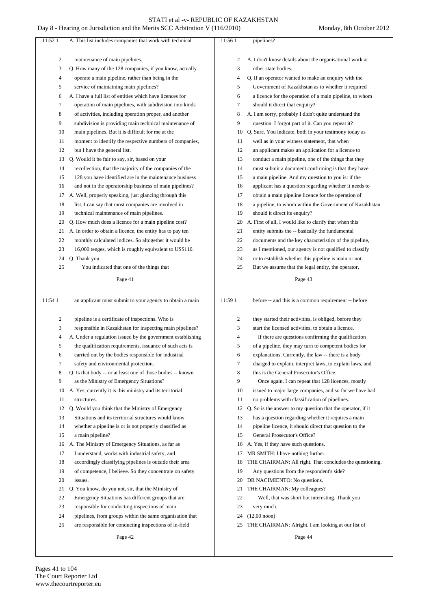| 11:52 1        | A. This list includes companies that work with technical                                        | 11:561           | pipelines?                                                                               |
|----------------|-------------------------------------------------------------------------------------------------|------------------|------------------------------------------------------------------------------------------|
|                |                                                                                                 |                  |                                                                                          |
| 2              | maintenance of main pipelines.                                                                  | 2                | A. I don't know details about the organisational work at                                 |
| 3              | Q. How many of the 128 companies, if you know, actually                                         | 3                | other state bodies.                                                                      |
| 4              | operate a main pipeline, rather than being in the                                               | 4                | Q. If an operator wanted to make an enquiry with the                                     |
| 5              | service of maintaining main pipelines?                                                          | 5                | Government of Kazakhstan as to whether it required                                       |
| 6              | A. I have a full list of entities which have licences for                                       | 6                | a licence for the operation of a main pipeline, to whom                                  |
| $\tau$         | operation of main pipelines, with subdivision into kinds                                        | 7                | should it direct that enquiry?                                                           |
| 8              | of activities, including operation proper, and another                                          | 8                | A. I am sorry, probably I didn't quite understand the                                    |
| 9              | subdivision is providing main technical maintenance of                                          | 9                | question. I forgot part of it. Can you repeat it?                                        |
| 10             | main pipelines. But it is difficult for me at the                                               | 10               | Q. Sure. You indicate, both in your testimony today as                                   |
| 11             | moment to identify the respective numbers of companies,                                         | 11               | well as in your witness statement, that when                                             |
| 12             | but I have the general list.                                                                    | 12               | an applicant makes an application for a licence to                                       |
| 13             | Q. Would it be fair to say, sir, based on your                                                  | 13               | conduct a main pipeline, one of the things that they                                     |
| 14             | recollection, that the majority of the companies of the                                         | 14               | must submit a document confirming is that they have                                      |
| 15             | 128 you have identified are in the maintenance business                                         | 15               | a main pipeline. And my question to you is: if the                                       |
| 16             | and not in the operatorship business of main pipelines?                                         | 16               | applicant has a question regarding whether it needs to                                   |
| 17             | A. Well, properly speaking, just glancing through this                                          | 17               | obtain a main pipeline licence for the operation of                                      |
| 18             | list, I can say that most companies are involved in<br>technical maintenance of main pipelines. | 18<br>19         | a pipeline, to whom within the Government of Kazakhstan<br>should it direct its enquiry? |
| 19<br>20       | Q. How much does a licence for a main pipeline cost?                                            | 20               | A. First of all, I would like to clarify that when this                                  |
| 21             | A. In order to obtain a licence, the entity has to pay ten                                      | 21               | entity submits the -- basically the fundamental                                          |
| 22             | monthly calculated indices. So altogether it would be                                           | 22               | documents and the key characteristics of the pipeline,                                   |
| 23             | 16,000 tenges, which is roughly equivalent to US\$110.                                          | 23               | as I mentioned, our agency is not qualified to classify                                  |
| 24             | Q. Thank you.                                                                                   | 24               | or to establish whether this pipeline is main or not.                                    |
| 25             | You indicated that one of the things that                                                       | 25               | But we assume that the legal entity, the operator,                                       |
|                | Page 41                                                                                         |                  | Page 43                                                                                  |
|                |                                                                                                 |                  |                                                                                          |
| 11:541         | an applicant must submit to your agency to obtain a main                                        | 11:591           | before -- and this is a common requirement -- before                                     |
|                |                                                                                                 |                  |                                                                                          |
| 2              | pipeline is a certificate of inspections. Who is                                                | $\boldsymbol{2}$ | they started their activities, is obliged, before they                                   |
| 3              | responsible in Kazakhstan for inspecting main pipelines?                                        | 3                | start the licensed activities, to obtain a licence.                                      |
| $\overline{4}$ | A. Under a regulation issued by the government establishing                                     | 4                | If there are questions confirming the qualification                                      |
| 5              | the qualification requirements, issuance of such acts is                                        | 5                | of a pipeline, they may turn to competent bodies for                                     |
| 6              | carried out by the bodies responsible for industrial                                            | 6                | explanations. Currently, the law -- there is a body                                      |
| $\tau$         | safety and environmental protection.                                                            | 7                | charged to explain, interpret laws, to explain laws, and                                 |
| 8              | Q. Is that body -- or at least one of those bodies -- known                                     | 8                | this is the General Prosecutor's Office.                                                 |
| 9              | as the Ministry of Emergency Situations?                                                        | 9                | Once again, I can repeat that 128 licences, mostly                                       |
| 10             | A. Yes, currently it is this ministry and its territorial                                       | 10               | issued to major large companies, and so far we have had                                  |
| 11             | structures.                                                                                     | 11               | no problems with classification of pipelines.                                            |
| 12             | Q. Would you think that the Ministry of Emergency                                               | 12               | Q. So is the answer to my question that the operator, if it                              |
| 13             | Situations and its territorial structures would know                                            | 13               | has a question regarding whether it requires a main                                      |
| 14             | whether a pipeline is or is not properly classified as                                          | 14               | pipeline licence, it should direct that question to the                                  |
| 15<br>16       | a main pipeline?<br>A. The Ministry of Emergency Situations, as far as                          | 15<br>16         | General Prosecutor's Office?<br>A. Yes, if they have such questions.                     |
| 17             | I understand, works with industrial safety, and                                                 | 17               | MR SMITH: I have nothing further.                                                        |
| 18             | accordingly classifying pipelines is outside their area                                         | 18               | THE CHAIRMAN: All right. That concludes the questioning.                                 |
| 19             | of competence, I believe. So they concentrate on safety                                         | 19               | Any questions from the respondent's side?                                                |
| 20             | issues.                                                                                         | 20               | DR NACIMIENTO: No questions.                                                             |
| 21             | Q. You know, do you not, sir, that the Ministry of                                              | 21               | THE CHAIRMAN: My colleagues?                                                             |
| 22             | Emergency Situations has different groups that are                                              | 22               | Well, that was short but interesting. Thank you                                          |
| 23             | responsible for conducting inspections of main                                                  | 23               | very much.                                                                               |
| 24             | pipelines, from groups within the same organisation that                                        | 24               | $(12.00 \text{ noon})$                                                                   |
| 25             | are responsible for conducting inspections of in-field                                          | 25               | THE CHAIRMAN: Alright. I am looking at our list of                                       |
|                | Page 42                                                                                         |                  | Page 44                                                                                  |
|                |                                                                                                 |                  |                                                                                          |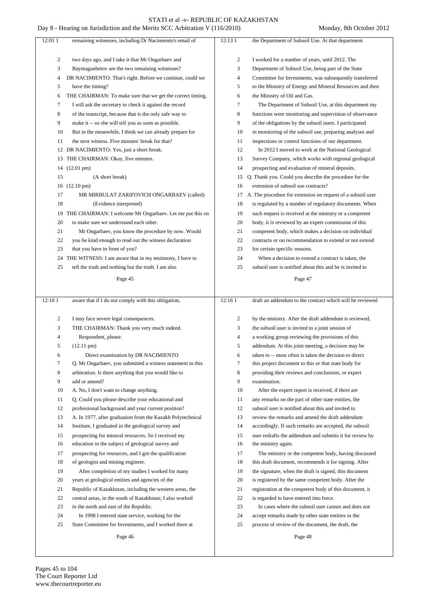| 12:01 1 | remaining witnesses, including Dr Nacimiento's email of           | 12:13 1 | the Department of Subsoil Use. At that department            |
|---------|-------------------------------------------------------------------|---------|--------------------------------------------------------------|
| 2       | two days ago, and I take it that Mr Ongarbaev and                 | 2       | I worked for a number of years, until 2012. The              |
| 3       | Baymaganbetov are the two remaining witnesses?                    | 3       | Department of Subsoil Use, being part of the State           |
| 4       | DR NACIMIENTO: That's right. Before we continue, could we         | 4       | Committee for Investments, was subsequently transferred      |
| 5       | have the timing?                                                  | 5       | to the Ministry of Energy and Mineral Resources and then     |
| 6       | THE CHAIRMAN: To make sure that we get the correct timing,        | 6       | the Ministry of Oil and Gas.                                 |
| 7       | I will ask the secretary to check it against the record           | 7       | The Department of Subsoil Use, at this department my         |
| 8       | of the transcript, because that is the only safe way to           | 8       | functions were monitoring and supervision of observance      |
| 9       | make it -- so she will tell you as soon as possible.              | 9       | of the obligations by the subsoil users. I participated      |
| 10      | But in the meanwhile, I think we can already prepare for          | 10      | in monitoring of the subsoil use, preparing analyses and     |
| 11      | the next witness. Five minutes' break for that?                   | 11      | inspections or control functions of our department.          |
|         | 12 DR NACIMIENTO: Yes, just a short break.                        | 12      | In 2012 I moved to work at the National Geological           |
|         | 13 THE CHAIRMAN: Okay, five minutes.                              | 13      | Survey Company, which works with regional geological         |
|         | 14 (12.01 pm)                                                     | 14      | prospecting and evaluation of mineral deposits.              |
| 15      | (A short break)                                                   | 15      | Q. Thank you. Could you describe the procedure for the       |
|         | 16 (12.10 pm)                                                     | 16      | extension of subsoil use contracts?                          |
| 17      | MR MIRBULAT ZARIFOVICH ONGARBAEV (called)                         | 17      | A. The procedure for extension on request of a subsoil user  |
| 18      | (Evidence interpreted)                                            | 18      | is regulated by a number of regulatory documents. When       |
|         | 19 THE CHAIRMAN: I welcome Mr Ongarbaev. Let me put this on       | 19      | such request is received at the ministry or a competent      |
| 20      | to make sure we understand each other.                            | 20      | body, it is reviewed by an expert commission of this         |
| 21      | Mr Ongarbaev, you know the procedure by now. Would                | 21      | competent body, which makes a decision on individual         |
| 22      | you be kind enough to read out the witness declaration            | 22      | contracts or on recommendation to extend or not extend       |
| 23      | that you have in front of you?                                    | 23      | for certain specific reasons.                                |
| 24      | THE WITNESS: I am aware that in my testimony, I have to           | 24      | When a decision to extend a contract is taken, the           |
| 25      | tell the truth and nothing but the truth. I am also               | 25      | subsoil user is notified about this and he is invited to     |
|         |                                                                   |         |                                                              |
|         | Page 45                                                           |         | Page 47                                                      |
| 12:10 1 | aware that if I do not comply with this obligation,               | 12:16 1 | draft an addendum to the contract which will be reviewed     |
|         |                                                                   |         |                                                              |
| 2       | I may face severe legal consequences.                             | 2       | by the ministry. After the draft addendum is reviewed,       |
| 3       | THE CHAIRMAN: Thank you very much indeed.                         | 3       | the subsoil user is invited to a joint session of            |
| 4       | Respondent, please.                                               | 4       | a working group reviewing the provisions of this             |
| 5       | $(12.11 \text{ pm})$                                              | 5       | addendum. At this joint meeting, a decision may be           |
| 6       | Direct examination by DR NACIMIENTO                               | 6       | taken to -- most often is taken the decision to direct       |
| $\tau$  | Q. Mr Ongarbaev, you submitted a witness statement in this        | 7       | this project document to this or that state body for         |
| 8       | arbitration. Is there anything that you would like to             | 8       | providing their reviews and conclusions, or expert           |
| 9       | add or amend?                                                     | 9       | examination.                                                 |
| 10      | A. No, I don't want to change anything.                           | 10      | After the expert report is received, if there are            |
| 11      | Q. Could you please describe your educational and                 | 11      | any remarks on the part of other state entities, the         |
| 12      | professional background and your current position?                | 12      | subsoil user is notified about this and invited to           |
| 13      | A. In 1977, after graduation from the Kazakh Polytechnical        | 13      | review the remarks and amend the draft addendum              |
| 14      | Institute, I graduated in the geological survey and               | 14      | accordingly. If such remarks are accepted, the subsoil       |
| 15      | prospecting for mineral resources. So I received my               | 15      | user redrafts the addendum and submits it for review by      |
| 16      | education in the subject of geological survey and                 | 16      | the ministry again.                                          |
| 17      | prospecting for resources, and I got the qualification            | 17      | The ministry or the competent body, having discussed         |
| 18      | of geologist and mining engineer.                                 | 18      | this draft document, recommends it for signing. After        |
| 19      | After completion of my studies I worked for many                  | 19      | the signature, when the draft is signed, this document       |
| 20      | years at geological entities and agencies of the                  | 20      | is registered by the same competent body. After the          |
| 21      | Republic of Kazakhstan, including the western areas, the          | 21      | registration at the competent body of this document, it      |
| 22      | central areas, in the south of Kazakhstan; I also worked          | 22      | is regarded to have entered into force.                      |
| 23      | in the north and east of the Republic.                            | 23      | In cases where the subsoil user cannot and does not          |
| 24      | In 1998 I entered state service, working for the                  | 24      | accept remarks made by other state entities in the           |
| 25      |                                                                   |         |                                                              |
|         | State Committee for Investments, and I worked there at<br>Page 46 | 25      | process of review of the document, the draft, the<br>Page 48 |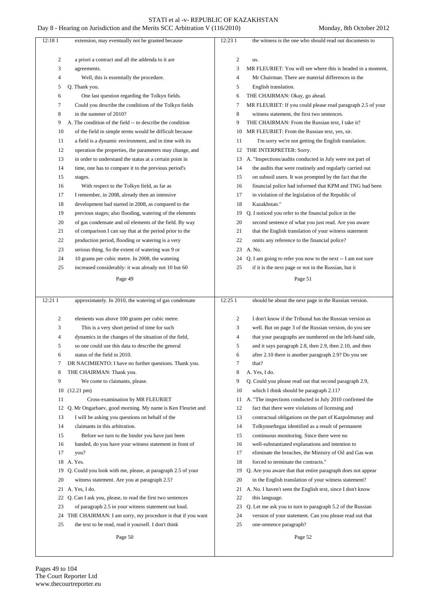| 12:18 1 | extension, may eventually not be granted because                                       | 12:23 1        | the witness is the one who should read out documents to        |
|---------|----------------------------------------------------------------------------------------|----------------|----------------------------------------------------------------|
| 2       | a priori a contract and all the addenda to it are                                      | 2              | us.                                                            |
| 3       | agreements.                                                                            | 3              | MR FLEURIET: You will see where this is headed in a moment,    |
| 4       | Well, this is essentially the procedure.                                               | $\overline{4}$ | Mr Chairman. There are material differences in the             |
| 5       | Q. Thank you.                                                                          | 5              | English translation.                                           |
| 6       | One last question regarding the Tolkyn fields.                                         | 6              | THE CHAIRMAN: Okay, go ahead.                                  |
| 7       | Could you describe the conditions of the Tolkyn fields                                 | 7              | MR FLEURIET: If you could please read paragraph 2.5 of your    |
| 8       | in the summer of 2010?                                                                 | 8              | witness statement, the first two sentences.                    |
| 9       | A. The condition of the field -- to describe the condition                             | 9              | THE CHAIRMAN: From the Russian text, I take it?                |
| 10      | of the field in simple terms would be difficult because                                | 10             | MR FLEURIET: From the Russian text, yes, sir.                  |
| 11      | a field is a dynamic environment, and in time with its                                 | 11             | I'm sorry we're not getting the English translation.           |
| 12      | operation the properties, the parameters may change, and                               | 12             | THE INTERPRETER: Sorry.                                        |
| 13      | in order to understand the status at a certain point in                                | 13             | A. "Inspections/audits conducted in July were not part of      |
| 14      | time, one has to compare it to the previous period's                                   | 14             | the audits that were routinely and regularly carried out       |
| 15      | stages.                                                                                | 15             | on subsoil users. It was prompted by the fact that the         |
| 16      | With respect to the Tolkyn field, as far as                                            | 16             | financial police had informed that KPM and TNG had been        |
| 17      | I remember, in 2008, already then an intensive                                         | 17             | in violation of the legislation of the Republic of             |
| 18      | development had started in 2008, as compared to the                                    | 18             | Kazakhstan."                                                   |
| 19      | previous stages; also flooding, watering of the elements                               | 19             | Q. I noticed you refer to the financial police in the          |
| 20      | of gas condensate and oil elements of the field. By way                                | 20             | second sentence of what you just read. Are you aware           |
| 21      | of comparison I can say that at the period prior to the                                | 21             | that the English translation of your witness statement         |
| 22      | production period, flooding or watering is a very                                      | 22             | omits any reference to the financial police?                   |
| 23      | serious thing. So the extent of watering was 9 or                                      | 23             | A. No.                                                         |
| 24      | 10 grams per cubic metre. In 2008, the watering                                        | 24             | Q. I am going to refer you now to the next -- I am not sure    |
| 25      | increased considerably: it was already not 10 but 60                                   | 25             | if it is the next page or not in the Russian, but it           |
|         | Page 49                                                                                |                | Page 51                                                        |
|         |                                                                                        |                |                                                                |
| 12:21 1 | approximately. In 2010, the watering of gas condensate                                 | 12:251         | should be about the next page in the Russian version.          |
|         |                                                                                        |                |                                                                |
|         |                                                                                        |                | I don't know if the Tribunal has the Russian version as        |
| 2<br>3  | elements was above 100 grams per cubic metre.                                          | 2<br>3         |                                                                |
|         | This is a very short period of time for such                                           |                | well. But on page 3 of the Russian version, do you see         |
| 4<br>5  | dynamics in the changes of the situation of the field,                                 | 4<br>5         | that your paragraphs are numbered on the left-hand side,       |
| 6       | so one could use this data to describe the general                                     |                | and it says paragraph 2.8, then 2.9, then 2.10, and then       |
| 7       | status of the field in 2010.<br>DR NACIMIENTO: I have no further questions. Thank you. | 6<br>7         | after 2.10 there is another paragraph 2.9? Do you see<br>that? |
| 8       | THE CHAIRMAN: Thank you.                                                               | 8              | A. Yes, I do.                                                  |
| 9       | We come to claimants, please.                                                          | 9              | Q. Could you please read out that second paragraph 2.9,        |
| 10      | $(12.21 \text{ pm})$                                                                   | 10             | which I think should be paragraph 2.11?                        |
| 11      | Cross-examination by MR FLEURIET                                                       | 11             | A. "The inspections conducted in July 2010 confirmed the       |
| 12      | Q. Mr Ongarbaev, good morning. My name is Ken Fleuriet and                             | 12             | fact that there were violations of licensing and               |
| 13      | I will be asking you questions on behalf of the                                        | 13             | contractual obligations on the part of Kazpolmunay and         |
| 14      | claimants in this arbitration.                                                         | 14             | Tolkynneftegaz identified as a result of permanent             |
| 15      | Before we turn to the binder you have just been                                        | 15             | continuous monitoring. Since there were no                     |
| 16      | handed, do you have your witness statement in front of                                 | 16             | well-substantiated explanations and intention to               |
| 17      | you?                                                                                   | 17             | eliminate the breaches, the Ministry of Oil and Gas was        |
|         | 18 A. Yes.                                                                             | 18             | forced to terminate the contracts."                            |
| 19      | Q. Could you look with me, please, at paragraph 2.5 of your                            | 19             | Q. Are you aware that that entire paragraph does not appear    |
| 20      | witness statement. Are you at paragraph 2.5?                                           | 20             | in the English translation of your witness statement?          |
|         | 21 A. Yes, I do.                                                                       | 21             | A. No. I haven't seen the English text, since I don't know     |
| 22      | Q. Can I ask you, please, to read the first two sentences                              | 22             | this language.                                                 |
| 23      | of paragraph 2.5 in your witness statement out loud.                                   | 23             | Q. Let me ask you to turn to paragraph 5.2 of the Russian      |
|         | 24 THE CHAIRMAN: I am sorry, my procedure is that if you want                          | 24             | version of your statement. Can you please read out that        |
| 25      | the text to be read, read it yourself. I don't think                                   | 25             | one-sentence paragraph?                                        |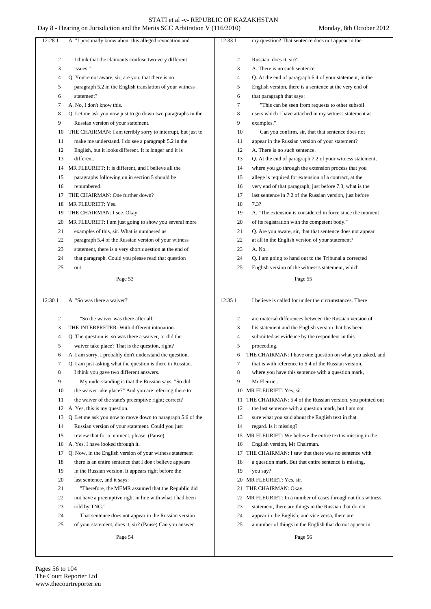|                  | A. "I personally know about this alleged revocation and                           | 12:33 1                 | my question? That sentence does not appear in the            |
|------------------|-----------------------------------------------------------------------------------|-------------------------|--------------------------------------------------------------|
|                  |                                                                                   |                         |                                                              |
| $\boldsymbol{2}$ | I think that the claimants confuse two very different                             | $\overline{\mathbf{c}}$ | Russian, does it, sir?                                       |
| 3                | issues."                                                                          | 3                       | A. There is no such sentence.                                |
| 4                | Q. You're not aware, sir, are you, that there is no                               | 4                       | Q. At the end of paragraph 6.4 of your statement, in the     |
| 5                | paragraph 5.2 in the English translation of your witness                          | 5                       | English version, there is a sentence at the very end of      |
| 6                | statement?                                                                        | 6                       | that paragraph that says:                                    |
| 7                | A. No, I don't know this.                                                         | 7                       | "This can be seen from requests to other subsoil             |
| 8                | Q. Let me ask you now just to go down two paragraphs in the                       | 8                       | users which I have attached in my witness statement as       |
| 9                | Russian version of your statement.                                                | 9                       | examples."                                                   |
| 10               | THE CHAIRMAN: I am terribly sorry to interrupt, but just to                       | 10                      | Can you confirm, sir, that that sentence does not            |
| 11               | make me understand. I do see a paragraph 5.2 in the                               | 11                      | appear in the Russian version of your statement?             |
| 12               | English, but it looks different. It is longer and it is                           | 12                      | A. There is no such sentence.                                |
| 13               | different.                                                                        | 13                      | Q. At the end of paragraph 7.2 of your witness statement,    |
| 14               | MR FLEURIET: It is different, and I believe all the                               | 14                      | where you go through the extension process that you          |
| 15               | paragraphs following on in section 5 should be                                    | 15                      | allege is required for extension of a contract, at the       |
| 16               | renumbered.                                                                       | 16                      | very end of that paragraph, just before 7.3, what is the     |
| 17               | THE CHAIRMAN: One further down?                                                   | 17                      | last sentence in 7.2 of the Russian version, just before     |
| 18               | MR FLEURIET: Yes.                                                                 | 18                      | 7.3?                                                         |
| 19               | THE CHAIRMAN: I see. Okay.                                                        | 19                      | A. "The extension is considered in force since the moment    |
| 20               | MR FLEURIET: I am just going to show you several more                             | 20                      | of its registration with the competent body."                |
| 21               | examples of this, sir. What is numbered as                                        | 21                      | Q. Are you aware, sir, that that sentence does not appear    |
| 22               | paragraph 5.4 of the Russian version of your witness                              | 22                      | at all in the English version of your statement?             |
| 23               | statement, there is a very short question at the end of                           | 23                      | A. No.                                                       |
| 24               | that paragraph. Could you please read that question                               | 24                      | Q. I am going to hand out to the Tribunal a corrected        |
| 25               | out.                                                                              | 25                      | English version of the witness's statement, which            |
|                  | Page 53                                                                           |                         | Page 55                                                      |
|                  |                                                                                   |                         |                                                              |
| 12:30 1          | A. "So was there a waiver?"                                                       | 12:35 1                 | I believe is called for under the circumstances. There       |
|                  |                                                                                   |                         |                                                              |
| $\boldsymbol{2}$ | "So the waiver was there after all."                                              | 2                       | are material differences between the Russian version of      |
| 3                | THE INTERPRETER: With different intonation.                                       | 3                       | his statement and the English version that has been          |
| 4                | Q. The question is: so was there a waiver, or did the                             | 4                       | submitted as evidence by the respondent in this              |
| 5                | waiver take place? That is the question, right?                                   |                         |                                                              |
|                  |                                                                                   | 5                       | proceeding.                                                  |
| 6                | A. I am sorry, I probably don't understand the question.                          | 6                       | THE CHAIRMAN: I have one question on what you asked, and     |
| 7                | Q. I am just asking what the question is there in Russian.                        | 7                       | that is with reference to 5.4 of the Russian version,        |
| 8                | I think you gave two different answers.                                           | 8                       | where you have this sentence with a question mark,           |
| 9                | My understanding is that the Russian says, "So did                                | 9                       | Mr Fleuriet.                                                 |
| 10               | the waiver take place?" And you are referring there to                            |                         | 10 MR FLEURIET: Yes, sir.                                    |
| 11               | the waiver of the state's preemptive right; correct?                              | 11.                     | THE CHAIRMAN: 5.4 of the Russian version, you pointed out    |
| 12               | A. Yes, this is my question.                                                      | 12                      | the last sentence with a question mark, but I am not         |
| 13               | Q. Let me ask you now to move down to paragraph 5.6 of the                        | 13                      | sure what you said about the English text in that            |
| 14               | Russian version of your statement. Could you just                                 | 14                      | regard. Is it missing?                                       |
| 15               | review that for a moment, please. (Pause)                                         |                         | 15 MR FLEURIET: We believe the entire text is missing in the |
| 16               | A. Yes, I have looked through it.                                                 | 16                      | English version, Mr Chairman.                                |
| 17               | Q. Now, in the English version of your witness statement                          |                         | 17 THE CHAIRMAN: I saw that there was no sentence with       |
| 18               | there is an entire sentence that I don't believe appears                          | 18                      | a question mark. But that entire sentence is missing,        |
| 19               | in the Russian version. It appears right before the                               | 19                      | you say?                                                     |
| 20<br>21         | last sentence, and it says:<br>"Therefore, the MEMR assumed that the Republic did | 21                      | 20 MR FLEURIET: Yes, sir.<br>THE CHAIRMAN: Okay.             |
| 22               | not have a preemptive right in line with what I had been                          | 22                      | MR FLEURIET: In a number of cases throughout this witness    |
| 23               | told by TNG."                                                                     | 23                      | statement, there are things in the Russian that do not       |
| 24               | That sentence does not appear in the Russian version                              | 24                      | appear in the English; and vice versa, there are             |
| 25               | of your statement, does it, sir? (Pause) Can you answer                           | 25                      | a number of things in the English that do not appear in      |
|                  |                                                                                   |                         |                                                              |
|                  | Page 54                                                                           |                         | Page 56                                                      |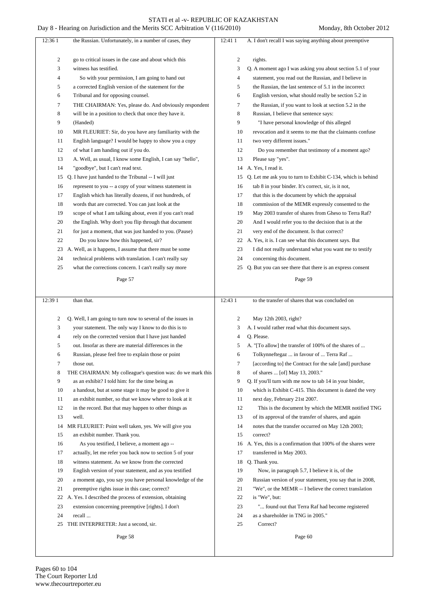| 12:36 1  | the Russian. Unfortunately, in a number of cases, they                                                      | 12:41 1  | A. I don't recall I was saying anything about preemptive                                                   |
|----------|-------------------------------------------------------------------------------------------------------------|----------|------------------------------------------------------------------------------------------------------------|
| 2        | go to critical issues in the case and about which this                                                      | 2        | rights.                                                                                                    |
| 3        | witness has testified.                                                                                      | 3        | Q. A moment ago I was asking you about section 5.1 of your                                                 |
| 4        | So with your permission, I am going to hand out                                                             | 4        | statement, you read out the Russian, and I believe in                                                      |
| 5        | a corrected English version of the statement for the                                                        | 5        | the Russian, the last sentence of 5.1 in the incorrect                                                     |
| 6        | Tribunal and for opposing counsel.                                                                          | 6        | English version, what should really be section 5.2 in                                                      |
| 7        | THE CHAIRMAN: Yes, please do. And obviously respondent                                                      | 7        | the Russian, if you want to look at section 5.2 in the                                                     |
| 8        | will be in a position to check that once they have it.                                                      | 8        | Russian, I believe that sentence says:                                                                     |
| 9        | (Handed)                                                                                                    | 9        | "I have personal knowledge of this alleged                                                                 |
| 10       | MR FLEURIET: Sir, do you have any familiarity with the                                                      | 10       | revocation and it seems to me that the claimants confuse                                                   |
| 11       | English language? I would be happy to show you a copy                                                       | 11       | two very different issues."                                                                                |
| 12       | of what I am handing out if you do.                                                                         | 12       | Do you remember that testimony of a moment ago?                                                            |
| 13       | A. Well, as usual, I know some English, I can say "hello",                                                  | 13       | Please say "yes".                                                                                          |
| 14       | "goodbye", but I can't read text.                                                                           | 14       | A. Yes, I read it.                                                                                         |
| 15       | Q. I have just handed to the Tribunal -- I will just                                                        | 15       | Q. Let me ask you to turn to Exhibit C-134, which is behind                                                |
| 16       | represent to you -- a copy of your witness statement in                                                     | 16       | tab 8 in your binder. It's correct, sir, is it not,                                                        |
| 17       | English which has literally dozens, if not hundreds, of                                                     | 17       | that this is the document by which the appraisal                                                           |
| 18       | words that are corrected. You can just look at the                                                          | 18       | commission of the MEMR expressly consented to the                                                          |
| 19       | scope of what I am talking about, even if you can't read                                                    | 19       | May 2003 transfer of shares from Gheso to Terra Raf?                                                       |
| 20       | the English. Why don't you flip through that document                                                       | 20       | And I would refer you to the decision that is at the                                                       |
| 21       | for just a moment, that was just handed to you. (Pause)                                                     | 21       | very end of the document. Is that correct?                                                                 |
| 22       | Do you know how this happened, sir?                                                                         | 22       | A. Yes, it is. I can see what this document says. But                                                      |
| 23       | A. Well, as it happens, I assume that there must be some                                                    | 23       | I did not really understand what you want me to testify                                                    |
| 24       | technical problems with translation. I can't really say                                                     | 24       | concerning this document.                                                                                  |
| 25       | what the corrections concern. I can't really say more                                                       | 25       | Q. But you can see there that there is an express consent                                                  |
|          | Page 57                                                                                                     |          | Page 59                                                                                                    |
|          |                                                                                                             |          |                                                                                                            |
|          |                                                                                                             |          |                                                                                                            |
| 12:39 1  | than that.                                                                                                  | 12:43 1  | to the transfer of shares that was concluded on                                                            |
|          |                                                                                                             |          |                                                                                                            |
| 2        | Q. Well, I am going to turn now to several of the issues in                                                 | 2        | May 12th 2003, right?                                                                                      |
| 3        | your statement. The only way I know to do this is to                                                        | 3        | A. I would rather read what this document says.                                                            |
| 4        | rely on the corrected version that I have just handed                                                       | 4        | Q. Please.                                                                                                 |
| 5        | out. Insofar as there are material differences in the                                                       | 5        | A. "[To allow] the transfer of 100% of the shares of                                                       |
| 6        | Russian, please feel free to explain those or point                                                         | 6        | Tolkynneftegaz  in favour of  Terra Raf                                                                    |
| 7        | those out.                                                                                                  | $\tau$   | [according to] the Contract for the sale [and] purchase                                                    |
| 8        | THE CHAIRMAN: My colleague's question was: do we mark this                                                  | 8        | of shares  [of] May 13, 2003."                                                                             |
| 9        | as an exhibit? I told him: for the time being as                                                            | 9        | Q. If you'll turn with me now to tab 14 in your binder,                                                    |
| 10       | a handout, but at some stage it may be good to give it                                                      | 10       | which is Exhibit C-415. This document is dated the very                                                    |
| 11       | an exhibit number, so that we know where to look at it                                                      | 11       | next day, February 21st 2007.                                                                              |
| 12       | in the record. But that may happen to other things as                                                       | 12       | This is the document by which the MEMR notified TNG                                                        |
| 13       | well.                                                                                                       | 13       | of its approval of the transfer of shares, and again                                                       |
| 14<br>15 | MR FLEURIET: Point well taken, yes. We will give you                                                        | 14<br>15 | notes that the transfer occurred on May 12th 2003;<br>correct?                                             |
| 16       | an exhibit number. Thank you.<br>As you testified, I believe, a moment ago --                               |          |                                                                                                            |
| 17       |                                                                                                             | 17       | 16 A. Yes, this is a confirmation that 100% of the shares were                                             |
|          | actually, let me refer you back now to section 5 of your                                                    |          | transferred in May 2003.                                                                                   |
| 18<br>19 | witness statement. As we know from the corrected<br>English version of your statement, and as you testified | 18<br>19 | Q. Thank you.                                                                                              |
| 20       | a moment ago, you say you have personal knowledge of the                                                    | 20       | Now, in paragraph 5.7, I believe it is, of the<br>Russian version of your statement, you say that in 2008, |
| 21       | preemptive rights issue in this case; correct?                                                              | 21       | "We", or the MEMR -- I believe the correct translation                                                     |
|          | 22 A. Yes. I described the process of extension, obtaining                                                  | 22       | is "We", but:                                                                                              |
| 23       | extension concerning preemptive [rights]. I don't                                                           | 23       | " found out that Terra Raf had become registered                                                           |
| 24       | recall                                                                                                      | 24       | as a shareholder in TNG in 2005."                                                                          |
| 25       | THE INTERPRETER: Just a second, sir.                                                                        | 25       | Correct?                                                                                                   |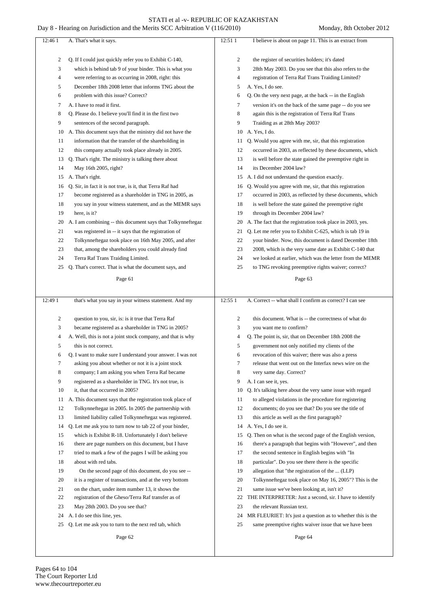| 12:46 1 | A. That's what it says.                                     | 12:51 1 | I believe is about on page 11. This is an extract from      |
|---------|-------------------------------------------------------------|---------|-------------------------------------------------------------|
| 2       | Q. If I could just quickly refer you to Exhibit C-140,      | 2       | the register of securities holders; it's dated              |
| 3       | which is behind tab 9 of your binder. This is what you      | 3       | 28th May 2003. Do you see that this also refers to the      |
| 4       | were referring to as occurring in 2008, right: this         | 4       | registration of Terra Raf Trans Traiding Limited?           |
| 5       | December 18th 2008 letter that informs TNG about the        | 5       | A. Yes, I do see.                                           |
| 6       | problem with this issue? Correct?                           | 6       | Q. On the very next page, at the back -- in the English     |
| 7       | A. I have to read it first.                                 | $\tau$  | version it's on the back of the same page -- do you see     |
| 8       | Q. Please do. I believe you'll find it in the first two     | 8       | again this is the registration of Terra Raf Trans           |
| 9       | sentences of the second paragraph.                          | 9       | Traiding as at 28th May 2003?                               |
| 10      | A. This document says that the ministry did not have the    | 10      | A. Yes, I do.                                               |
| 11      | information that the transfer of the shareholding in        | 11      | Q. Would you agree with me, sir, that this registration     |
| 12      | this company actually took place already in 2005.           | 12      | occurred in 2003, as reflected by these documents, which    |
| 13      | Q. That's right. The ministry is talking there about        | 13      | is well before the state gained the preemptive right in     |
|         |                                                             | 14      | its December 2004 law?                                      |
| 14      | May 16th 2005, right?<br>A. That's right.                   |         | A. I did not understand the question exactly.               |
| 15      |                                                             | 15      |                                                             |
| 16      | Q. Sir, in fact it is not true, is it, that Terra Raf had   | 16      | Q. Would you agree with me, sir, that this registration     |
| 17      | become registered as a shareholder in TNG in 2005, as       | 17      | occurred in 2003, as reflected by these documents, which    |
| 18      | you say in your witness statement, and as the MEMR says     | 18      | is well before the state gained the preemptive right        |
| 19      | here, is it?                                                | 19      | through its December 2004 law?                              |
| 20      | A. I am combining -- this document says that Tolkynneftegaz | 20      | A. The fact that the registration took place in 2003, yes.  |
| 21      | was registered in -- it says that the registration of       | 21      | Q. Let me refer you to Exhibit C-625, which is tab 19 in    |
| 22      | Tolkynneftegaz took place on 16th May 2005, and after       | 22      | your binder. Now, this document is dated December 18th      |
| 23      | that, among the shareholders you could already find         | 23      | 2008, which is the very same date as Exhibit C-140 that     |
| 24      | Terra Raf Trans Traiding Limited.                           | 24      | we looked at earlier, which was the letter from the MEMR    |
| 25      | Q. That's correct. That is what the document says, and      | 25      | to TNG revoking preemptive rights waiver; correct?          |
|         | Page 61                                                     |         | Page 63                                                     |
|         |                                                             |         |                                                             |
| 12:49 1 | that's what you say in your witness statement. And my       | 12:55 1 | A. Correct -- what shall I confirm as correct? I can see    |
| 2       | question to you, sir, is: is it true that Terra Raf         | 2       | this document. What is -- the correctness of what do        |
| 3       | became registered as a shareholder in TNG in 2005?          | 3       | you want me to confirm?                                     |
| 4       | A. Well, this is not a joint stock company, and that is why | 4       | Q. The point is, sir, that on December 18th 2008 the        |
| 5       | this is not correct.                                        | 5       | government not only notified my clients of the              |
| 6       | O. I want to make sure I understand your answer. I was not  | 6       | revocation of this waiver; there was also a press           |
| 7       | asking you about whether or not it is a joint stock         | $\tau$  | release that went out on the Interfax news wire on the      |
| 8       | company; I am asking you when Terra Raf became              | 8       | very same day. Correct?                                     |
| 9       | registered as a shareholder in TNG. It's not true, is       | 9       | A. I can see it, yes.                                       |
| 10      | it, that that occurred in 2005?                             | 10      | Q. It's talking here about the very same issue with regard  |
| 11      | A. This document says that the registration took place of   | 11      | to alleged violations in the procedure for registering      |
| 12      | Tolkynneftegaz in 2005. In 2005 the partnership with        | 12      | documents; do you see that? Do you see the title of         |
| 13      | limited liability called Tolkynneftegaz was registered.     | 13      | this article as well as the first paragraph?                |
| 14      | Q. Let me ask you to turn now to tab 22 of your binder,     | 14      | A. Yes, I do see it.                                        |
| 15      | which is Exhibit R-18. Unfortunately I don't believe        | 15      | Q. Then on what is the second page of the English version,  |
| 16      | there are page numbers on this document, but I have         | 16      | there's a paragraph that begins with "However", and then    |
| 17      | tried to mark a few of the pages I will be asking you       | 17      | the second sentence in English begins with "In              |
| 18      | about with red tabs.                                        | 18      | particular". Do you see there there is the specific         |
| 19      | On the second page of this document, do you see --          | 19      | allegation that "the registration of the  (LLP)             |
| 20      | it is a register of transactions, and at the very bottom    | 20      | Tolkynneftegaz took place on May 16, 2005"? This is the     |
| 21      | on the chart, under item number 13, it shows the            | 21      | same issue we've been looking at, isn't it?                 |
| $22\,$  | registration of the Gheso/Terra Raf transfer as of          | 22      | THE INTERPRETER: Just a second, sir. I have to identify     |
| 23      | May 28th 2003. Do you see that?                             | 23      | the relevant Russian text.                                  |
| 24      | A. I do see this line, yes.                                 | 24      | MR FLEURIET: It's just a question as to whether this is the |
| 25      | Q. Let me ask you to turn to the next red tab, which        | 25      | same preemptive rights waiver issue that we have been       |
|         |                                                             |         |                                                             |
|         | Page 62                                                     |         | Page 64                                                     |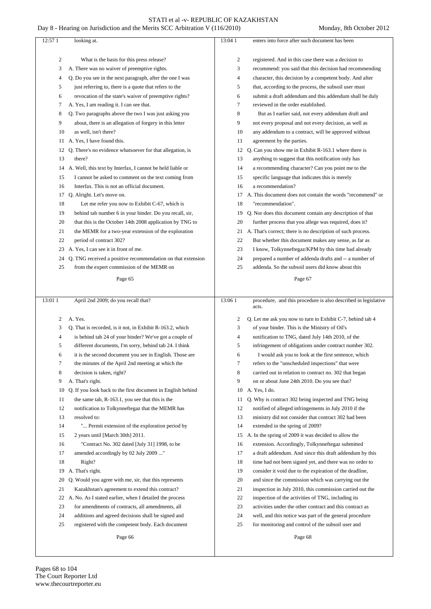| 12:57 1  | looking at.                                                                                                  | 13:04 1<br>enters into force after such document has been                                                                      |
|----------|--------------------------------------------------------------------------------------------------------------|--------------------------------------------------------------------------------------------------------------------------------|
| 2        | What is the basis for this press release?                                                                    | registered. And in this case there was a decision to<br>2                                                                      |
| 3        | A. There was no waiver of preemptive rights.                                                                 | 3<br>recommend: you said that this decision had recommending                                                                   |
| 4        | Q. Do you see in the next paragraph, after the one I was                                                     | 4<br>character, this decision by a competent body. And after                                                                   |
| 5        | just referring to, there is a quote that refers to the                                                       | 5<br>that, according to the process, the subsoil user must                                                                     |
| 6        | revocation of the state's waiver of preemptive rights?                                                       | 6<br>submit a draft addendum and this addendum shall be duly                                                                   |
| 7        | A. Yes, I am reading it. I can see that.                                                                     | 7<br>reviewed in the order established.                                                                                        |
| 8        | Q. Two paragraphs above the two I was just asking you                                                        | 8<br>But as I earlier said, not every addendum draft and                                                                       |
| 9        | about, there is an allegation of forgery in this letter                                                      | 9<br>not every proposal and not every decision, as well as                                                                     |
| 10       | as well, isn't there?                                                                                        | 10<br>any addendum to a contract, will be approved without                                                                     |
|          | 11 A. Yes, I have found this.                                                                                | 11<br>agreement by the parties.                                                                                                |
| 12       | Q. There's no evidence whatsoever for that allegation, is                                                    | Q. Can you show me in Exhibit R-163.1 where there is<br>12                                                                     |
| 13       | there?                                                                                                       | 13<br>anything to suggest that this notification only has                                                                      |
|          | 14 A. Well, this text by Interfax, I cannot be held liable or                                                | 14<br>a recommending character? Can you point me to the                                                                        |
|          |                                                                                                              |                                                                                                                                |
| 15       | I cannot be asked to comment on the text coming from                                                         | 15<br>specific language that indicates this is merely                                                                          |
| 16       | Interfax. This is not an official document.<br>Q. Alright. Let's move on.                                    | a recommendation?<br>16<br>17<br>A. This document does not contain the words "recommend" or                                    |
| 17       |                                                                                                              |                                                                                                                                |
| 18       | Let me refer you now to Exhibit C-67, which is                                                               | 18<br>"recommendation".                                                                                                        |
| 19       | behind tab number 6 in your binder. Do you recall, sir,                                                      | 19<br>Q. Nor does this document contain any description of that                                                                |
| 20       | that this is the October 14th 2008 application by TNG to                                                     | 20<br>further process that you allege was required, does it?                                                                   |
| 21       | the MEMR for a two-year extension of the exploration                                                         | A. That's correct; there is no description of such process.<br>21                                                              |
| 22       | period of contract 302?                                                                                      | 22<br>But whether this document makes any sense, as far as                                                                     |
| 23       | A. Yes, I can see it in front of me.                                                                         | 23<br>I know, Tolkynneftegaz/KPM by this time had already                                                                      |
| 24       | Q. TNG received a positive recommendation on that extension                                                  | 24<br>prepared a number of addenda drafts and -- a number of                                                                   |
| 25       | from the expert commission of the MEMR on                                                                    | 25<br>addenda. So the subsoil users did know about this                                                                        |
|          | Page 65                                                                                                      | Page 67                                                                                                                        |
|          |                                                                                                              |                                                                                                                                |
| 13:01 1  |                                                                                                              | procedure, and this procedure is also described in legislative<br>13:06 1                                                      |
|          |                                                                                                              |                                                                                                                                |
|          | April 2nd 2009; do you recall that?                                                                          | acts.                                                                                                                          |
|          | A. Yes.                                                                                                      |                                                                                                                                |
| 2<br>3   | Q. That is recorded, is it not, in Exhibit R-163.2, which                                                    | Q. Let me ask you now to turn to Exhibit C-7, behind tab 4<br>2<br>3<br>of your binder. This is the Ministry of Oil's          |
| 4        | is behind tab 24 of your binder? We've got a couple of                                                       | notification to TNG, dated July 14th 2010, of the<br>4                                                                         |
| 5        | different documents, I'm sorry, behind tab 24. I think                                                       | 5<br>infringement of obligations under contract number 302.                                                                    |
|          |                                                                                                              | 6                                                                                                                              |
| 6<br>7   | it is the second document you see in English. Those are<br>the minutes of the April 2nd meeting at which the | I would ask you to look at the first sentence, which<br>7<br>refers to the "unscheduled inspections" that were                 |
|          |                                                                                                              |                                                                                                                                |
| 8<br>9   | decision is taken, right?<br>A. That's right.                                                                | 8<br>carried out in relation to contract no. 302 that began<br>9<br>on or about June 24th 2010. Do you see that?               |
| 10       | Q. If you look back to the first document in English behind                                                  | 10<br>A. Yes, I do.                                                                                                            |
| 11       |                                                                                                              | 11                                                                                                                             |
| 12       | the same tab, R-163.1, you see that this is the                                                              | Q. Why is contract 302 being inspected and TNG being<br>notified of alleged infringements in July 2010 if the<br>12            |
|          | notification to Tolkynneftegaz that the MEMR has                                                             |                                                                                                                                |
| 13<br>14 | resolved to:                                                                                                 | 13<br>ministry did not consider that contract 302 had been<br>14                                                               |
| 15       | " Permit extension of the exploration period by                                                              | extended in the spring of 2009?<br>15                                                                                          |
| 16       | 2 years until [March 30th] 2011.<br>"Contract No. 302 dated [July 31] 1998, to be                            | A. In the spring of 2009 it was decided to allow the                                                                           |
|          |                                                                                                              | 16<br>extension. Accordingly, Tolkynneftegaz submitted                                                                         |
| 17<br>18 | amended accordingly by 02 July 2009 "                                                                        | 17<br>a draft addendum. And since this draft addendum by this<br>18<br>time had not been signed yet, and there was no order to |
| 19       | Right?<br>A. That's right.                                                                                   | 19<br>consider it void due to the expiration of the deadline,                                                                  |
|          |                                                                                                              | 20                                                                                                                             |
| 20<br>21 | Q. Would you agree with me, sir, that this represents                                                        | and since the commission which was carrying out the<br>21                                                                      |
| 22       | Kazakhstan's agreement to extend this contract?                                                              | inspection in July 2010, this commission carried out the<br>$22\,$                                                             |
|          | A. No. As I stated earlier, when I detailed the process                                                      | inspection of the activities of TNG, including its<br>23                                                                       |
| 23<br>24 | for amendments of contracts, all amendments, all<br>additions and agreed decisions shall be signed and       | activities under the other contract and this contract as<br>24                                                                 |
| 25       | registered with the competent body. Each document                                                            | well, and this notice was part of the general procedure<br>25<br>for monitoring and control of the subsoil user and            |
|          | Page 66                                                                                                      | Page 68                                                                                                                        |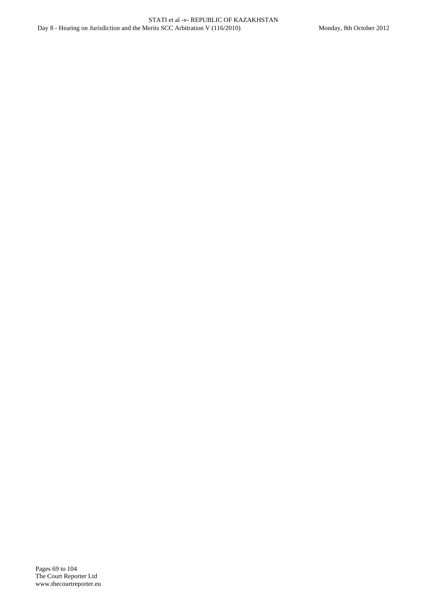Pages 69 to 104 The Court Reporter Ltd www.thecourtreporter.eu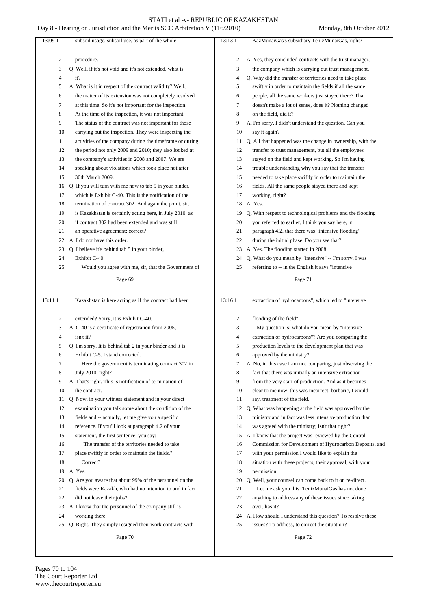| 13:09 1 | subsoil usage, subsoil use, as part of the whole                    | 13:13 1 | KazMunaiGas's subsidiary TenizMunaiGas, right?             |
|---------|---------------------------------------------------------------------|---------|------------------------------------------------------------|
|         |                                                                     |         |                                                            |
| 2       | procedure.                                                          | 2       | A. Yes, they concluded contracts with the trust manager,   |
| 3       | Q. Well, if it's not void and it's not extended, what is            | 3       | the company which is carrying out trust management.        |
| 4       | it?                                                                 | 4       | Q. Why did the transfer of territories need to take place  |
| 5       | A. What is it in respect of the contract validity? Well,            | 5       | swiftly in order to maintain the fields if all the same    |
| 6       | the matter of its extension was not completely resolved             | 6       | people, all the same workers just stayed there? That       |
| 7       | at this time. So it's not important for the inspection.             | 7       | doesn't make a lot of sense, does it? Nothing changed      |
| 8       | At the time of the inspection, it was not important.                | 8       | on the field, did it?                                      |
| 9       | The status of the contract was not important for those              | 9       | A. I'm sorry, I didn't understand the question. Can you    |
| 10      | carrying out the inspection. They were inspecting the               | 10      | say it again?                                              |
| 11      | activities of the company during the timeframe or during            | 11      | Q. All that happened was the change in ownership, with the |
| 12      | the period not only 2009 and 2010; they also looked at              | 12      | transfer to trust management, but all the employees        |
| 13      | the company's activities in 2008 and 2007. We are                   | 13      | stayed on the field and kept working. So I'm having        |
| 14      | speaking about violations which took place not after                | 14      | trouble understanding why you say that the transfer        |
| 15      | 30th March 2009.                                                    | 15      | needed to take place swiftly in order to maintain the      |
| 16      | Q. If you will turn with me now to tab 5 in your binder,            | 16      | fields. All the same people stayed there and kept          |
| 17      | which is Exhibit C-40. This is the notification of the              | 17      | working, right?                                            |
| 18      | termination of contract 302. And again the point, sir,              | 18      | A. Yes.                                                    |
| 19      | is Kazakhstan is certainly acting here, in July 2010, as            | 19      | Q. With respect to technological problems and the flooding |
| 20      | if contract 302 had been extended and was still                     | 20      | you referred to earlier, I think you say here, in          |
| 21      | an operative agreement; correct?                                    | 21      | paragraph 4.2, that there was "intensive flooding"         |
| 22      | A. I do not have this order.                                        | 22      | during the initial phase. Do you see that?                 |
| 23      | Q. I believe it's behind tab 5 in your binder,                      | 23      | A. Yes. The flooding started in 2008.                      |
| 24      | Exhibit C-40.                                                       | 24      | Q. What do you mean by "intensive" -- I'm sorry, I was     |
| 25      | Would you agree with me, sir, that the Government of                | 25      | referring to -- in the English it says "intensive          |
|         | Page 69                                                             |         | Page 71                                                    |
|         |                                                                     |         |                                                            |
| 13:11 1 | Kazakhstan is here acting as if the contract had been               | 13:16 1 | extraction of hydrocarbons", which led to "intensive       |
|         |                                                                     |         |                                                            |
|         |                                                                     |         |                                                            |
| 2       | extended? Sorry, it is Exhibit C-40.                                | 2       | flooding of the field".                                    |
| 3       | A. C-40 is a certificate of registration from 2005,                 | 3       | My question is: what do you mean by "intensive"            |
| 4       | isn't it?                                                           | 4       | extraction of hydrocarbons"? Are you comparing the         |
| 5       | Q. I'm sorry. It is behind tab 2 in your binder and it is           | 5       | production levels to the development plan that was         |
| 6       | Exhibit C-5. I stand corrected.                                     | 6       | approved by the ministry?                                  |
| 7       | Here the government is terminating contract 302 in                  | 7       | A. No, in this case I am not comparing, just observing the |
| 8       | July 2010, right?                                                   | 8       | fact that there was initially an intensive extraction      |
| 9       | A. That's right. This is notification of termination of             | 9       | from the very start of production. And as it becomes       |
| 10      | the contract.                                                       | 10      | clear to me now, this was incorrect, barbaric, I would     |
| 11      | Q. Now, in your witness statement and in your direct                | 11      | say, treatment of the field.                               |
| 12      | examination you talk some about the condition of the                | 12      | Q. What was happening at the field was approved by the     |
| 13      | fields and -- actually, let me give you a specific                  | 13      | ministry and in fact was less intensive production than    |
| 14      | reference. If you'll look at paragraph 4.2 of your                  | 14      | was agreed with the ministry; isn't that right?            |
| 15      | statement, the first sentence, you say:                             | 15      | A. I know that the project was reviewed by the Central     |
| 16      | "The transfer of the territories needed to take                     | 16      | Commission for Development of Hydrocarbon Deposits, and    |
| 17      | place swiftly in order to maintain the fields."                     | 17      | with your permission I would like to explain the           |
| 18      | Correct?                                                            | 18      | situation with these projects, their approval, with your   |
| 19      | A. Yes.                                                             | 19      | permission.                                                |
| 20      | Q. Are you aware that about 99% of the personnel on the             | 20      | Q. Well, your counsel can come back to it on re-direct.    |
| 21      | fields were Kazakh, who had no intention to and in fact             | 21      | Let me ask you this: TenizMunaiGas has not done            |
| 22      | did not leave their jobs?                                           | 22      | anything to address any of these issues since taking       |
| 23      | A. I know that the personnel of the company still is                | 23      | over, has it?                                              |
| 24      | working there.                                                      | 24      | A. How should I understand this question? To resolve these |
| 25      | Q. Right. They simply resigned their work contracts with<br>Page 70 | 25      | issues? To address, to correct the situation?<br>Page 72   |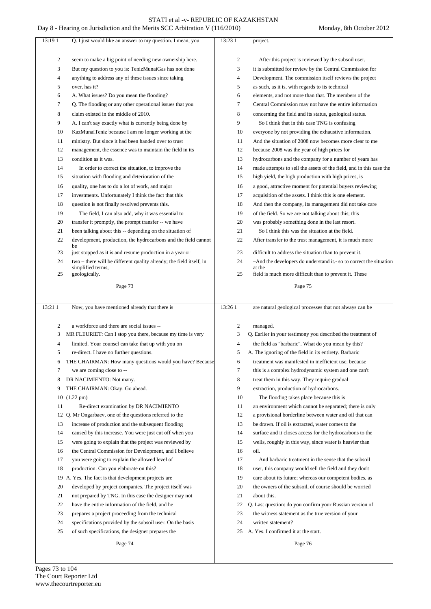| 13:19 1          | Q. I just would like an answer to my question. I mean, you          | 13:23 1                  | project.                                                            |
|------------------|---------------------------------------------------------------------|--------------------------|---------------------------------------------------------------------|
|                  |                                                                     |                          |                                                                     |
| $\boldsymbol{2}$ | seem to make a big point of needing new ownership here.             | 2                        | After this project is reviewed by the subsoil user,                 |
| 3                | But my question to you is: TenizMunaiGas has not done               | 3                        | it is submitted for review by the Central Commission for            |
| $\overline{4}$   | anything to address any of these issues since taking                | $\overline{\mathcal{L}}$ | Development. The commission itself reviews the project              |
| 5                | over, has it?                                                       | 5                        | as such, as it is, with regards to its technical                    |
| 6                | A. What issues? Do you mean the flooding?                           | 6                        | elements, and not more than that. The members of the                |
| 7                | Q. The flooding or any other operational issues that you            | 7                        | Central Commission may not have the entire information              |
| $\,8\,$          | claim existed in the middle of 2010.                                | 8                        | concerning the field and its status, geological status.             |
| 9                | A. I can't say exactly what is currently being done by              | 9                        | So I think that in this case TNG is confusing                       |
| 10               | KazMunaiTeniz because I am no longer working at the                 | 10                       | everyone by not providing the exhaustive information.               |
| 11               | ministry. But since it had been handed over to trust                | 11                       | And the situation of 2008 now becomes more clear to me              |
| 12               | management, the essence was to maintain the field in its            | 12                       | because 2008 was the year of high prices for                        |
| 13               | condition as it was.                                                | 13                       | hydrocarbons and the company for a number of years has              |
| 14               | In order to correct the situation, to improve the                   | 14                       | made attempts to sell the assets of the field, and in this case the |
| 15               | situation with flooding and deterioration of the                    | 15                       | high yield, the high production with high prices, is                |
| 16               | quality, one has to do a lot of work, and major                     | 16                       | a good, attractive moment for potential buyers reviewing            |
| 17               | investments. Unfortunately I think the fact that this               | 17                       | acquisition of the assets. I think this is one element.             |
| 18               | question is not finally resolved prevents this.                     | 18                       | And then the company, its management did not take care              |
| 19               | The field, I can also add, why it was essential to                  | 19                       | of the field. So we are not talking about this; this                |
| 20               | transfer it promptly, the prompt transfer -- we have                | 20                       | was probably something done in the last resort.                     |
| 21               | been talking about this -- depending on the situation of            | 21                       | So I think this was the situation at the field.                     |
| 22               | development, production, the hydrocarbons and the field cannot      | 22                       | After transfer to the trust management, it is much more             |
| 23               | be<br>just stopped as it is and resume production in a year or      | 23                       | difficult to address the situation than to prevent it.              |
| 24               | two - there will be different quality already; the field itself, in | 24                       | -And the developers do understand it.- so to correct the situation  |
|                  | simplified terms,                                                   |                          | at the                                                              |
| 25               | geologically.                                                       | 25                       | field is much more difficult than to prevent it. These              |
|                  | Page 73                                                             |                          | Page 75                                                             |
|                  |                                                                     |                          |                                                                     |
| 13:21 1          | Now, you have mentioned already that there is                       | 13:26 1                  | are natural geological processes that not always can be             |
|                  |                                                                     |                          |                                                                     |
| 2                | a workforce and there are social issues --                          | 2                        | managed.                                                            |
| 3                | MR FLEURIET: Can I stop you there, because my time is very          | 3                        | Q. Earlier in your testimony you described the treatment of         |
| $\overline{4}$   | limited. Your counsel can take that up with you on                  | 4                        | the field as "barbaric". What do you mean by this?                  |
| 5                | re-direct. I have no further questions.                             |                          |                                                                     |
| 6                |                                                                     | 5                        | A. The ignoring of the field in its entirety. Barbaric              |
|                  | THE CHAIRMAN: How many questions would you have? Because            | 6                        | treatment was manifested in inefficient use, because                |
| 7                | we are coming close to --                                           | 7                        | this is a complex hydrodynamic system and one can't                 |
| 8                | DR NACIMIENTO: Not many.                                            | 8                        | treat them in this way. They require gradual                        |
| 9                | THE CHAIRMAN: Okay. Go ahead.                                       | 9                        | extraction, production of hydrocarbons.                             |
|                  | $10(1.22 \text{ pm})$                                               | 10                       | The flooding takes place because this is                            |
| 11               | Re-direct examination by DR NACIMIENTO                              | 11                       | an environment which cannot be separated; there is only             |
|                  | 12 Q. Mr Ongarbaev, one of the questions referred to the            | 12                       | a provisional borderline between water and oil that can             |
| 13               | increase of production and the subsequent flooding                  | 13                       | be drawn. If oil is extracted, water comes to the                   |
| 14               | caused by this increase. You were just cut off when you             | 14                       | surface and it closes access for the hydrocarbons to the            |
| 15               | were going to explain that the project was reviewed by              | 15                       | wells, roughly in this way, since water is heavier than             |
| 16               | the Central Commission for Development, and I believe               | 16                       | oil.                                                                |
| 17               | you were going to explain the allowed level of                      | 17                       | And barbaric treatment in the sense that the subsoil                |
| 18               | production. Can you elaborate on this?                              | 18                       | user, this company would sell the field and they don't              |
|                  | 19 A. Yes. The fact is that development projects are                | 19                       | care about its future; whereas our competent bodies, as             |
| 20               | developed by project companies. The project itself was              | 20                       | the owners of the subsoil, of course should be worried              |
| 21               | not prepared by TNG. In this case the designer may not              | 21                       | about this.                                                         |
| 22               | have the entire information of the field, and he                    | 22                       | Q. Last question: do you confirm your Russian version of            |
| 23               | prepares a project proceeding from the technical                    | 23                       | the witness statement as the true version of your                   |
| 24               | specifications provided by the subsoil user. On the basis           | 24                       | written statement?                                                  |
| 25               | of such specifications, the designer prepares the                   | 25                       | A. Yes. I confirmed it at the start.                                |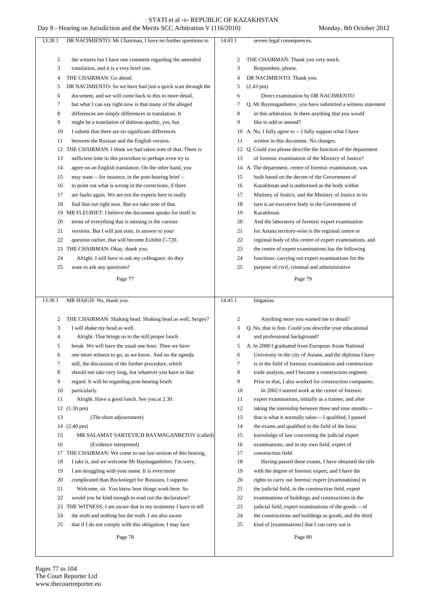|                  | Day 8 - Hearing on Jurisdiction and the Merits SCC Arbitration V (116/2010) |                | Monday, 8th October 2012                                       |
|------------------|-----------------------------------------------------------------------------|----------------|----------------------------------------------------------------|
| 13:28 1          | DR NACIMIENTO: Mr Chairman, I have no further questions to                  | 14:43 1        | severe legal consequences.                                     |
| $\boldsymbol{2}$ | the witness but I have one comment regarding the amended                    | 2              | THE CHAIRMAN: Thank you very much.                             |
| 3                | translation, and it is a very brief one.                                    | 3              | Respondent, please.                                            |
| 4                | THE CHAIRMAN: Go ahead.                                                     | 4              | DR NACIMIENTO: Thank you.                                      |
| 5                | DR NACIMIENTO: So we have had just a quick scan through the                 | 5              | $(2.43 \text{ pm})$                                            |
| 6                | document, and we will come back to this in more detail,                     | 6              | Direct examination by DR NACIMIENTO                            |
| 7                | but what I can say right now is that many of the alleged                    | 7              | Q. Mr Baymaganbetov, you have submitted a witness statement    |
| 8                | differences are simply differences in translation. It                       | 8              | in this arbitration. Is there anything that you would          |
| 9                | might be a translation of dubious quality, yes, but                         | 9              | like to add or amend?                                          |
| 10               | I submit that there are no significant differences                          |                | 10 A. No, I fully agree to -- I fully support what I have      |
| 11               | between the Russian and the English version.                                | 11             | written in this document. No changes.                          |
| 12               | THE CHAIRMAN: I think we had taken note of that. There is                   |                | 12 Q. Could you please describe the function of the department |
| 13               | sufficient time in this procedure to perhaps even try to                    | 13             | of forensic examination of the Ministry of Justice?            |
| 14               | agree on an English translation. On the other hand, you                     |                | 14 A. The department, centre of forensic examination, was      |
| 15               | may want -- for instance, in the post-hearing brief --                      | 15             | built based on the decree of the Government of                 |
| 16               | to point out what is wrong in the corrections, if there                     | 16             | Kazakhstan and is authorised as the body within                |
| 17               | are faults again. We are not the experts here to really                     | 17             | Ministry of Justice, and the Ministry of Justice in its        |
| 18               | find that out right now. But we take note of that.                          | 18             | turn is an executive body in the Government of                 |
|                  | 19 MR FLEURIET: I believe the document speaks for itself in                 | 19             | Kazakhstan.                                                    |
| 20               | terms of everything that is missing in the various                          | 20             | And the laboratory of forensic expert examination              |
| 21               | versions. But I will just note, in answer to your                           | 21             | for Astana territory-wise is the regional centre or            |
| 22               | question earlier, that will become Exhibit C-720.                           | 22             | regional body of this centre of expert examinations, and       |
|                  | 23 THE CHAIRMAN: Okay, thank you.                                           | 23             | the centre of expert examinations has the following            |
| 24               | Alright. I still have to ask my colleagues: do they                         | 24             | functions: carrying out expert examinations for the            |
| 25               | want to ask any questions?                                                  | 25             | purpose of civil, criminal and administrative                  |
|                  | Page 77                                                                     |                | Page 79                                                        |
|                  |                                                                             |                |                                                                |
| 13:30 1          | MR HAIGH: No, thank you.                                                    | 14:45 1        | litigation.                                                    |
| 2                | THE CHAIRMAN: Shaking head. Shaking head as well, Sergey?                   | $\overline{c}$ | Anything more you wanted me to detail?                         |
| 3                | I will shake my head as well.                                               | 3              | Q. No, that is fine. Could you describe your educational       |
| 4                | Alright. That brings us to the still proper lunch                           | 4              | and professional background?                                   |
|                  | break. We will have the usual one hour. Then we have                        | 5              | A. In 2000 I graduated from European Asian National            |
| 6                | one more witness to go, as we know. And on the agenda                       | 6              | University in the city of Astana, and the diploma I have       |
| 7                | still, the discussion of the further procedure, which                       | 7              | is in the field of forensic examination and construction       |
| 8                | should not take very long, but whatever you have in that                    | 8              | trade analysis, and I became a construction engineer.          |
| 9                | regard. It will be regarding post-hearing briefs                            | 9              | Prior to that, I also worked for construction companies.       |
| 10               | particularly.                                                               | 10             | In 2002 I started work at the centre of forensic               |
| 11               | Alright. Have a good lunch. See you at 2.30.                                | 11             | expert examinations, initially as a trainee, and after         |
|                  | $12 \quad (1.30 \text{ pm})$                                                | 12             | taking the internship between three and nine months --         |
| 13               | (The short adjournment)                                                     | 13             | that is what it normally takes -- I qualified, I passed        |
|                  | 14 (2.40 pm)                                                                | 14             | the exams and qualified in the field of the basic              |
| 15               | MR SALAMAT SARTEVICH BAYMAGANBETOV (called)                                 | 15             | knowledge of law concerning the judicial expert                |
| 16               | (Evidence interpreted)                                                      | 16             | examinations, and in my own field, expert of                   |
| 17               | THE CHAIRMAN: We come to our last session of this hearing,                  | 17             | construction field.                                            |
| 18               | I take it, and we welcome Mr Baymaganbetov. I'm sorry,                      | 18             | Having passed these exams, I have obtained the title           |
| 19               | I am struggling with your name. It is even more                             | 19             | with the degree of forensic expert, and I have the             |
| 20               | complicated than Bockstiegel for Russians, I suppose.                       | 20             | rights to carry out forensic expert [examinations] in          |
| 21               | Welcome, sir. You know how things work here. So                             | 21             | the judicial field, in the construction field, expert          |
| 22               | would you be kind enough to read out the declaration?                       | 22             | examinations of buildings and constructions in the             |
| 23               | THE WITNESS: I am aware that in my testimony I have to tell                 | 23             | judicial field, expert examinations of the goods -- of         |
| 24               | the truth and nothing but the truth. I am also aware                        | 24             | the constructions and buildings as goods, and the third        |
| 25               | that if I do not comply with this obligation, I may face                    | 25             | kind of [examinations] that I can carry out is                 |
|                  | Page 78                                                                     |                | Page 80                                                        |

Pages 77 to 104 The Court Reporter Ltd www.thecourtreporter.eu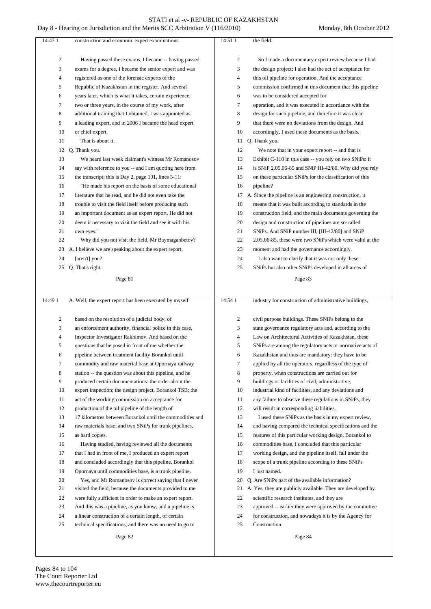| 14:47 1  | construction and economic expert examinations.                                                                 | 14:51 1  | the field.                                                                                                         |
|----------|----------------------------------------------------------------------------------------------------------------|----------|--------------------------------------------------------------------------------------------------------------------|
|          |                                                                                                                |          |                                                                                                                    |
| 2        | Having passed these exams, I became -- having passed                                                           | 2        | So I made a documentary expert review because I had                                                                |
| 3        | exams for a degree, I became the senior expert and was                                                         | 3        | the design project; I also had the act of acceptance for                                                           |
| 4        | registered as one of the forensic experts of the                                                               | 4        | this oil pipeline for operation. And the acceptance                                                                |
| 5        | Republic of Kazakhstan in the register. And several                                                            | 5        | commission confirmed in this document that this pipeline                                                           |
| 6        | years later, which is what it takes, certain experience,                                                       | 6        | was to be considered accepted for                                                                                  |
| 7        | two or three years, in the course of my work, after                                                            | 7        | operation, and it was executed in accordance with the                                                              |
| 8        | additional training that I obtained, I was appointed as                                                        | 8        | design for such pipeline, and therefore it was clear                                                               |
| 9        | a leading expert, and in 2006 I became the head expert                                                         | 9        | that there were no deviations from the design. And                                                                 |
| 10       | or chief expert.                                                                                               | 10       | accordingly, I used these documents as the basis.                                                                  |
| 11       | That is about it.                                                                                              | 11<br>12 | Q. Thank you.                                                                                                      |
| 12       | Q. Thank you.<br>We heard last week claimant's witness Mr Romanosov                                            | 13       | We note that in your expert report -- and that is                                                                  |
| 13<br>14 | say with reference to you -- and I am quoting here from                                                        | 14       | Exhibit C-110 in this case -- you rely on two SNiPs: it<br>is SNiP 2.05.06-85 and SNiP III-42/80. Why did you rely |
| 15       | the transcript; this is Day 2, page 101, lines 5-11:                                                           | 15       | on these particular SNiPs for the classification of this                                                           |
| 16       | "He made his report on the basis of some educational                                                           | 16       | pipeline?                                                                                                          |
| 17       | literature that he read, and he did not even take the                                                          | 17       | A. Since the pipeline is an engineering construction, it                                                           |
| 18       | trouble to visit the field itself before producing such                                                        | 18       | means that it was built according to standards in the                                                              |
| 19       | an important document as an expert report. He did not                                                          | 19       | construction field, and the main documents governing the                                                           |
| 20       | deem it necessary to visit the field and see it with his                                                       | 20       | design and construction of pipelines are so-called                                                                 |
| 21       | own eyes."                                                                                                     | 21       | SNiPs. And SNiP number III, [III-42/80] and SNiP                                                                   |
| 22       | Why did you not visit the field, Mr Baymaganbetov?                                                             | 22       | 2.05.06-85, these were two SNiPs which were valid at the                                                           |
| 23       | A. I believe we are speaking about the expert report,                                                          | 23       | moment and had the governance accordingly.                                                                         |
| 24       | [aren't] you?                                                                                                  | 24       | I also want to clarify that it was not only these                                                                  |
| 25       | Q. That's right.                                                                                               | 25       | SNiPs but also other SNiPs developed in all areas of                                                               |
|          |                                                                                                                |          |                                                                                                                    |
|          | Page 81                                                                                                        |          | Page 83                                                                                                            |
|          |                                                                                                                |          |                                                                                                                    |
| 14:49 1  | A. Well, the expert report has been executed by myself                                                         | 14:54 1  | industry for construction of administrative buildings,                                                             |
|          |                                                                                                                |          |                                                                                                                    |
| 2        | based on the resolution of a judicial body, of                                                                 | 2        | civil purpose buildings. These SNiPs belong to the                                                                 |
| 3        | an enforcement authority, financial police in this case,                                                       | 3        | state governance regulatory acts and, according to the                                                             |
| 4        | Inspector Investigator Rakhimov. And based on the                                                              | 4        | Law on Architectural Activities of Kazakhstan, these                                                               |
| 5        | questions that he posed in front of me whether the                                                             | 5        | SNiPs are among the regulatory acts or normative acts of                                                           |
| 6        | pipeline between treatment facility Borankol until                                                             | 6        | Kazakhstan and thus are mandatory: they have to be                                                                 |
| 7<br>8   | commodity and raw material base at Opornaya railway<br>station -- the question was about this pipeline, and he | 7<br>8   | applied by all the operators, regardless of the type of<br>property, when constructions are carried out for        |
| 9        | produced certain documentations: the order about the                                                           | 9        | buildings or facilities of civil, administrative,                                                                  |
| 10       | expert inspection; the design project, Borankol TSB; the                                                       | 10       | industrial kind of facilities, and any deviations and                                                              |
| 11       | act of the working commission on acceptance for                                                                | 11       | any failure to observe these regulations in SNiPs, they                                                            |
| 12       | production of the oil pipeline of the length of                                                                | 12       | will result in corresponding liabilities.                                                                          |
| 13       | 17 kilometres between Borankol until the commodities and                                                       | 13       | I used these SNiPs as the basis in my expert review,                                                               |
| 14       | raw materials base; and two SNiPs for trunk pipelines,                                                         | 14       | and having compared the technical specifications and the                                                           |
| 15       | as hard copies.                                                                                                | 15       | features of this particular working design, Borankol to                                                            |
| 16       | Having studied, having reviewed all the documents                                                              | 16       | commodities base, I concluded that this particular                                                                 |
| 17       | that I had in front of me, I produced an expert report                                                         | 17       | working design, and the pipeline itself, fall under the                                                            |
| 18       | and concluded accordingly that this pipeline, Borankol                                                         | 18       | scope of a trunk pipeline according to these SNiPs                                                                 |
| 19       | Opornaya until commodities base, is a trunk pipeline.                                                          | 19       | I just named.                                                                                                      |
| 20       | Yes, and Mr Romanosov is correct saying that I never                                                           | 20       | Q. Are SNiPs part of the available information?                                                                    |
| 21       | visited the field, because the documents provided to me                                                        | 21       | A. Yes, they are publicly available. They are developed by                                                         |
| 22       | were fully sufficient in order to make an expert report.                                                       | 22       | scientific research institutes, and they are                                                                       |
| 23       | And this was a pipeline, as you know, and a pipeline is                                                        | 23       | approved -- earlier they were approved by the committee                                                            |
| 24       | a linear construction of a certain length, of certain                                                          | 24       | for construction, and nowadays it is by the Agency for                                                             |
| 25       | technical specifications, and there was no need to go to                                                       | 25       | Construction.                                                                                                      |
|          | Page 82                                                                                                        |          | Page 84                                                                                                            |
|          |                                                                                                                |          |                                                                                                                    |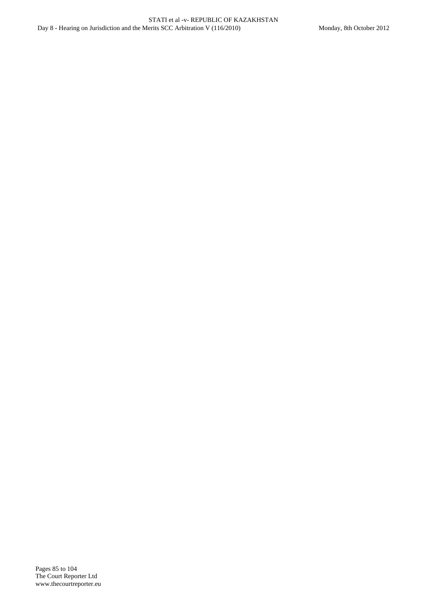Pages 85 to 104 The Court Reporter Ltd www.thecourtreporter.eu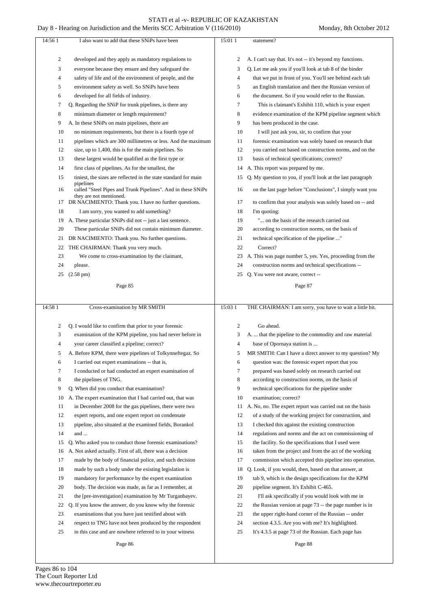| 14:56 1        | I also want to add that these SNiPs have been                                        | 15:01 1          | statement?                                                  |
|----------------|--------------------------------------------------------------------------------------|------------------|-------------------------------------------------------------|
| 2              | developed and they apply as mandatory regulations to                                 | 2                | A. I can't say that. It's not -- it's beyond my functions.  |
| 3              | everyone because they ensure and they safeguard the                                  | 3                | Q. Let me ask you if you'll look at tab 8 of the binder     |
| 4              | safety of life and of the environment of people, and the                             | 4                | that we put in front of you. You'll see behind each tab     |
| 5              | environment safety as well. So SNiPs have been                                       | 5                | an English translation and then the Russian version of      |
| 6              | developed for all fields of industry.                                                | 6                | the document. So if you would refer to the Russian.         |
| $\tau$         | Q. Regarding the SNiP for trunk pipelines, is there any                              | 7                | This is claimant's Exhibit 110, which is your expert        |
| 8              | minimum diameter or length requirement?                                              | 8                | evidence examination of the KPM pipeline segment which      |
| 9              | A. In these SNiPs on main pipelines, there are                                       | 9                | has been produced in the case.                              |
| 10             | no minimum requirements, but there is a fourth type of                               | 10               | I will just ask you, sir, to confirm that your              |
| 11             | pipelines which are 300 millimetres or less. And the maximum                         | 11               | forensic examination was solely based on research that      |
| 12             | size, up to 1,400, this is for the main pipelines. So                                | 12               | you carried out based on construction norms, and on the     |
| 13             | these largest would be qualified as the first type or                                | 13               | basis of technical specifications; correct?                 |
| 14             | first class of pipelines. As for the smallest, the                                   | 14               | A. This report was prepared by me.                          |
| 15             | tiniest, the sizes are reflected in the state standard for main                      | 15               | Q. My question to you, if you'll look at the last paragraph |
| 16             | pipelines<br>called "Steel Pipes and Trunk Pipelines". And in these SNiPs            | 16               | on the last page before "Conclusions", I simply want you    |
|                | they are not mentioned.<br>17 DR NACIMIENTO: Thank you. I have no further questions. | 17               | to confirm that your analysis was solely based on -- and    |
| 18             | I am sorry, you wanted to add something?                                             | 18               | I'm quoting:                                                |
| 19             | A. These particular SNiPs did not -- just a last sentence.                           | 19               | " on the basis of the research carried out                  |
| 20             | These particular SNiPs did not contain minimum diameter.                             | 20               | according to construction norms, on the basis of            |
| 21             | DR NACIMIENTO: Thank you. No further questions.                                      | 21               | technical specification of the pipeline "                   |
| 22             | THE CHAIRMAN: Thank you very much.                                                   | 22               | Correct?                                                    |
| 23             | We come to cross-examination by the claimant,                                        | 23               | A. This was page number 5, yes. Yes, proceeding from the    |
| 24             | please.                                                                              | 24               | construction norms and technical specifications --          |
| 25             | $(2.58 \text{ pm})$                                                                  | 25               | Q. You were not aware, correct --                           |
|                | Page 85                                                                              |                  | Page 87                                                     |
|                |                                                                                      |                  |                                                             |
|                |                                                                                      |                  |                                                             |
|                |                                                                                      |                  |                                                             |
| 14:58 1        | Cross-examination by MR SMITH                                                        | 15:03 1          | THE CHAIRMAN: I am sorry, you have to wait a little bit.    |
| $\overline{c}$ | Q. I would like to confirm that prior to your forensic                               | $\boldsymbol{2}$ | Go ahead.                                                   |
| 3              | examination of the KPM pipeline, you had never before in                             | 3                | A.  that the pipeline to the commodity and raw material     |
| 4              | your career classified a pipeline; correct?                                          | 4                | base of Opornaya station is                                 |
| 5              | A. Before KPM, there were pipelines of Tolkynneftegaz. So                            | 5                | MR SMITH: Can I have a direct answer to my question? My     |
| 6              | I carried out expert examinations -- that is,                                        | 6                | question was: the forensic expert report that you           |
| $\tau$         | I conducted or had conducted an expert examination of                                | 7                | prepared was based solely on research carried out           |
| 8              | the pipelines of TNG.                                                                | 8                | according to construction norms, on the basis of            |
| 9              | Q. When did you conduct that examination?                                            | 9                | technical specifications for the pipeline under             |
| 10             | A. The expert examination that I had carried out, that was                           | 10               | examination; correct?                                       |
| 11             | in December 2008 for the gas pipelines, there were two                               | 11               | A. No, no. The expert report was carried out on the basis   |
| 12             | expert reports, and one expert report on condensate                                  | 12               | of a study of the working project for construction, and     |
| 13             | pipeline, also situated at the examined fields, Borankol                             | 13               | I checked this against the existing construction            |
| 14             | and $\dots$                                                                          | 14               | regulations and norms and the act on commissioning of       |
| 15             | Q. Who asked you to conduct those forensic examinations?                             | 15               | the facility. So the specifications that I used were        |
| 16             | A. Not asked actually. First of all, there was a decision                            | 16               | taken from the project and from the act of the working      |
| 17             | made by the body of financial police, and such decision                              | 17               | commission which accepted this pipeline into operation.     |
| 18             | made by such a body under the existing legislation is                                | 18               | Q. Look, if you would, then, based on that answer, at       |
| 19             | mandatory for performance by the expert examination                                  | 19               | tab 9, which is the design specifications for the KPM       |
| 20             | body. The decision was made, as far as I remember, at                                | 20               | pipeline segment. It's Exhibit C-465.                       |
| 21             | the [pre-investigation] examination by Mr Turganbayev.                               | 21               | I'll ask specifically if you would look with me in          |
| 22             | Q. If you know the answer, do you know why the forensic                              | 22               | the Russian version at page 73 -- the page number is in     |
| 23             | examinations that you have just testified about with                                 | 23               | the upper right-hand corner of the Russian -- under         |
| 24             | respect to TNG have not been produced by the respondent                              | 24               | section 4.3.5. Are you with me? It's highlighted.           |
| 25             | in this case and are nowhere referred to in your witness                             | 25               | It's 4.3.5 at page 73 of the Russian. Each page has         |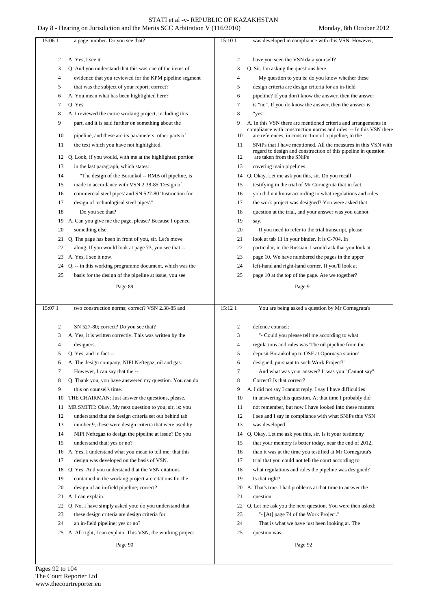| 15:06 1  | a page number. Do you see that?                                                                       | 15:10 1        | was developed in compliance with this VSN. However,                                                                                                          |
|----------|-------------------------------------------------------------------------------------------------------|----------------|--------------------------------------------------------------------------------------------------------------------------------------------------------------|
|          |                                                                                                       |                |                                                                                                                                                              |
| 2        | A. Yes, I see it.                                                                                     | $\overline{c}$ | have you seen the VSN data yourself?                                                                                                                         |
| 3        | Q. And you understand that this was one of the items of                                               | 3              | Q. Sir, I'm asking the questions here.                                                                                                                       |
| 4        | evidence that you reviewed for the KPM pipeline segment                                               | 4              | My question to you is: do you know whether these                                                                                                             |
| 5        | that was the subject of your report; correct?                                                         | 5              | design criteria are design criteria for an in-field                                                                                                          |
| 6        | A. You mean what has been highlighted here?                                                           | 6              | pipeline? If you don't know the answer, then the answer                                                                                                      |
| 7        | Q. Yes.                                                                                               | 7              | is "no". If you do know the answer, then the answer is                                                                                                       |
| 8        | A. I reviewed the entire working project, including this                                              | 8              | "yes".                                                                                                                                                       |
| 9        | part, and it is said further on something about the                                                   | 9              | A. In this VSN there are mentioned criteria and arrangements in<br>compliance with construction norms and rules. -- In this VSN there                        |
| 10       | pipeline, and these are its parameters; other parts of                                                | 10             | are references, in construction of a pipeline, to the                                                                                                        |
| 11<br>12 | the text which you have not highlighted.<br>Q. Look, if you would, with me at the highlighted portion | 11<br>12       | SNiPs that I have mentioned. All the measures in this VSN with<br>regard to design and construction of this pipeline in question<br>are taken from the SNiPs |
| 13       | in the last paragraph, which states:                                                                  | 13             | covering main pipelines.                                                                                                                                     |
| 14       | "The design of the Borankol -- RMB oil pipeline, is                                                   | 14             | Q. Okay. Let me ask you this, sir. Do you recall                                                                                                             |
| 15       | made in accordance with VSN 2.38-85 'Design of                                                        | 15             | testifying in the trial of Mr Cornegruta that in fact                                                                                                        |
| 16       | commercial steel pipes' and SN 527-80 'Instruction for                                                | 16             | you did not know according to what regulations and rules                                                                                                     |
| 17       | design of technological steel pipes'."                                                                | 17             | the work project was designed? You were asked that                                                                                                           |
|          |                                                                                                       |                |                                                                                                                                                              |
| 18       | Do you see that?<br>A. Can you give me the page, please? Because I opened                             | 18             | question at the trial, and your answer was you cannot                                                                                                        |
| 19       | something else.                                                                                       | 19             | say.                                                                                                                                                         |
| 20       |                                                                                                       | 20             | If you need to refer to the trial transcript, please                                                                                                         |
| 21       | Q. The page has been in front of you, sir. Let's move                                                 | 21<br>22       | look at tab 11 in your binder. It is C-704. In                                                                                                               |
| 22       | along. If you would look at page 73, you see that --                                                  |                | particular, in the Russian, I would ask that you look at                                                                                                     |
| 23       | A. Yes, I see it now.                                                                                 | 23             | page 10. We have numbered the pages in the upper                                                                                                             |
| 24       | Q. -- in this working programme document, which was the                                               | 24             | left-hand and right-hand corner. If you'll look at                                                                                                           |
| 25       | basis for the design of the pipeline at issue, you see                                                | 25             | page 10 at the top of the page. Are we together?                                                                                                             |
|          | Page 89                                                                                               |                | Page 91                                                                                                                                                      |
|          |                                                                                                       |                |                                                                                                                                                              |
| 15:07 1  | two construction norms; correct? VSN 2.38-85 and                                                      | 15:12 1        | You are being asked a question by Mr Cornegruta's                                                                                                            |
| 2        | SN 527-80; correct? Do you see that?                                                                  | 2              | defence counsel:                                                                                                                                             |
| 3        | A. Yes, it is written correctly. This was written by the                                              | 3              | "- Could you please tell me according to what                                                                                                                |
| 4        | designers.                                                                                            | 4              | regulations and rules was 'The oil pipeline from the                                                                                                         |
| 5        | Q. Yes, and in fact --                                                                                | 5              | deposit Borankol up to OSF at Opornaya station'                                                                                                              |
| 6        | A. The design company, NIPI Neftegaz, oil and gas.                                                    | 6              | designed, pursuant to such Work Project?"                                                                                                                    |
| 7        | However, I can say that the --                                                                        | 7              | And what was your answer? It was you "Cannot say".                                                                                                           |
| 8        | Q. Thank you, you have answered my question. You can do                                               | 8              | Correct? Is that correct?                                                                                                                                    |
| 9        | this on counsel's time.                                                                               | 9              | A. I did not say I cannot reply. I say I have difficulties                                                                                                   |
| 10       | THE CHAIRMAN: Just answer the questions, please.                                                      | 10             | in answering this question. At that time I probably did                                                                                                      |
| 11       | MR SMITH: Okay. My next question to you, sir, is: you                                                 | 11             | not remember, but now I have looked into these matters                                                                                                       |
| 12       | understand that the design criteria set out behind tab                                                | 12             | I see and I say in compliance with what SNiPs this VSN                                                                                                       |
| 13       | number 9, these were design criteria that were used by                                                | 13             | was developed.                                                                                                                                               |
| 14       | NIPI Neftegaz to design the pipeline at issue? Do you                                                 | 14             | Q. Okay. Let me ask you this, sir. Is it your testimony                                                                                                      |
| 15       | understand that; yes or no?                                                                           | 15             | that your memory is better today, near the end of 2012,                                                                                                      |
|          | 16 A. Yes, I understand what you mean to tell me: that this                                           | 16             | than it was at the time you testified at Mr Cornegruta's                                                                                                     |
| 17       | design was developed on the basis of VSN.                                                             | 17             | trial that you could not tell the court according to                                                                                                         |
| 18       | Q. Yes. And you understand that the VSN citations                                                     | 18             | what regulations and rules the pipeline was designed?                                                                                                        |
| 19       | contained in the working project are citations for the                                                | 19             | Is that right?                                                                                                                                               |
| 20       | design of an in-field pipeline; correct?                                                              | 20             | A. That's true. I had problems at that time to answer the                                                                                                    |
| 21       | A. I can explain.                                                                                     | 21             | question.                                                                                                                                                    |
| 22       | Q. No, I have simply asked you: do you understand that                                                | 22             | Q. Let me ask you the next question. You were then asked:                                                                                                    |
| 23       | these design criteria are design criteria for                                                         | 23             | "- [At] page 74 of the Work Project."                                                                                                                        |
| 24       | an in-field pipeline; yes or no?                                                                      | 24             | That is what we have just been looking at. The                                                                                                               |
|          | 25 A. All right, I can explain. This VSN, the working project                                         | 25             | question was:                                                                                                                                                |
|          | Page 90                                                                                               |                | Page 92                                                                                                                                                      |
|          |                                                                                                       |                |                                                                                                                                                              |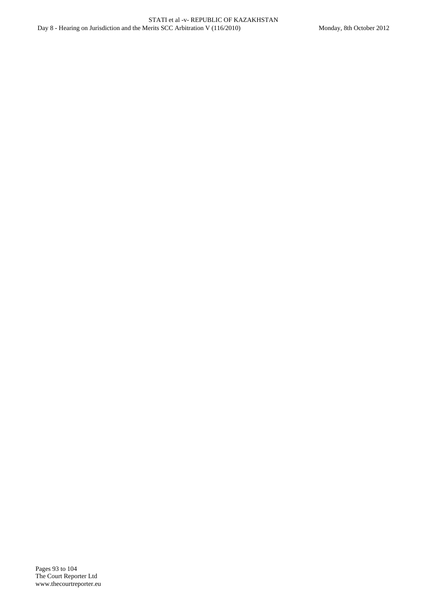Pages 93 to 104 The Court Reporter Ltd www.thecourtreporter.eu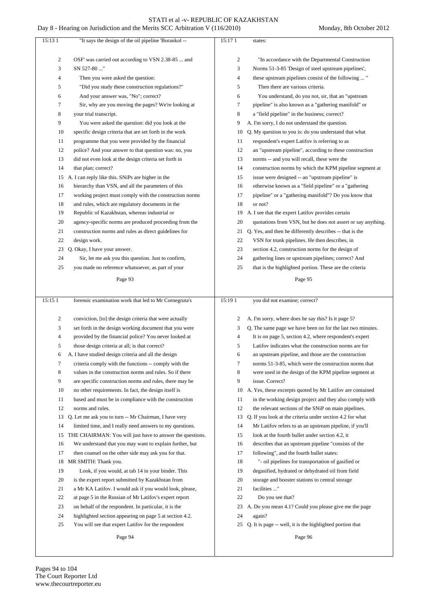| 15:13 1        | "It says the design of the oil pipeline 'Borankol --         | 15:17 1<br>states:                                                 |  |
|----------------|--------------------------------------------------------------|--------------------------------------------------------------------|--|
| $\overline{2}$ | OSF' was carried out according to VSN 2.38-85  and           | 2<br>"In accordance with the Departmental Construction             |  |
| 3              | SN 527-80 "                                                  | 3<br>Norms 51-3-85 'Design of steel upstream pipelines',           |  |
| 4              | Then you were asked the question:                            | 4<br>these upstream pipelines consist of the following  "          |  |
| 5              | "Did you study these construction regulations?"              | 5<br>Then there are various criteria.                              |  |
| 6              | And your answer was, "No"; correct?                          | 6<br>You understand, do you not, sir, that an "upstream            |  |
| 7              | Sir, why are you moving the pages? We're looking at          | 7<br>pipeline" is also known as a "gathering manifold" or          |  |
| 8              | your trial transcript.                                       | 8<br>a "field pipeline" in the business; correct?                  |  |
| 9              | You were asked the question: did you look at the             | A. I'm sorry, I do not understand the question.<br>9               |  |
| 10             | specific design criteria that are set forth in the work      | Q. My question to you is: do you understand that what<br>10        |  |
|                | programme that you were provided by the financial            |                                                                    |  |
| 11             |                                                              | 11<br>respondent's expert Latifov is referring to as               |  |
| 12             | police? And your answer to that question was: no, you        | 12<br>an "upstream pipeline", according to these construction      |  |
| 13             | did not even look at the design criteria set forth in        | 13<br>norms -- and you will recall, these were the                 |  |
| 14             | that plan; correct?                                          | 14<br>construction norms by which the KPM pipeline segment at      |  |
| 15             | A. I can reply like this. SNiPs are higher in the            | 15<br>issue were designed -- an "upstream pipeline" is             |  |
| 16             | hierarchy than VSN, and all the parameters of this           | 16<br>otherwise known as a "field pipeline" or a "gathering        |  |
| 17             | working project must comply with the construction norms      | 17<br>pipeline" or a "gathering manifold"? Do you know that        |  |
| 18             | and rules, which are regulatory documents in the             | 18<br>or not?                                                      |  |
| 19             | Republic of Kazakhstan, whereas industrial or                | A. I see that the expert Latifov provides certain<br>19            |  |
| 20             | agency-specific norms are produced proceeding from the       | 20<br>quotations from VSN, but he does not assert or say anything. |  |
| 21             | construction norms and rules as direct guidelines for        | Q. Yes, and then he differently describes -- that is the<br>21     |  |
| 22             | design work.                                                 | 22<br>VSN for trunk pipelines. He then describes, in               |  |
| 23             | Q. Okay, I have your answer.                                 | section 4.2, construction norms for the design of<br>23            |  |
| 24             | Sir, let me ask you this question. Just to confirm,          | 24<br>gathering lines or upstream pipelines; correct? And          |  |
| 25             | you made no reference whatsoever, as part of your            | 25<br>that is the highlighted portion. These are the criteria      |  |
|                | Page 93                                                      | Page 95                                                            |  |
|                |                                                              |                                                                    |  |
|                |                                                              |                                                                    |  |
| 15:15 1        | forensic examination work that led to Mr Cornegruta's        | you did not examine; correct?<br>15:191                            |  |
|                |                                                              |                                                                    |  |
| $\overline{2}$ | conviction, [to] the design criteria that were actually      | A. I'm sorry, where does he say this? Is it page 5?<br>2           |  |
| 3              | set forth in the design working document that you were       | Q. The same page we have been on for the last two minutes.<br>3    |  |
| 4              | provided by the financial police? You never looked at        | 4<br>It is on page 5, section 4.2, where respondent's expert       |  |
| 5              | those design criteria at all; is that correct?               | 5<br>Latifov indicates what the construction norms are for         |  |
| 6              | A. I have studied design criteria and all the design         | 6<br>an upstream pipeline, and those are the construction          |  |
| 7              | criteria comply with the functions -- comply with the        | 7<br>norms 51-3-85, which were the construction norms that         |  |
| 8              | values in the construction norms and rules. So if there      | 8<br>were used in the design of the KPM pipeline segment at        |  |
| 9              | are specific construction norms and rules, there may be      | 9<br>issue. Correct?                                               |  |
| 10             | no other requirements. In fact, the design itself is         | A. Yes, these excerpts quoted by Mr Latifov are contained<br>10    |  |
| 11             | based and must be in compliance with the construction        | in the working design project and they also comply with<br>11      |  |
| 12             | norms and rules.                                             | 12<br>the relevant sections of the SNiP on main pipelines.         |  |
| 13             | Q. Let me ask you to turn -- Mr Chairman, I have very        | 13<br>Q. If you look at the criteria under section 4.2 for what    |  |
| 14             | limited time, and I really need answers to my questions.     | 14<br>Mr Latifov refers to as an upstream pipeline, if you'll      |  |
|                | 15 THE CHAIRMAN: You will just have to answer the questions. | 15<br>look at the fourth bullet under section 4.2, it              |  |
| 16             | We understand that you may want to explain further, but      | 16<br>describes that an upstream pipeline "consists of the         |  |
| 17             | then counsel on the other side may ask you for that.         | 17<br>following", and the fourth bullet states:                    |  |
|                | 18 MR SMITH: Thank you.                                      | 18<br>"- oil pipelines for transportation of gasified or           |  |
| 19             | Look, if you would, at tab 14 in your binder. This           | 19<br>degasified, hydrated or dehydrated oil from field            |  |
| 20             | is the expert report submitted by Kazakhstan from            | $20\,$<br>storage and booster stations to central storage          |  |
| 21             | a Mr KA Latifov. I would ask if you would look, please,      | 21<br>facilities "                                                 |  |
| 22             | at page 5 in the Russian of Mr Latifov's expert report       | $22\,$<br>Do you see that?                                         |  |
| 23             | on behalf of the respondent. In particular, it is the        | A. Do you mean 4.1? Could you please give me the page<br>23        |  |
| 24             | highlighted section appearing on page 5 at section 4.2.      | 24<br>again?                                                       |  |
| 25             | You will see that expert Latifov for the respondent          | 25<br>Q. It is page -- well, it is the highlighted portion that    |  |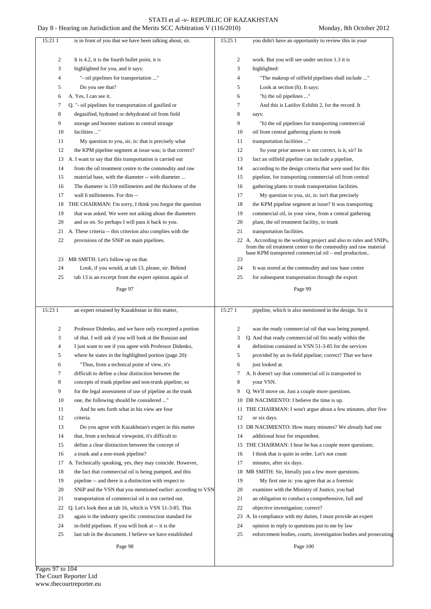| 15:21 1          | is in front of you that we have been talking about, sir.                                                 | 15:25 1  | you didn't have an opportunity to review this in your                                                                                                                                       |
|------------------|----------------------------------------------------------------------------------------------------------|----------|---------------------------------------------------------------------------------------------------------------------------------------------------------------------------------------------|
|                  |                                                                                                          |          |                                                                                                                                                                                             |
| $\boldsymbol{2}$ | It is 4.2, it is the fourth bullet point, it is                                                          | 2        | work. But you will see under section 1.3 it is                                                                                                                                              |
| 3                | highlighted for you, and it says:                                                                        | 3        | highlighted:                                                                                                                                                                                |
| 4                | "- oil pipelines for transportation "                                                                    | 4        | "The makeup of oilfield pipelines shall include "                                                                                                                                           |
| 5                | Do you see that?                                                                                         | 5        | Look at section (h). It says:                                                                                                                                                               |
| 6                | A. Yes, I can see it.                                                                                    | 6        | "h) the oil pipelines "                                                                                                                                                                     |
| 7                | Q. "- oil pipelines for transportation of gasified or                                                    | 7        | And this is Latifov Exhibit 2, for the record. It                                                                                                                                           |
| 8                | degasified, hydrated or dehydrated oil from field                                                        | 8        | says:                                                                                                                                                                                       |
| 9                | storage and booster stations to central storage                                                          | 9        | "h) the oil pipelines for transporting commercial                                                                                                                                           |
| 10               | facilities "                                                                                             | 10       | oil from central gathering plants to trunk                                                                                                                                                  |
| 11               | My question to you, sir, is: that is precisely what                                                      | 11       | transportation facilities "                                                                                                                                                                 |
| 12               | the KPM pipeline segment at issue was; is that correct?                                                  | 12       | So your prior answer is not correct, is it, sir? In                                                                                                                                         |
| 13               | A. I want to say that this transportation is carried out                                                 | 13       | fact an oilfield pipeline can include a pipeline,                                                                                                                                           |
| 14               | from the oil treatment centre to the commodity and raw                                                   | 14       | according to the design criteria that were used for this                                                                                                                                    |
| 15               | material base, with the diameter -- with diameter                                                        | 15       | pipeline, for transporting commercial oil from central                                                                                                                                      |
| 16               | The diameter is 159 millimetres and the thickness of the                                                 | 16       | gathering plants to trunk transportation facilities.                                                                                                                                        |
| 17               | wall 6 millimetres. For this --                                                                          | 17       | My question to you, sir, is: isn't that precisely                                                                                                                                           |
| 18               | THE CHAIRMAN: I'm sorry, I think you forgot the question                                                 | 18       | the KPM pipeline segment at issue? It was transporting                                                                                                                                      |
| 19               | that was asked. We were not asking about the diameters                                                   | 19       | commercial oil, in your view, from a central gathering                                                                                                                                      |
| 20               | and so on. So perhaps I will pass it back to you.                                                        | 20       | plant, the oil treatment facility, to trunk                                                                                                                                                 |
| 21               | A. These criteria -- this criterion also complies with the                                               | 21       | transportation facilities.                                                                                                                                                                  |
| 22               | provisions of the SNiP on main pipelines.                                                                | 22       | A. According to the working project and also to rules and SNIPs,<br>from the oil treatment center to the commodity and raw material<br>base KPM transported commercial oil – end production |
| 23               | MR SMITH: Let's follow up on that.                                                                       | 23       |                                                                                                                                                                                             |
| 24               | Look, if you would, at tab 13, please, sir. Behind                                                       | 24       | It was stored at the commodity and raw base centre                                                                                                                                          |
| 25               | tab 13 is an excerpt from the expert opinion again of                                                    | 25       | for subsequent transportation through the export                                                                                                                                            |
|                  | Page 97                                                                                                  |          | Page 99                                                                                                                                                                                     |
|                  |                                                                                                          |          |                                                                                                                                                                                             |
| 15:23 1          | an expert retained by Kazakhstan in this matter,                                                         | 15:271   | pipeline, which is also mentioned in the design. So it                                                                                                                                      |
|                  |                                                                                                          |          |                                                                                                                                                                                             |
| 2                | Professor Didenko, and we have only excerpted a portion                                                  | 2        | was the ready commercial oil that was being pumped.                                                                                                                                         |
| 3                | of that. I will ask if you will look at the Russian and                                                  | 3        | Q. And that ready commercial oil fits neatly within the                                                                                                                                     |
| 4                | I just want to see if you agree with Professor Didenko,                                                  | 4        | definition contained in VSN 51-3-85 for the services                                                                                                                                        |
| 5                | where he states in the highlighted portion (page 20):                                                    | 5        | provided by an in-field pipeline; correct? That we have                                                                                                                                     |
| 6                | "Thus, from a technical point of view, it's                                                              | 6        | just looked at.                                                                                                                                                                             |
| 7                | difficult to define a clear distinction between the                                                      | 7        | A. It doesn't say that commercial oil is transported in                                                                                                                                     |
| 8                | concepts of trunk pipeline and non-trunk pipeline, so                                                    | 8        | your VSN.                                                                                                                                                                                   |
| 9                | for the legal assessment of use of pipeline as the trunk                                                 | 9        | Q. We'll move on. Just a couple more questions.                                                                                                                                             |
| 10               | one, the following should be considered "                                                                | 10       | DR NACIMIENTO: I believe the time is up.                                                                                                                                                    |
| 11               | And he sets forth what in his view are four                                                              | 11       | THE CHAIRMAN: I won't argue about a few minutes, after five                                                                                                                                 |
| 12               | criteria.                                                                                                | 12       | or six days.                                                                                                                                                                                |
| 13               | Do you agree with Kazakhstan's expert in this matter                                                     |          | 13 DR NACIMIENTO: How many minutes? We already had one                                                                                                                                      |
| 14<br>15         | that, from a technical viewpoint, it's difficult to<br>define a clear distinction between the concept of | 14<br>15 | additional hour for respondent.<br>THE CHAIRMAN: I hear he has a couple more questions;                                                                                                     |
| 16               | a trunk and a non-trunk pipeline?                                                                        | 16       | I think that is quite in order. Let's not count                                                                                                                                             |
|                  | 17 A. Technically speaking, yes, they may coincide. However,                                             | 17       | minutes, after six days.                                                                                                                                                                    |
| 18               | the fact that commercial oil is being pumped, and this                                                   |          | 18 MR SMITH: Sir, literally just a few more questions.                                                                                                                                      |
| 19               | pipeline -- and there is a distinction with respect to                                                   | 19       | My first one is: you agree that as a forensic                                                                                                                                               |
| 20               | SNiP and the VSN that you mentioned earlier: according to VSN                                            | 20       | examiner with the Ministry of Justice, you had                                                                                                                                              |
| 21               | transportation of commercial oil is not carried out.                                                     | 21       | an obligation to conduct a comprehensive, full and                                                                                                                                          |
| 22               | Q. Let's look then at tab 16, which is VSN 51-3-85. This                                                 | 22       | objective investigation; correct?                                                                                                                                                           |
| 23               | again is the industry specific construction standard for                                                 |          | 23 A. In compliance with my duties, I must provide an expert                                                                                                                                |
| 24               | in-field pipelines. If you will look at -- it is the                                                     | 24       | opinion in reply to questions put to me by law                                                                                                                                              |
| 25               | last tab in the document. I believe we have established                                                  | 25       | enforcement bodies, courts, investigation bodies and prosecuting                                                                                                                            |
|                  | Page 98                                                                                                  |          | Page 100                                                                                                                                                                                    |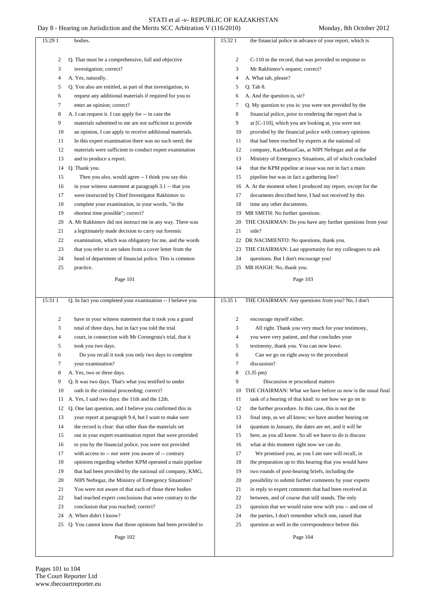| 15:29 1 | bodies.                                                     | 15:32 1 | the financial police in advance of your report, which is      |
|---------|-------------------------------------------------------------|---------|---------------------------------------------------------------|
|         |                                                             |         |                                                               |
| 2       | Q. That must be a comprehensive, full and objective         | 2       | C-110 in the record, that was provided in response to         |
| 3       | investigation; correct?                                     | 3       | Mr Rakhimov's request; correct?                               |
| 4       | A. Yes, naturally.                                          | 4       | A. What tab, please?                                          |
| 5       | Q. You also are entitled, as part of that investigation, to | 5       | Q. Tab 8.                                                     |
| 6       | request any additional materials if required for you to     | 6       | A. And the question is, sir?                                  |
| 7       | enter an opinion; correct?                                  | 7       | Q. My question to you is: you were not provided by the        |
| 8       | A. I can request it. I can apply for -- in case the         | 8       | financial police, prior to rendering the report that is       |
| 9       | materials submitted to me are not sufficient to provide     | 9       | at [C-110], which you are looking at, you were not            |
| 10      | an opinion, I can apply to receive additional materials.    | 10      | provided by the financial police with contrary opinions       |
| 11      | In this expert examination there was no such need; the      | 11      | that had been reached by experts at the national oil          |
| 12      | materials were sufficient to conduct expert examination     | 12      | company, KazMunaiGas, at NIPI Neftegaz and at the             |
| 13      | and to produce a report.                                    | 13      | Ministry of Emergency Situations, all of which concluded      |
| 14      | Q. Thank you.                                               | 14      | that the KPM pipeline at issue was not in fact a main         |
| 15      | Then you also, would agree -- I think you say this          | 15      | pipeline but was in fact a gathering line?                    |
| 16      | in your witness statement at paragraph 3.1 -- that you      |         | 16 A. At the moment when I produced my report, except for the |
| 17      | were instructed by Chief Investigator Rakhimov to           | 17      | documents described here, I had not received by this          |
| 18      | complete your examination, in your words, "in the           | 18      | time any other documents.                                     |
| 19      | shortest time possible"; correct?                           | 19      | MR SMITH: No further questions.                               |
| 20      | A. Mr Rakhimov did not instruct me in any way. There was    | 20      | THE CHAIRMAN: Do you have any further questions from your     |
| 21      | a legitimately made decision to carry out forensic          | 21      | side?                                                         |
| 22      | examination, which was obligatory for me, and the words     |         | 22 DR NACIMIENTO: No questions, thank you.                    |
| 23      | that you refer to are taken from a cover letter from the    | 23      | THE CHAIRMAN: Last opportunity for my colleagues to ask       |
| 24      | head of department of financial police. This is common      | 24      | questions. But I don't encourage you!                         |
| 25      | practice.                                                   |         | 25 MR HAIGH: No, thank you.                                   |
|         |                                                             |         |                                                               |
|         | Page 101                                                    |         | Page 103                                                      |
|         |                                                             |         |                                                               |
| 15:31 1 | Q. In fact you completed your examination -- I believe you  | 15:35 1 | THE CHAIRMAN: Any questions from you? No, I don't             |
|         |                                                             |         |                                                               |
| 2       | have in your witness statement that it took you a grand     | 2       | encourage myself either.                                      |
| 3       | total of three days, but in fact you told the trial         | 3       | All right. Thank you very much for your testimony,            |
| 4       | court, in connection with Mr Cornegruta's trial, that it    | 4       | you were very patient, and that concludes your                |
| 5       | took you two days.                                          | 5       | testimony, thank you. You can now leave.                      |
| 6       | Do you recall it took you only two days to complete         | 6       | Can we go on right away to the procedural                     |
| 7       | your examination?                                           | 7       | discussion?                                                   |
| 8       | A. Yes, two or three days.                                  | 8       | $(3.35 \text{ pm})$                                           |
| 9       | Q. It was two days. That's what you testified to under      | 9       | Discussion re procedural matters                              |
| 10      | oath in the criminal proceeding; correct?                   | 10      | THE CHAIRMAN: What we have before us now is the usual final   |
| 11      | A. Yes, I said two days: the 11th and the 12th.             | 11      | task of a hearing of that kind: to see how we go on in        |
| 12      | Q. One last question, and I believe you confirmed this in   | 12      | the further procedure. In this case, this is not the          |
| 13      | your report at paragraph 9.4, but I want to make sure       | 13      | final step, as we all know; we have another hearing on        |
| 14      | the record is clear: that other than the materials set      | 14      | quantum in January, the dates are set, and it will be         |
| 15      | out in your expert examination report that were provided    | 15      | here, as you all know. So all we have to do is discuss        |
| 16      | to you by the financial police, you were not provided       | 16      | what at this moment right now we can do.                      |
| 17      | with access to -- nor were you aware of -- contrary         | 17      | We promised you, as you I am sure will recall, in             |
| 18      | opinions regarding whether KPM operated a main pipeline     | 18      | the preparation up to this hearing that you would have        |
| 19      | that had been provided by the national oil company, KMG,    | 19      | two rounds of post-hearing briefs, including the              |
| 20      | NIPI Neftegaz, the Ministry of Emergency Situations?        | 20      | possibility to submit further comments by your experts        |
| 21      | You were not aware of that each of those three bodies       | 21      | in reply to expert comments that had been received in         |
| 22      | had reached expert conclusions that were contrary to the    | 22      | between, and of course that still stands. The only            |
| 23      | conclusion that you reached; correct?                       | 23      | question that we would raise now with you -- and one of       |
| 24      | A. When didn't I know?                                      | 24      | the parties, I don't remember which one, raised that          |
| 25      | Q. You cannot know that those opinions had been provided to | 25      | question as well in the correspondence before this            |
|         | Page 102                                                    |         | Page 104                                                      |
|         |                                                             |         |                                                               |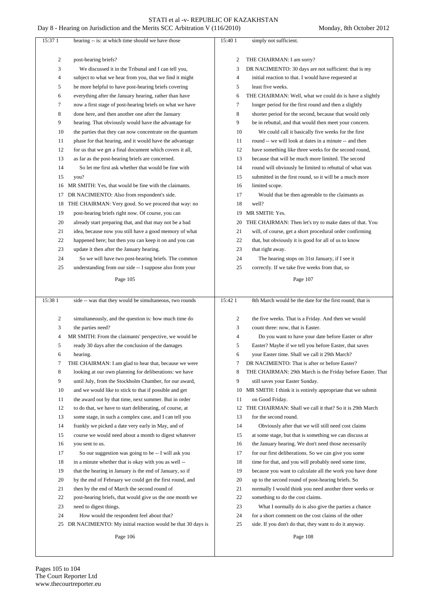| 15:37 1          | hearing -- is: at which time should we have those           | 15:40 1 | simply not sufficient.                                      |
|------------------|-------------------------------------------------------------|---------|-------------------------------------------------------------|
|                  |                                                             |         |                                                             |
| $\boldsymbol{2}$ | post-hearing briefs?                                        | 2       | THE CHAIRMAN: I am sorry?                                   |
| 3                | We discussed it in the Tribunal and I can tell you,         | 3       | DR NACIMIENTO: 30 days are not sufficient: that is my       |
| 4                | subject to what we hear from you, that we find it might     | 4       | initial reaction to that. I would have requested at         |
| 5                | be more helpful to have post-hearing briefs covering        | 5       | least five weeks.                                           |
| 6                | everything after the January hearing, rather than have      | 6       | THE CHAIRMAN: Well, what we could do is have a slightly     |
| 7                | now a first stage of post-hearing briefs on what we have    | 7       | longer period for the first round and then a slightly       |
| 8                | done here, and then another one after the January           | 8       | shorter period for the second, because that would only      |
| 9                | hearing. That obviously would have the advantage for        | 9       | be in rebuttal, and that would then meet your concern.      |
| 10               | the parties that they can now concentrate on the quantum    | 10      | We could call it basically five weeks for the first         |
| 11               | phase for that hearing, and it would have the advantage     | 11      | round -- we will look at dates in a minute -- and then      |
| 12               | for us that we get a final document which covers it all,    | 12      | have something like three weeks for the second round,       |
| 13               | as far as the post-hearing briefs are concerned.            | 13      | because that will be much more limited. The second          |
| 14               | So let me first ask whether that would be fine with         | 14      | round will obviously be limited to rebuttal of what was     |
| 15               | you?                                                        | 15      | submitted in the first round, so it will be a much more     |
| 16               | MR SMITH: Yes, that would be fine with the claimants.       | 16      | limited scope.                                              |
| 17               | DR NACIMIENTO: Also from respondent's side.                 | 17      | Would that be then agreeable to the claimants as            |
| 18               | THE CHAIRMAN: Very good. So we proceed that way: no         | 18      | well?                                                       |
| 19               | post-hearing briefs right now. Of course, you can           | 19      | MR SMITH: Yes.                                              |
| 20               | already start preparing that, and that may not be a bad     | 20      | THE CHAIRMAN: Then let's try to make dates of that. You     |
| 21               | idea, because now you still have a good memory of what      | 21      | will, of course, get a short procedural order confirming    |
| 22               | happened here; but then you can keep it on and you can      | 22      | that, but obviously it is good for all of us to know        |
| 23               | update it then after the January hearing.                   | 23      | that right away.                                            |
| 24               | So we will have two post-hearing briefs. The common         | 24      | The hearing stops on 31st January, if I see it              |
| 25               | understanding from our side -- I suppose also from your     | 25      | correctly. If we take five weeks from that, so              |
|                  | Page 105                                                    |         | Page 107                                                    |
|                  |                                                             |         |                                                             |
| 15:38 1          | side -- was that they would be simultaneous, two rounds     | 15:42 1 | 8th March would be the date for the first round; that is    |
|                  |                                                             |         |                                                             |
| 2                | simultaneously, and the question is: how much time do       | 2       | the five weeks. That is a Friday. And then we would         |
| 3                | the parties need?                                           | 3       | count three: now, that is Easter.                           |
| 4                | MR SMITH: From the claimants' perspective, we would be      | 4       | Do you want to have your date before Easter or after        |
| 5                | ready 30 days after the conclusion of the damages           | 5       | Easter? Maybe if we tell you before Easter, that saves      |
| 6                | hearing.                                                    | 6       | your Easter time. Shall we call it 29th March?              |
| 7                | THE CHAIRMAN: I am glad to hear that, because we were       | 7       | DR NACIMIENTO: That is after or before Easter?              |
| 8                | looking at our own planning for deliberations: we have      | 8       | THE CHAIRMAN: 29th March is the Friday before Easter. That  |
| 9                | until July, from the Stockholm Chamber, for our award,      | 9       | still saves your Easter Sunday.                             |
| 10               | and we would like to stick to that if possible and get      | 10      | MR SMITH: I think it is entirely appropriate that we submit |
| 11               | the award out by that time, next summer. But in order       | 11      | on Good Friday.                                             |
| 12               | to do that, we have to start deliberating, of course, at    | 12      | THE CHAIRMAN: Shall we call it that? So it is 29th March    |
| 13               | some stage, in such a complex case, and I can tell you      | 13      | for the second round.                                       |
| 14               | frankly we picked a date very early in May, and of          | 14      | Obviously after that we will still need cost claims         |
| 15               | course we would need about a month to digest whatever       | 15      | at some stage, but that is something we can discuss at      |
| 16               | you sent to us.                                             | 16      | the January hearing. We don't need those necessarily        |
| 17               | So our suggestion was going to be -- I will ask you         | 17      | for our first deliberations. So we can give you some        |
| 18               | in a minute whether that is okay with you as well --        | 18      | time for that, and you will probably need some time,        |
| 19               | that the hearing in January is the end of January, so if    | 19      | because you want to calculate all the work you have done    |
| 20               | by the end of February we could get the first round, and    | 20      | up to the second round of post-hearing briefs. So           |
| 21               | then by the end of March the second round of                | 21      | normally I would think you need another three weeks or      |
| $22\,$           | post-hearing briefs, that would give us the one month we    | 22      | something to do the cost claims.                            |
| 23               | need to digest things.                                      | 23      | What I normally do is also give the parties a chance        |
| 24               | How would the respondent feel about that?                   | 24      | for a short comment on the cost claims of the other         |
| 25               | DR NACIMIENTO: My initial reaction would be that 30 days is | 25      | side. If you don't do that, they want to do it anyway.      |
|                  | Page 106                                                    |         | Page 108                                                    |
|                  |                                                             |         |                                                             |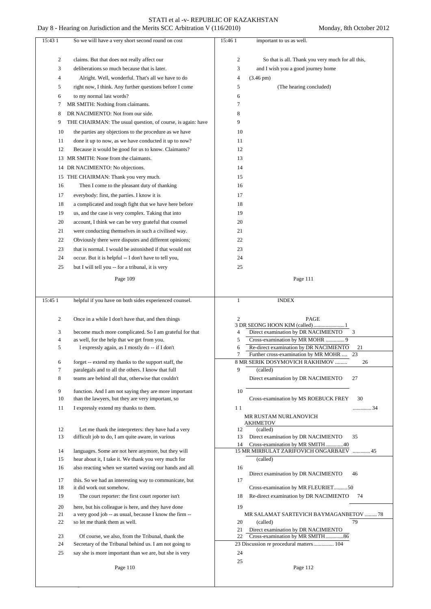| 15:43 1  | So we will have a very short second round on cost                                                                | 15:46 1        | important to us as well.                                                   |
|----------|------------------------------------------------------------------------------------------------------------------|----------------|----------------------------------------------------------------------------|
| 2        | claims. But that does not really affect our                                                                      | 2              | So that is all. Thank you very much for all this,                          |
| 3        | deliberations so much because that is later.                                                                     | 3              | and I wish you a good journey home                                         |
| 4        | Alright. Well, wonderful. That's all we have to do                                                               | 4              | $(3.46 \text{ pm})$                                                        |
| 5        | right now, I think. Any further questions before I come                                                          | 5              | (The hearing concluded)                                                    |
| 6        |                                                                                                                  | 6              |                                                                            |
| 7        | to my normal last words?<br>MR SMITH: Nothing from claimants.                                                    | 7              |                                                                            |
| 8        | DR NACIMIENTO: Not from our side.                                                                                | 8              |                                                                            |
| 9        | THE CHAIRMAN: The usual question, of course, is again: have                                                      | 9              |                                                                            |
| 10       | the parties any objections to the procedure as we have                                                           | 10             |                                                                            |
| 11       | done it up to now, as we have conducted it up to now?                                                            | 11             |                                                                            |
| 12       | Because it would be good for us to know. Claimants?                                                              | 12             |                                                                            |
|          | 13 MR SMITH: None from the claimants.                                                                            | 13             |                                                                            |
|          | 14 DR NACIMIENTO: No objections.                                                                                 | 14             |                                                                            |
|          | 15 THE CHAIRMAN: Thank you very much.                                                                            | 15             |                                                                            |
| 16       | Then I come to the pleasant duty of thanking                                                                     | 16             |                                                                            |
| 17       | everybody: first, the parties. I know it is                                                                      | 17             |                                                                            |
| 18       | a complicated and tough fight that we have here before                                                           | 18             |                                                                            |
| 19       | us, and the case is very complex. Taking that into                                                               | 19             |                                                                            |
| 20       | account, I think we can be very grateful that counsel                                                            | 20             |                                                                            |
| 21       | were conducting themselves in such a civilised way.                                                              | 21             |                                                                            |
| 22       | Obviously there were disputes and different opinions;                                                            | 22             |                                                                            |
| 23       | that is normal. I would be astonished if that would not                                                          | 23             |                                                                            |
| 24       | occur. But it is helpful -- I don't have to tell you,                                                            | 24             |                                                                            |
| 25       | but I will tell you -- for a tribunal, it is very                                                                | 25             |                                                                            |
|          |                                                                                                                  |                |                                                                            |
|          | Page 109                                                                                                         |                | Page 111                                                                   |
| 15:45 1  | helpful if you have on both sides experienced counsel.                                                           | 1              | <b>INDEX</b>                                                               |
|          |                                                                                                                  |                |                                                                            |
| 2        | Once in a while I don't have that, and then things                                                               | $\mathfrak{2}$ | PAGE                                                                       |
| 3        | become much more complicated. So I am grateful for that                                                          | 4              | 3 DR SEONG HOON KIM (called)1<br>Direct examination by DR NACIMIENTO<br>3  |
| 4        | as well, for the help that we get from you.                                                                      | 5              | Cross-examination by MR MOHR  9                                            |
| 5        | I expressly again, as I mostly do -- if I don't                                                                  | 6              | Re-direct examination by DR NACIMIENTO<br>21                               |
|          |                                                                                                                  | 7              | Further cross-examination by MR MOHR<br>23                                 |
| 6        | forget -- extend my thanks to the support staff, the                                                             |                | 8 MR SERIK DOSYMOVICH RAKHIMOV<br>26                                       |
| 7<br>8   | paralegals and to all the others. I know that full<br>teams are behind all that, otherwise that couldn't         | 9              | (called)<br>Direct examination by DR NACIMIENTO<br>27                      |
|          |                                                                                                                  |                |                                                                            |
| 9        | function. And I am not saying they are more important                                                            | 10             |                                                                            |
| 10       | than the lawyers, but they are very important, so                                                                |                | 30<br>Cross-examination by MS ROEBUCK FREY                                 |
| 11       | I expressly extend my thanks to them.                                                                            | 11             | 34                                                                         |
|          |                                                                                                                  |                | MR RUSTAM NURLANOVICH<br>AKHMETOV                                          |
| 12       | Let me thank the interpreters: they have had a very                                                              | 12             | (called)                                                                   |
| 13       | difficult job to do, I am quite aware, in various                                                                | 13             | Direct examination by DR NACIMIENTO<br>35                                  |
| 14       | languages. Some are not here anymore, but they will                                                              | 14             | Cross-examination by MR SMITH 40<br>15 MR MIRBULAT ZARIFOVICH ONGARBAEV    |
| 15       | hear about it, I take it. We thank you very much for                                                             |                | (called)                                                                   |
| 16       | also reacting when we started waving our hands and all                                                           | 16             |                                                                            |
|          |                                                                                                                  |                | Direct examination by DR NACIMIENTO<br>46                                  |
| 17<br>18 | this. So we had an interesting way to communicate, but<br>it did work out somehow.                               | 17             | Cross-examination by MR FLEURIET50                                         |
| 19       | The court reporter: the first court reporter isn't                                                               | 18             | Re-direct examination by DR NACIMIENTO<br>74                               |
| 20       | here, but his colleague is here, and they have done                                                              | 19             |                                                                            |
| 21       | a very good job -- as usual, because I know the firm --                                                          |                | MR SALAMAT SARTEVICH BAYMAGANBETOV  78                                     |
| 22       | so let me thank them as well.                                                                                    | 20             | 79<br>(called)                                                             |
|          |                                                                                                                  | 21             | Direct examination by DR NACIMIENTO                                        |
| 23<br>24 | Of course, we also, from the Tribunal, thank the                                                                 | 22             | Cross-examination by MR SMITH86<br>23 Discussion re procedural matters 104 |
| 25       | Secretary of the Tribunal behind us. I am not going to<br>say she is more important than we are, but she is very | 24             |                                                                            |
|          |                                                                                                                  | 25             |                                                                            |
|          | Page 110                                                                                                         |                | Page 112                                                                   |
|          |                                                                                                                  |                |                                                                            |
|          |                                                                                                                  |                |                                                                            |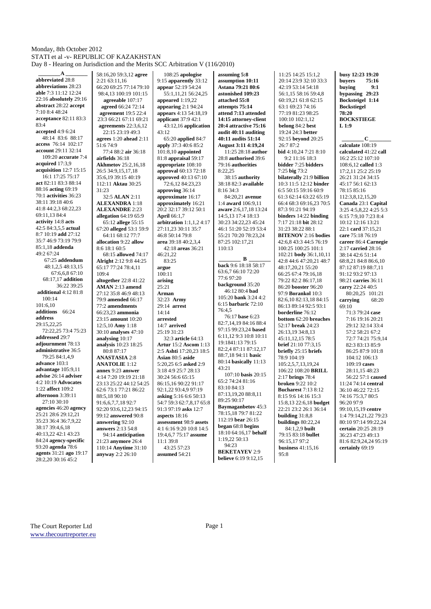#### Monday, 8th October 2012 STATI et al -v- REPUBLIC OF KAZAKHSTAN Day 8 - Hearing on Jurisdiction and the Merits SCC Arbitration V (116/2010)

 **\_\_\_\_\_\_\_\_ A \_\_\_\_\_\_\_\_ abbreviated** 28:8 **abbreviations** 28:23 **able** 7:3 11:12 12:24 22:16 **absolutely** 29:16 **abstract** 28:22 **accept** 7:10 8:4 48:24 **acceptance** 82:11 83:3 83:4 **accepted** 4:9 6:24 48:14 83:6 88:17 **access** 76:14 102:17 **account** 29:11 32:14 109:20 **accurate** 7:4 **acquired** 17:3.9 **acquisition** 12:7 15:15 16:1 17:25 75:17 **act** 82:11 83:3 88:14 88:16 **acting** 69:19 70:1 **activities** 36:23 38:11 39:18 40:6 41:8 44:2,3 68:22,23 69:11,13 84:4 **activity** 14:8 **acts** 42:5 84:3,5,5 **actual** 8:7 10:19 **add** 27:12 35:7 46:9 73:19 79:9 85:1,18 **addenda** 49:2 67:24 67:25 **addendum** 48:1,2,5 48:13,15 67:6,6,8 67:10 68:17,17 **addition** 36:22 39:25 **additional** 4:12 81:8  $100 \cdot 14$ 101:6,10 **additions** 66:24 **address** 29:15,22,25 72:22,25 73:4 75:23 **addressed** 29:7 **adjournment** 78:13 **administrative** 36:5 79:25 84:1,4,9 **advance** 103:1 **advantage** 105:9,11 **advise** 26:14 **adviser** 4:2 10:19 **Advocates** 1:22 **affect** 109:2 **afternoon** 3:39:11 27:10 30:10 **agencies** 46:20 **agency** 25:21 28:6 29:12,21 35:23 36:4 36:7,9,22 38:17 39:4,6,18 40:13,22 42:1 43:23 84:24 **agency-specific** 93:20 **agenda** 78:6 **agents** 31:21 **ago** 19:17 28:2,20 30:16 45:2

58:16,20 59:3,12 **agree** 2:21 63:11,16 66:20 69:25 77:14 79:10 98:4,13 100:19 101:15 **agreeable** 107:17 **agreed** 66:24 72:14 **agreement** 19:5 22:4 23:3 66:21 67:11 69:21 **agreements** 22:3,6,12  $22:15$  23:19 49:3 **agrees** 1:20 **ahead** 2:11 51:6 74:9 77:4 88:2 **air** 36:18 **airfields** 36:18 **Akhmetov** 25:2,16,18 26:5 34:9,15,17,18 35:6,19 39:15 40:19 112:11 **Aktau** 30:25  $31.23$ 32:5 **ALAN** 2:11 **ALEXANDRA** 1:18 **ALEXANDRE** 2:23 **allegation** 64:19 65:9 65:12 **allege** 55:15 67:20 **alleged** 53:1 59:9 64:11 68:12 77:7 **allocation** 9:22 **allow** 8:6 18:1 60:5 68:15 **allowed** 74:17 **Alright** 2:12 9:8 44:25 65:17 77:24 78:4,11 109:4 **altogether** 22:8 41:22 **AMAN** 2:13 **amend** 27:12 35:8 46:9 48:13 79:9 **amended** 66:17 77:2 **amendments** 66:23,23 **ammonia** 23:15 **amount** 10:20 12:5,10 **Amy** 1:18 30:10 **analyses** 47:10 **analysing** 10:17 **analysis** 10:23 18:25 80:8 87:17 **ANASTASIA** 2:8 **ANATOLIE** 1:12 **annex** 9:23 **answer** 4:14 7:20 19:19 21:18 23:13 25:22 44:12 54:25 62:6 73:1 77:21 86:22 88:5,18 90:10 91:6,6,7,7,18 92:7 92:20 93:6,12,23 94:15 99:12 **answered** 90:8 **answering** 92:10 **answers** 2:13 54:8 94:14 **anticipation** 21:23 **anymore** 26:4 110:14 **Anytime** 31:10 **anyway** 2:2 26:10

108:25 **apologise** 9:15 **apparently** 33:12 **appear** 52:19 54:24 55:1,11,21 56:24,25 **appeared** 1:19,22 **appearing** 2:1 94:24 **appears** 4:13 54:18,19 **applicant** 37:9 42:1 43:12,16 **application**  $43.12$ 65:20 **applied** 84:7 **apply** 37:3 40:6 85:2 101:8,10 **appointed** 81:8 **appraisal** 59:17 **appropriate** 108:10 **approval** 60:13 72:18 **approved** 40:13 67:10 72:6,12 84:23,23 **approving** 36:14 **approximate** 16:17 **approximately** 16:21 20:2 32:17 39:12 50:1 **April** 66:1,7 **arbitration** 1:1,1,2 4:17 27:11,23 30:11 35:7 46:8 50:14 79:8 **area** 39:18 40:2,3,4 42:18 **areas** 36:21  $46.21,22$ 83:25 **argue** 100:11 **arising** 25:21 **Arman** 32:23 **Army** 29:14 **arrest** 14:14 **arrested** 14:7 **arrived** 25:19 31:23 32:3 **article** 64:13 **Artur** 15:2 **Ascom** 1:13 2:5 **Ashti** 17:20,23 18:5 **Asian** 80:5 **aside** 5:20,25 6:5 **asked** 2:9 3:18 4:9 25:7 28:13 30:24 56:6 65:15 86:15,16 90:22 91:17 92:1,22 93:4,9 97:19 **asking** 5:16 6:6 50:13 54:7 59:3 62:7,8,17 65:8 91:3 97:19 **asks** 12:7 **aspects** 18:16 **assessment** 98:9 **assets** 4:1 6:16 9:20 10:8 14:5 19:4,6,7 75:17 **assume**  $11 \cdot 1 \cdot 39 \cdot 8$ 43:25 57:23 **assumed** 54:21

**assuming 5:8 assumption 10:11 Astana 79:21 80:6 astonished 109:23 attached 55:8 attempts 75:14 attend 7:13 attended 14:15 attorney-client 20:4 attractive 75:16 audit 40:11 auditing 40:11 audits 51:14 August 3:11 4:19,24**  11:25 28:18 **author** 28:8 **authorised** 39:6 79:16 **authorities** 8:22,25 38:15 **authority** 38:18 82:3 **available** 8:16 34:3 84:20,21 **avenue** 1:4 **award** 106:9,11 **aware** 2:6,17,18 13:24 14:5,13 17:4 18:13 30:23 34:22,23 45:24 46:1 51:20 52:19 53:4 55:21 70:20 78:23,24 87:25 102:17,21 110:13  **\_\_\_\_\_\_\_\_ B \_\_\_\_\_\_\_\_ back** 9:6 18:18 58:17 63:6,7 66:10 72:20 77:6 97:20 **background** 35:20 46:12 80:4 **bad** 105:20 **bank** 3:24 4:2 6:15 **barbaric** 72:10 76:4,5 76:17 **base** 6:23 82:7,14,19 84:16 88:4 97:15 99:23,24 **based** 6:11,12 9:3 10:8 10:11 19:1841:13 79:15 82:2,4 87:11 87:12,17 88:7,18 94:11 **basic** 80:14 **basically** 11:13  $43.21$ 107:10 **basis** 20:15 65:2 74:24 81:16 83:10 84:13 87:13,19,20 88:8,11 89:25 90:17 **Baymaganbetov** 45:3 78:15,18 79:7 81:22 112:19 **bear** 26:15 **began** 68:8 **begins** 18:10 64:16,17 **behalf** 1:19,22 50:13  $94.23$ **BEKETAYEV** 2:9 **believe** 6:19 9:12,15

20:14 23:9 32:10 33:3 42:19 53:14 54:18 56:1,15 58:16 59:4,8 60:19,21 61:8 62:15 63:1 69:23 74:16 77:19 81:23 98:25 100:10 102:1,12 **belong** 84:2 **best** 19:24 24:3 **better** 92:15 **beyond** 20:25 26:7 87:2 **bid** 4:10,24 7:21 8:10 9:2 11:16 18:3 **bidder** 7:25 **bidders** 7:25 **big** 73:2 **bilaterally** 21:9 **billion** 10:3 11:5 12:12 **binder** 6:5 50:15 59:16 60:9 61:3 62:14 63:22 65:19 66:4 68:3 69:16,23 70:5 87:3 91:21 94:19 **binders** 14:22 **binding** 7:17 21:18 **bit** 28:12 31:23 38:22 88:1 **BITENOV** 2:16 **bodies** 42:6,8 43:3 44:5 76:19 100:25 100:25 101:1 102:21 **body** 36:1,10,11 42:8 44:6 47:20,21 48:7 48:17,20,21 55:20 66:25 67:4 79:16,18 79:22 82:2 86:17,18 86:20 **booster** 96:20 97:9 **Borankol** 10:3 82:6,10 82:13,18 84:15 86:13 89:14 92:5 93:1 **borderline** 76:12 **bottom** 62:20 **breaches** 52:17 **break** 24:23 26:13,19 34:8,13 45:11,12,15 78:5 **brief** 21:10 77:3,15 **briefly** 25:15 **briefs** 78:9 104:19 105:2,5,7,13,19,24 106:22 108:20 **BRILL** 2:17 **brings** 78:4 **broken** 9:22 10:2 **Bucharest** 7:13 8:12 8:15 9:6 14:16 15:3 15:8,13 22:6,18 **budget** 22:21 23:2 26:1 36:14 **building** 31:8,8 **buildings** 80:22,24 84:1,2,9 **built** 79:15 83:18 **bullet** 96:15,17 97:2 **business** 41:15,16 95:8

11:25 14:25 15:1,2

**busy 12:23 19:20 buyers 75:16 buying 9:1 bypassing 29:23 Bocksteigel 1:14 Bockstiegel 78:20 BOCKSTIEGE L 1:9** 

 **\_\_\_\_\_\_\_\_ C \_\_\_\_\_\_\_\_ calculate** 108:19 **calculated** 41:22 **call** 16:2 25:12 107:10 108:6,12 **called** 1:3 17:2,11 25:2 25:19 26:21 31:24 34:15 45:17 56:1 62:13 78:15 85:16 112:3,8,12,15,20 **Canada** 23:1 **Capital** 3:25 4:5,8,22 4:25 5:3  $6:157.9107.238.4$ 10:12 12:16 13:21 22:1 **card** 37:15,21 **care** 75:18 76:19 **career** 86:4 **Carnegie** 2:17 **carried** 28:16 38:14 42:6 51:14 68:8,21 84:8 86:6,10 87:12 87:19 88:7,11 91:12 93:2 97:13 98:21 **carries** 36:11 **carry** 22:24 40:5 80:20,25 101:21 **carrying** 68:20 69:10 71:3 79:24 **case** 7:16 19:16 20:21 29:12 32:14 33:4 57:2 58:21 67:2 72:7 74:21 75:9,14 82:3 83:13 85:9 86:25 87:9 101:8 104:12 106:13 109:19 **cases** 28:11,15 48:23 56:22 57:1 **caused** 11:24 74:14 **central** 36:10 46:22 72:15 74:16 75:3,7 80:5 96:20 97:9 99:10,15,19 **centre** 1:4 79:14,21,22 79:23 80:10 97:14 99:22,24 **certain** 20:25 28:19 36:23 47:23 49:13 81:6 82:9,24,24 95:19 **certainly** 69:19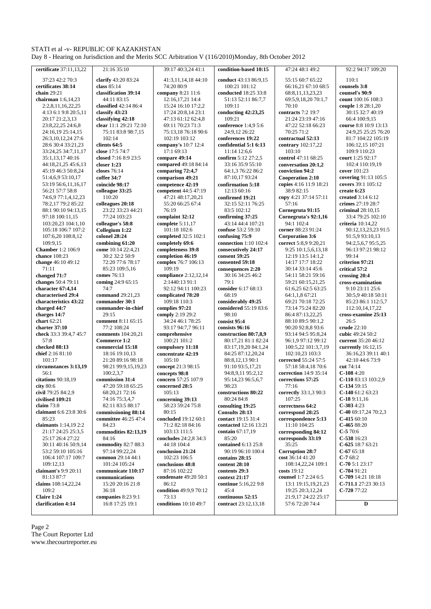#### STATI et al -v- REPUBLIC OF KAZAKHSTAN Day 8 - Hearing on Jurisdiction and the Merits SCC Arbitration V (116/2010) Monday, 8th October 2012

| certificate 37:11,13,22             | 21:16 35:10                        | 39:17 40:3,24 41:1                      | condition-based 10:15                 | 47:24 48:1 49:2                      | 92:2 94:17 109:20                |
|-------------------------------------|------------------------------------|-----------------------------------------|---------------------------------------|--------------------------------------|----------------------------------|
| 37:23 42:2 70:3                     | clarify 43:20 83:24                | 41:3,11,14,18 44:10                     | conduct 43:13 86:9,15                 | 55:15 60:7 65:22                     | 110:1                            |
| certificates 38:14                  | class 85:14                        | 74:20 80:9                              | 100:21 101:12                         | 66:16,21 67:10 68:5                  | counsels 3:8                     |
| chain 29:21                         | classification 39:14               | company 8:21 11:6                       | conducted 18:25 33:8                  | 68:8,11,13,23,23                     | counsel's 90:9                   |
| chairman $1:6,14,23$                | 44:11 83:15                        | 12:16,17,21 14:4                        | 51:13 52:11 86:7,7                    | 69:5,9,18,20 70:1,7                  | count 100:16 108:3               |
| 2:2,8,11,16,22,25                   | classified 42:14 86:4              | 15:24 16:10 17:2,2                      | 109:11                                | 70:10                                | couple 1:8 28:1,20               |
| 4:13 6:1 9:8 20:5,11                | classify 43:23                     | 17:24 20:8.14 23:1                      | conducting 42:23,25                   | contracts 7:2 19:7                   | 30:15 32:7 40:19                 |
| 20:17 21:2,3,13                     | classifying 42:18                  | 47:13 61:12 62:4,8                      | 109:21                                | 21:24 23:19 47:16                    | 66:4 100:9,15                    |
| 23:8,22,25 24:6,8                   | clear 11:1 29:21 72:10             | 69:11 70:23 71:3                        | conference 1:4,9 5:6                  | 47:22 52:18 66:23                    | course 8:8 10:9 13:13            |
| 24:16,19 25:14,15                   | 75:11 83:8 98:7,15                 | 75:13,18 76:18 90:6                     | 24:9,12 26:22                         | 70:25 71:2                           | 24:9,25 25:25 76:20              |
| 26:3,10,12,24 27:6                  | 102:14                             | 102:19 103:12                           | conferences 19:22                     | contractual 52:13                    | 81:7 104:22 105:19               |
| 28:6 30:4 33:21,23                  | clients 64:5                       | company's 10:7 12:4                     | confidential 5:1 6:13                 | contrary 102:17,22                   | 106:12,15 107:21                 |
| 33:24,25 34:7,11,17                 | close 17:5 74:7                    | 17:1 69:13                              | 11:14 12:6,6                          | 103:10                               | 109:9 110:23                     |
| 35:1,13,17 40:16                    | closed 7:16 8:9 23:5               | compare 49:14                           | confirm 5:12 27:2,5                   | control 47:11 68:25                  | court 1:25 92:17                 |
| 44:18,21,25 45:6,13                 | closer 1:23                        | compared 49:18 84:14                    | 33:16 35:9 55:10                      | conversation 20:1.2                  | 102:4 110:19,19                  |
| 45:19 46:3 50:8,24                  | closes 76:14                       | comparing 72:4,7                        | 64:1,3 76:22 86:2                     | conviction 94:2                      | cover 101:23                     |
| 51:4,6,9 53:10,17                   | coffee 34:7                        | comparison 49:21                        | 87:10,17 93:24                        | Cooperation 2:10                     | covering 91:13 105:5             |
| 53:19 56:6,11,16,17                 | coincide 98:17                     | competence 42:19                        | confirmation 5:18                     | copies 4:16 11:9 18:21               | covers 39:1 105:12               |
| 56:21 57:7 58:8                     | colleague 33:25                    | competent 44:5 47:19                    | 12:13 60:16                           | 38:9 82:15                           | create 6:23                      |
| 74:6,9 77:1,4,12,23                 | 110:20                             | 47:21 48:17,20,21                       | confirmed 19:21                       | copy 4:21 37:14 57:11                | created 3:14 6:12                |
| 78:2,17 79:2 85:22                  | colleagues 20:18                   | 55:20 66:25 67:4                        | 32:15 52:11 76:25                     | 57:16                                | crimes 27:19 28:7                |
| 88:1 90:10 94:13,15                 | 23:22 33:23 44:21                  | 76:19                                   | 83:5 102:12                           | Cornegruta 91:15                     | criminal $28:10,15$              |
| 97:18 100:11,15                     | 77:24 103:23                       | complaint 32:12                         | confirming 37:25                      | Cornegruta's 92:1,16                 | 33:4 79:25 102:10                |
| 103:20,23 104:1,10                  | colleague's 58:8                   | complete 5:11,17                        | 43:14 44:4 107:21                     | 94:1 102:4                           | criteria 10:14,22                |
| 105:18 106:7 107:2                  | Collegium 1:22                     | 101:18 102:6                            | confuse 53:2 59:10                    | corner 88:23 91:24                   | 90:12,13,23,23 91:5              |
| 107:6,20 108:8,12                   | colonel 28:24                      | completed 32:5 102:1                    | confusing 75:9                        | Corporation 3:6                      | 91:5,9 93:10,13                  |
| 109:9.15                            | combining 61:20                    | completely 69:6                         | connection 1:10 102:4                 | correct 5:8,9 9:20,21                | 94:2,5,6,7 95:5,25               |
| <b>Chamber</b> 1:2 106:9            | come 10:14 22:4,21                 | completeness 39:8                       | consecutively 24:17                   | 9:25 10:1,5,6,13,18                  | 96:13 97:21 98:12                |
| chance 108:23<br>change 46:10 49:12 | 30:2 32:2 50:9<br>72:20 77:6 78:17 | completion 46:19<br>complex 76:7 106:13 | consent 59:25                         | 12:19 13:5 14:1,2                    | 99:14                            |
| 71:11                               | 85:23 109:5,16                     | 109:19                                  | consented 59:18                       | 14:17 17:7 18:22<br>30:14 33:14 45:6 | criterion 97:21<br>critical 57:2 |
| changed 71:7                        | comes 76:13                        | compliance 2:12,12,14                   | consequences 2:20<br>30:16 34:25 46:2 | 54:11 58:21 59:16                    | crossing 20:4                    |
| changes 50:4 79:11                  | coming 24:9 65:15                  | 2:1440:13 91:1                          | 79:1                                  | 59:21 60:15,21,25                    | cross-examination                |
| character 67:4,14                   | 74:7                               | 92:12 94:11 100:23                      | consider 6:17 68:13                   | 61:6,25 62:5 63:25                   | 9:10 23:11 25:6                  |
| characterised 29:4                  | command 29:21,23                   | complicated 78:20                       | 68:19                                 | 64:1,1,8 67:21                       | 30:5,9 40:18 50:11               |
| characteristics 43:22               | commander 30:1                     | 109:18 110:3                            | considerably 49:25                    | 69:21 70:18 72:25                    | 85:23 86:1 112:5,7               |
| charged 44:7                        | commander-in-chief                 | complies 97:21                          | considered 55:19 83:6                 | 73:14 75:24 82:20                    | 112:10,14,17,22                  |
| charges 14:7                        | 29:15                              | comply 2:19 29:2                        | 98:10                                 | 86:4 87:13,22,25                     | cross-examine 25:13              |
| chart 62:21                         | comment 8:11 65:15                 | 34:24 46:1 78:25                        | consist 95:4                          | 88:10 89:5 90:1,2                    | 26:5                             |
| charter 37:10                       | 77:2 108:24                        | 93:17 94:7,7 96:11                      | consists 96:16                        | 90:20 92:8,8 93:6                    | crude 22:10                      |
| check 33:3 39:4,7 45:7              | comments 104:20,21                 | comprehensive                           | construction 80:7,8,9                 | 93:14 94:5 95:8,24                   | cubic 49:24 50:2                 |
| 57:8                                | <b>Commerce 1:2</b>                | 100:21 101:2                            | 80:17,21 81:1 82:24                   | 96:1,9 97:12 99:12                   | current 35:20 46:12              |
| checked 88:13                       | commercial 15:18                   | compulsory 11:18                        | 83:17,19,20 84:1,24                   | 100:5,22 101:3,7,19                  | currently $16:12,15$             |
| chief 2:16 81:10                    | 18:16 19:10,13                     | concentrate 42:19                       | 84:25 87:12,20,24                     | 102:10,23 103:3                      | 36:16,23 39:11 40:1              |
| 101:17                              | 21:20 89:16 98:18                  | 105:10                                  | 88:8,12,13 90:1                       | corrected 55:24 57:5                 | 42:10 44:6 73:9                  |
| circumstances 3:13,19               | 98:21 99:9,15,19,23                | concept 21:3 98:15                      | 91:10 93:5,17,21                      | 57:18 58:4,18 70:6                   | cut 74:14                        |
| 56:1                                | 100:2,3,7                          | concepts 98:8                           | 94:8,9,11 95:2,12                     | correction 14:9 35:14                | $C-108$ 4:20                     |
| citations 90:18,19                  | commission 31:4                    | concern 57:25 107:9                     | 95:14,23 96:5,6,7                     | corrections 57:25                    | C-110 83:13 103:2,9              |
| city $80:6$                         | 47:20 59:18 65:25                  | concerned 28:5                          | 98:23                                 | 77:16                                | $C-13459:15$                     |
| civil 79:25 84:2,9                  | 68:20,21 72:16                     | 105:13                                  | constructions 80:22                   | correctly 33:1,3 90:3                | $C-140$ 61:2 63:23               |
| civilised 109:21<br>claim $73:8$    | 74:16 75:3,4,7<br>82:11 83:5 88:17 | concerning 39:13<br>58:23 59:24 75:8    | 80:24 84:8<br>consulting 19:25        | 107:25<br>correctness 64:2           | $C-189:11,16$<br>$C-3034:23$     |
| claimant 6:6 23:8 30:6              | commissioning 88:14                | 80:15                                   | Consults 28:13                        | correspond 28:25                     | $C-40$ 69:17,24 70:2,3           |
| 85:23                               | committee 46:25 47:4               | concluded 19:12 60:1                    | contact 19:15 31:4                    | correspondence 5:13                  | $C-41560:10$                     |
| claimants $1:14,19$ 2:2             | 84:23                              | 71:2 82:18 84:16                        | contacted 12:16 13:21                 | 11:10 104:25                         | $C-46588:20$                     |
| 21:17 24:25 25:3,5                  | commodities 82:13,19               | 103:13 111:5                            | contain 67:17,19                      | corresponding 84:12                  | $C-570:6$                        |
| 25:17 26:4 27:22                    | 84:16                              | <b>concludes</b> 24:2,8 34:3            | 85:20                                 | corresponds 33:19                    | $C-538$ 16:23                    |
| 30:11 40:16 50:9,14                 | commodity 82:7 88:3                | 44:18 104:4                             | contained 6:13 25:8                   | 35:25                                | $C-625$ 18:7 63:21               |
| 53:2 59:10 105:16                   | 97:14 99:22,24                     | conclusion 21:24                        | 90:19 96:10 100:4                     | <b>Corruption 28:7</b>               | $C-6765:18$                      |
| 106:4 107:17 109:7                  | common 29:14 44:1                  | 102:23 106:5                            | contains 28:15                        | cost 36:14 41:20                     | $C-768:2$                        |
| 109:12,13                           | 101:24 105:24                      | conclusions 48:8                        | content 28:10                         | 108:14,22,24 109:1                   | $C-70$ 5:1 23:17                 |
| claimant's 9:9 20:11                | communicate 110:17                 | 87:16 102:22                            | contents 29:3                         | costs 19:12                          | $C-70491:21$                     |
| 81:13 87:7                          | communications                     | condensate 49:20 50:1                   | context 21:17                         | counsel 1:7 2:24 6:5                 | $C-709$ 14:21 18:18              |
| claims 108:14,22,24                 | 15:20 20:16 21:8                   | 86:12                                   | continue 5:16,22 9:8                  | 13:1 19:15, 19, 21, 23               | $C-711.127:2330:13$              |
| 109:2                               | 36:18                              | condition 49:9,9 70:12                  | 45:4                                  | 19:25 20:3,12,24                     | $C-72077:22$                     |
| Claire 1:24                         | companies 8:23 9:1                 | 73:13                                   | continuous 52:15                      | 21:9,17 24:22 25:17                  |                                  |
| clarification 4:14                  | 16:8 17:25 19:1                    | conditions 10:10 49:7                   | contract 23:12,13,18                  | 57:6 72:20 74:4                      | D                                |

Page 2 The Court Reporter Ltd www.thecourtreporter.eu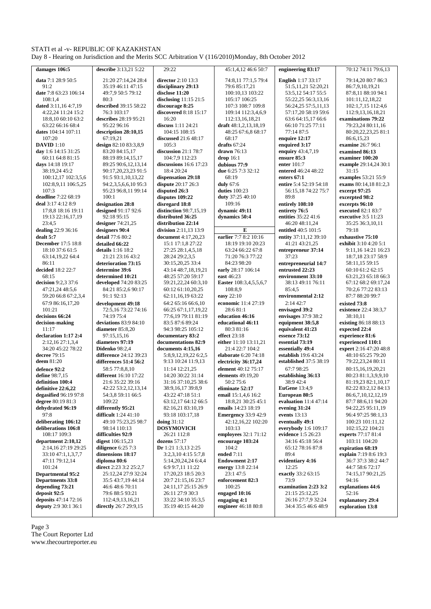Day 8 - Hearing on Jurisdiction and the Merits SCC Arbitration V (116/2010) Monday, 8th October 2012

| damages 106:5                              | describe 3:13,21 5:22                     | 29:22                                    | 45:1,4,12 46:6 50:7                       | engineering 83:17                          | 70:12 74:11 79:6,13                       |
|--------------------------------------------|-------------------------------------------|------------------------------------------|-------------------------------------------|--------------------------------------------|-------------------------------------------|
| data 7:1 28:9 50:5                         | 21:20 27:14,24 28:4                       | director 2:10 13:3                       | 74:8,11 77:1,5 79:4                       | English 1:17 33:17                         | 79:14,20 80:7 86:3                        |
| 91:2                                       | 35:19 46:11 47:15                         | disciplinary 29:13                       | 79:6 85:17,21                             | 51:5, 11, 21 52: 20, 21                    | 86:7,9,10,19,21                           |
| date 7:8 63:23 106:14                      | 49:7,9 50:5 79:12                         | disclose 11:20                           | 100:10,13 103:22                          | 53:5,12 54:17 55:5                         | 87:8,11 88:10 94:1                        |
| 108:1.4                                    | 80:3<br>described 39:15 58:22             | disclosing $11:15$ $21:5$                | 105:17 106:25<br>107:3 108:7 109:8        | 55:22,25 56:3,13,16                        | 101:11,12,18,22                           |
| dated 3:11,16 4:7,19<br>4:22.24 11:24 15:2 | 76:3 103:17                               | discourage 8:25<br>discovered 8:18 15:17 | 109:14 112:3,4,6,9                        | 56:24,25 57:5,11,13<br>57:17,20 58:19 59:6 | 102:1,7,15 112:4,6<br>112:9,13,16,18,21   |
| 18:8,10 60:10 63:2                         | describes 28:19 95:21                     | 16:20                                    | 112:13,16,18,21                           | 63:6 64:15,17 66:6                         | examinations 79:22                        |
| 63:22 66:16 68:4                           | 95:22 96:16                               | discuss 1:11 24:21                       | draft 48:1,2,13,18,19                     | 66:10 71:25 77:11                          | 79:23,24 80:11,16                         |
| dates 104:14 107:11                        | description 28:10,15                      | 104:15 108:15                            | 48:25 67:6.8 68:17                        | 77:14 87:5                                 | 80:20,22,23,25 81:1                       |
| 107:20                                     | 67:19,21                                  | discussed 21:6 48:17                     | 68:17                                     | enquire 12:17                              | 86:6.15.23                                |
| <b>DAVID</b> 1:10                          | design 82:10 83:3,8,9                     | 105:3                                    | drafts $67:24$                            | enquired 3:17                              | examine 26:7 96:1                         |
| day 1:6 14:15 31:25                        | 83:20 84:15,17                            | discussion $21:178:7$                    | drawn 76:13                               | enquiry 43:4,7,19                          | examined 86:13                            |
| 60:11 64:8 81:15                           | 88:19 89:14,15,17                         | 104:7.9 112:23                           | drop 16:1                                 | ensure 85:3                                | examiner 100:20                           |
| days 14:18 19:17                           | 89:25 90:6,12,13,14                       | discussions $16:6$ 17:23                 | dubious 77:9                              | enter 101:7                                | example 29:14,24 30:1                     |
| 38:19,24 45:2                              | 90:17,20,23,23 91:5<br>91:5 93:1,10,13,22 | 18:4 20:24<br>dispensation 29:18         | due 6:25 7:3 32:12<br>68:19               | entered 46:24 48:22<br>enters 67:1         | 31:15<br>examples 53:21 55:9              |
| 100:12,17 102:3,5,6<br>102:8,9,11 106:5,25 | 94:2,3,5,6,6,10 95:3                      | dispute 20:17 26:3                       | duly 67:6                                 | entire 5:4 52:19 54:18                     | exams 80:14,18 81:2,3                     |
| 107:3                                      | 95:23 96:8,11 99:14                       | disputed 26:3                            | duties 100:23                             | 56:15,18 74:22 75:7                        | excerpt 97:25                             |
| deadline 7:22 68:19                        | 100:1                                     | disputes 109:22                          | duty 37:25 40:10                          | 89:8                                       | excerpted 98:2                            |
| deal 3:17 4:12 8:9                         | designation 28:8                          | disregard 18:8                           | 109:16                                    | entirely 108:10                            | excerpts 96:10                            |
| 17:8,8 18:16 19:11                         | designed 91:17 92:6                       | distinction $98:7,15,19$                 | dynamic 49:11                             | entirety 76:5                              | executed 82:1 83:7                        |
| 19:13 22:16,17,19                          | 92:18 95:15                               | distributed 36:25                        | dynamics 50:4                             | entities 35:22 41:6                        | executive $3:5$ 11:23                     |
| 23:4.5                                     | designer $74:21,25$                       | distribution 22:14                       |                                           | 46:20 48:11,24                             | 35:25 36:3,10,11                          |
| dealing 22:9 36:16                         | designers 90:4                            | division 2:11,13 13:9                    | Е                                         | entitled 40:5 101:5                        | 79:18                                     |
| dealt 5:7                                  | detail 77:6 80:2                          | <b>document</b> 4:17,20,23               | earlier 7:7 8:2 10:16                     | entity 37:11,12 39:10                      | exhaustive 75:10                          |
| <b>December</b> 17:5 18:8                  | detailed 66:22                            | 15:1 17:1,8 27:22                        | 18:19 19:10 20:23                         | 41:21 43:21.25                             | exhibit 3:10 4:20 5:1                     |
| 18:10 37:6 61:5                            | details 1:16 18:2                         | 27:25 28:1,4,5,18                        | 63:24 66:22 67:8                          | entrepreneur 37:14                         | 9:11,16 14:21 16:23<br>18:7.18 23:17 58:9 |
| 63:14,19,22 64:4<br>86:11                  | 21:21 23:16 43:2<br>deterioration 73:15   | 28:24 29:2,3,5<br>30:15,20,25 33:4       | 71:20 76:3 77:22<br>84:23 98:20           | 37:23<br>entrepreneurial 14:7              | 58:11,15 59:15                            |
| decided 18:2 22:7                          | determine 39:6                            | 43:14 48:7,18,19,21                      | early 28:17 106:14                        | entrusted 22:23                            | 60:10 61:2 62:15                          |
| 68:15                                      | determined 10:21                          | 48:25 57:20 59:17                        | east 46:23                                | environment 33:10                          | 63:21,23 65:18 66:3                       |
| decision 9:2,3 37:6                        | developed 74:20 83:25                     | 59:21,22,24 60:3,10                      | Easter 108:3,4,5,5,6,7                    | 38:13 49:11 76:11                          | 67:12 68:2 69:17,24                       |
| 47:21,24 48:5,6                            | 84:21 85:2,6 90:17                        | 60:12 61:10,20,25                        | 108:8.9                                   | 85:4,5                                     | 70:2,6 77:22 83:13                        |
| 59:20 66:8 67:2,3,4                        | 91:1 92:13                                | 62:11,16,19 63:22                        | easy 22:10                                | environmental 2:12                         | 87:7 88:20 99:7                           |
| 67:9 86:16,17,20                           | development 49:18                         | 64:2 65:16 66:6,10                       | economic 11:4 27:19                       | 2:1442:7                                   | existed 73:8                              |
| 101:21                                     | 72:5,16 73:22 74:16                       | 66:25 67:1,17,19,22                      | 28:681:1                                  | envisaged 39:2                             | existence 22:4 38:3,7                     |
| decisions 66:24                            | 74:19 75:4                                | 77:6,19 79:11 81:19                      | education 46:16                           | envisages 37:9 38:2                        | 38:10,11                                  |
| decision-making                            | deviations 83:9 84:10                     | 83:5 87:6 89:24                          | educational 46:11                         | equipment 38:5,8                           | existing 86:18 88:13                      |
| 11:17<br>declaration 1:17 2:4              | diameter 85:8,20<br>97:15,15,16           | 94:3 98:25 105:12<br>documentary 83:2    | 80:3 81:16<br>effect 23:18                | equivalent 41:23<br>essence 73:12          | expected 22:4<br>experience 81:6          |
| 2:12,16 27:1,3,4                           | diameters 97:19                           | documentations 82:9                      | either 11:10 13:11,21                     | essential 73:19                            | experienced 110:1                         |
| 34:20 45:22 78:22                          | <b>Didenko</b> 98:2,4                     | documents 4:15,16                        | 21:4 22:7 104:2                           | essentially 49:4                           | expert 2:16 47:20 48:8                    |
| decree 79:15                               | <b>difference</b> 24:12 39:23             | 5:8,9,12,19,22 6:2,5                     | elaborate 6:20 74:18                      | establish 19:6 43:24                       | 48:10 65:25 79:20                         |
| deem 81:20                                 | differences 51:4 56:2                     | 9:13 10:24 11:9,13                       | electricity 36:17,24                      | established 37:5 38:19                     | 79:22,23,24 80:11                         |
| defence 92:2                               | 58:5 77:8,8,10                            | 11:14 12:21,25                           | element 40:12 75:17                       | 67:7 98:25                                 | 80:15,16,19,20,21                         |
| define 98:7,15                             | different 16:10 17:22                     | 14:20 30:22 31:14                        | <b>elements</b> 49:19,20                  | establishing 36:13                         | 80:23 81:1,3,9,9,10                       |
| definition 100:4                           | 21:6 35:22 39:16                          | 31:16 37:10,25 38:6                      | 50:2 75:6                                 | 38:9 42:4                                  | 81:19,23 82:1,10,17                       |
| definitive 22:6,22                         | 42:22 53:2,12,13,14                       | 38:9,16,17 39:8,9                        | eliminate 52:17                           | <b>EuGene</b> 13:4,9                       | 82:22 83:2,12 84:13                       |
| degasified 96:19 97:8<br>degree 80:19 81:3 | 54:3,8 59:11 66:5<br>109:22               | 43:22 47:18 51:1<br>63:12,17 64:12 66:5  | email 15:1,4,6 16:2<br>18:8,21 30:25 45:1 | European 80:5<br>evaluation 11:4 47:14     | 86:6,7,10,12,12,19<br>87:7 88:6,11 94:20  |
| dehydrated 96:19                           | differently 95:21                         | 82:16,21 83:10,19                        | emails 14:23 18:19                        | evening 31:24                              | 94:22,25 95:11,19                         |
| 97:8                                       | difficult $1:24$ 41:10                    | 93:18 103:17,18                          | <b>Emergency</b> 33:9 42:9                | events 13:13                               | 96:4 97:25 98:1,13                        |
| deliberating 106:12                        | 49:10 75:23,25 98:7                       | doing $31:12$                            | 42:12,16,22 102:20                        | eventually 49:1                            | 100:23 101:11,12                          |
| deliberations 106:8                        | 98:14 110:13                              | <b>DOSYMOVICH</b>                        | 103:13                                    | everybody 1:6 109:17                       | 102:15,22 104:21                          |
| 108:17 109:3                               | difficulties 92:9                         | 26:21 112:8                              | employees 32:1 71:12                      | evidence 1:5 26:23                         | experts 77:17 81:4                        |
| department 2:10,12                         | digest 106:15,23                          | dozens 57:17                             | encourage 103:24                          | 34:16 45:18 56:4                           | 103:11 104:20                             |
| 2:14,16 27:19 29:25                        | diligence $6:257:3$                       | Dr 1:21 1:3,13 2:25                      | 104:2                                     | 65:12 78:16 87:8                           | expiration 68:19                          |
| 33:10 47:1,1,3,7,7                         | dimensions 18:17                          | 3:2,3,10 4:15 5:7,8                      | ended 7:11                                | 89:4                                       | explain 7:19 8:6 19:3                     |
| 47:11 79:12,14                             | diploma 80:6                              | 5:14,20,24,24 6:4,4                      | <b>Endowment 2:17</b>                     | evidentiary 4:16                           | 36:7 37:3 38:2 44:7                       |
| 101:24<br><b>Departmental 95:2</b>         | direct 2:23 3:2 25:2,7                    | 6:9 9:7,11 11:22                         | energy 13:8 22:14<br>23:1 47:5            | 12:25<br>exactly 33:2 63:15                | 44:7 58:6 72:17<br>74:15,17 90:21,25      |
| Departments 33:8                           | 25:12,24 27:9 32:24<br>35:5 43:7,19 44:14 | 17:20,23 18:5 20:3<br>20:7 21:15,16 23:7 | enforcement 82:3                          | 73:9                                       | 94:16                                     |
| depending 73:21                            | 46:6 48:6 70:11                           | 24:11,17 25:15 26:9                      | 100:25                                    | examination 2:23 3:2                       | explanations 44:6                         |
| deposit 92:5                               | 79:6 88:5 93:21                           | 26:11 27:9 30:3                          | engaged 10:16                             | 21:15 25:12,25                             | 52:16                                     |
| deposits 47:14 72:16                       | 112:4,9,13,16,21                          | 33:22 34:10 35:3,5                       | engaging 4:1                              | 26:16 27:7,9 32:24                         | explanatory 29:4                          |
| deputy 2:9 30:1 36:1                       | directly 26:7 29:9,15                     | 35:19 40:15 44:20                        | engineer 46:18 80:8                       | 34:4 35:5 46:6 48:9                        | exploration 13:8                          |

Page 3

The Court Reporter Ltd www.thecourtreporter.eu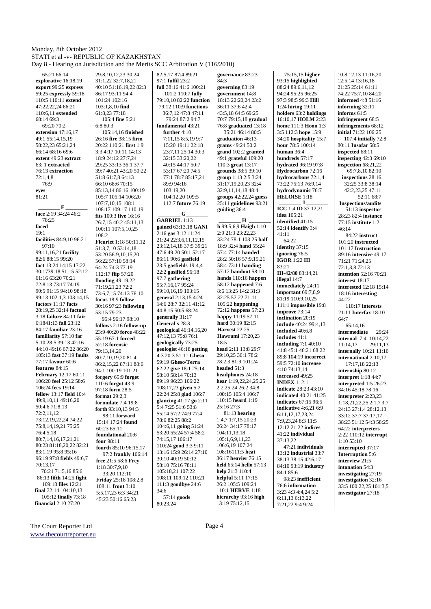#### Monday, 8th October 2012 STATI et al -v- REPUBLIC OF KAZAKHSTAN Day 8 - Hearing on Jurisdiction and the Merits SCC Arbitration V (116/2010)

65:21 66:14 **explorative** 16:18,19 **export** 99:25 **express** 59:25 **expressly** 59:18 110:5 110:11 **extend** 47:22,22,24 66:21 110:6,11 **extended** 68:14 69:3 69:20 70:2 **extension** 47:16,17 49:1 55:14,15,19 58:22,23 65:21,24 66:14 68:16 69:6 **extent** 49:23 **extract** 63: 1 **extracted** 76:13 **extraction**  $72:1,4,8$ 76:9 **eyes**  $81.21$  **\_\_\_\_\_\_\_\_ F \_\_\_\_\_\_\_\_ face** 2:19 34:24 46:2 78:25 **faced**  $19.1$ **facilities** 84:9,10 96:21  $97.10$ 99:11,16,21 **facility** 82:6 88:15 99:20 **fact** 13:24 14:15 17:22 30:1739:18 51:15 52:12 61:16 63:20 70:21 72:8,13 73:17 74:19 90:5 91:15 94:10 98:18 99:13 102:1,3 103:14,15 **factors** 11:17 **facts** 28:19,25 32:14 **factual** 3:18 **failure** 84:11 **fair** 6:1841:13 **fall** 23:12 84:17 **familiar** 23:16 **familiarity** 57:10 **far** 5:10 28:5 39:13 42:16 44:10 49:16 67:22 86:20 105:13 **fast** 37:19 **faults** 77:17 **favour** 60:6 **features** 84:15 **February** 12:17 60:11 106:20 **feel** 25:12 58:6 106:24 **fees** 19:14 **fellow** 13:17 **field** 10:4 49:9,10,11 49:16,20 50:4,6 71:8,13 72:2,11,12 73:12,19,22,24 74:22 75:8,14,19,21 75:25 76:4,5,18 80:7,14,16,17,21,21 80:23 81:18,20,22 82:21 83:1,19 95:8 95:16 96:19 97:8 **fields** 49:6,7 70:13,17 70:21 71:5,16 85:6 86:13 **fifth** 14:25 **fight** 109:18 **files** 12:21 **final** 32:14 104:10,13 105:12 **finally** 73:18 **financial** 2:10 27:20

29:8,10,12,23 30:24 31:1,22 32:7,18,21 40:10 51:16,19,22 82:3 86:17 93:11 94:4 101:24 102:16 103:1,8,10 **find** 61:8,23 77:18 105:4 **fine** 5:21 6:8 80:3 105:14,16 **finished** 26:16 **fire** 38:15 **firm** 20:22 110:21 **first** 1:9 3:3 4:17 10:11 14:13 18:9 24:12 27:7,24 29:25 33:13 36:1 37:7 39:7 40:21 43:20 50:22  $51.861.7864.13$ 66:10 68:6 70:15 85:13,14 86:16 100:19 105:7 105:14 106:20 107:7,10,15 108:1 108:17 109:17 110:19 **fits** 100:3 **five** 16:16 26:7,15 40:2 45:11,13 100:11 107:5,10,25  $108.2$ **Fleuriet** 1:18 50:11,12 51:3,7,10 53:14,18 53:20 56:9,10,15,20 56:22 57:10 58:14 64:24 74:3 77:19 112:17 **flip** 57:20 **flooding** 49:19,22 71:19,21,23 72:2 73:6,7,15 74:13 76:10 **focus** 18:9 **follow** 30:16 97:23 **following** 53:15 79:23 95:4 96:17 98:10 **follows** 2:16 **follow-up** 23:9 40:20 **force** 48:22 55:19 67:1 **forced** 52:18 **forensic** 79:13,14,20 80:7,10,19,20 81:4 86:2,15,22 87:11 88:6 94:1 100:19 101:21 **forgery** 65:9 **forget** 110:6 **forgot** 43:9 97:18 **form** 28:5 **format** 29:2,3 **formulate** 7:4 19:8 **forth** 93:10,13 94:3 98:11 **forward** 15:14 17:24 **found** 60:23 65:11 **foundational** 20:6 **four** 98:11 **fourth** 85:10 96:15,17 97:2 **frankly** 106:14 **free** 21:5 58:6 **Frey** 1:18 30:7,9,10 33:20 112:10 **Friday** 25:18 108:2,8 108:11 **front** 3:10 5:5,17,23 6:3 34:21 45:23 50:16 65:23

82:5,17 87:4 89:21 97:1 **fulfil** 23:2 **full** 38:16 41:6 100:21 101:2 110:7 **fully** 79:10,10 82:22 **function** 79:12 110:9 **functions** 36:7,12 47:8 47:11 79:24 87:2 94:7 **fundamental** 43:21 **further** 4:10 7:11,15 8:5,19 9:7 15:20 19:11 22:18 23:7,11 25:14 30:3 32:15 33:20,22 40:15 44:17 50:7 53:17 67:20 74:5 77:1 78:7 85:17,21 89:9 94:16  $103.19,20$ 104:12,20 109:5 112:7 **future** 76:19  **\_\_\_\_\_\_\_\_ G \_\_\_\_\_\_\_\_ GABRIEL** 1:13 **gained** 63:13,18 **GANI** 2:16 **gas** 3:12 11:24 21:24 22:3,6,11,12,15 23:12,14,18 37:5 39:21 47:6 49:20 50:1 52:17 86:11 90:6 **gasfield** 23:5 **gasfields** 19:4,4 22:2 **gasified** 96:18 97:7 **gathering** 95:7,16,17 95:24 99:10,16,19 103:15 **general** 2:13,15 4:24 14:6 28:7 32:11 41:12 44:8,15 50:5 68:24 **generally** 31:17 **General's** 28:3 **geological** 46:14,16,20 47:12,13 75:8 76:1 **geologically** 73:25 **geologist** 46:18 **getting** 4:3 20:3 51:11 **Gheso** 59:19 **Gheso/Terra** 62:22 **give** 18:1 25:14 58:10 58:14 70:13 89:19 96:23 106:22 108:17,23 **given** 5:2 22:24 25:8 **glad** 106:7 **glancing** 41:17 **go** 2:11 5:4 7:25 51:6 53:8 55:14 57:2 74:9 77:4 78:6 82:25 88:2 104:6,11 **going** 51:24 53:20 55:24 57:4 58:2 74:15,17 106:17 110:24 **good** 3:3 9:11 13:16 15:9 26:14 27:10 30:10 40:19 50:12 58:10 75:16 78:11 105:18,21 107:22 108:11 109:12 110:21 111:3 **goodbye** 24:6  $34.6$ 57:14 **goods** 80:23,24

84:3 **governing** 83:19 **government** 14:8 18:13 22:20,24 23:2 36:11 37:6 42:4 43:5,18 64:5 69:25 70:7 79:15,18 **gradual** 76:8 **graduated** 13:18 35:21 46:14 80:5 **graduation** 46:13 **grams** 49:24 50:2 **grand** 102:2 **granted** 49:1 **grateful** 109:20 110:3 **great** 13:17 **grounds** 38:5 39:10 **group** 1:13 2:5 3:24 31:17,19,20,23 32:4 32:9,11,14,18 48:4 **groups** 42:22,24 **guess** 25:11 **guidelines** 93:21 **guiding** 36:4  **\_\_\_\_\_\_\_\_ H \_\_\_\_\_\_\_\_ h** 99:5,6,9 **Haigh** 1:10 2:9 21:3 23:22,23 33:24 78:1 103:25 **half** 18:9 32:4 **hand** 55:24 57:4 77:14 **handed** 28:2 50:16 57:9,15,21 58:4 73:11 **handing** 57:12 **handout** 58:10 **hands** 110:16 **happen** 58:12 **happened** 7:6 8:6 13:25 14:2 31:3 32:25 57:22 71:11 105:22 **happening** 72:12 **happens** 57:23 **happy** 11:19 57:11 **hard** 30:19 82:15 **Harvest** 22:25 **Hawrami** 17:20,23 18:5 **head** 2:11 13:8 29:7 29:10,25 36:1 78:2 78:2,3 81:9 101:24 **headed** 51:3 **headphones** 24:18 **hear** 1:19,22,24,25,25 2:2 25:24 26:2 34:8 100:15 105:4 106:7 110:15 **heard** 1:19 25:16 27:3 81:13 **hearing** 1:4,7 1:7,15 20:23 26:24 34:17 78:17 104:11,13,18 105:1,6,9,11,23 106:6,19 107:24 108:16111:5 **heat** 36:17 **heavier** 76:15 **held** 65:14 **hello** 57:13 **help** 21:3 110:4 **helpful** 5:11 17:15 26:2 105:5 109:24 110:1 **HERVE** 1:18 **hierarchy** 93:16 **high** 13:19 75:12,15

**governance** 83:23

75:15,15 **higher** 93:15 **highlighted** 88:24 89:6,11,12 94:24 95:25 96:25 97:3 98:5 99:3 **Hill** 1:24 **hiring** 19:11 **holders** 63:2 **holdings** 16:10,17 **HOLM** 2:23 **home** 111:3 **Hoon** 1:3 3:5 112:3 **hope** 15:9 34:20 **hospitality** 15:7 **hour** 78:5 100:14 **human** 36:4 **hundreds** 57:17 **hydrated** 96:19 97:8 **Hydrocarbon** 72:16 **hydrocarbons** 72:1,4 73:22 75:13 76:9,14 **hydrodynamic** 76:7 **HELOISE** 1:18  **\_\_\_\_\_\_\_\_ I \_\_\_\_\_\_\_\_ ICC** 1:4 **ID** 37:12,21 **idea** 105:21 **identified** 41:15 52:14 **identify** 3:4 41:11 64:22 **identity** 37:15 **ignoring** 76:5 **IGOR** 1:22 **III** 83:21 **III-42/80** 83:14,21 **illegal** 14:7 **immediately** 24:11 **important** 69:7,8,9 81:19 110:9,10,25 111:1 **impossible** 19:8 **improve** 73:14 **inclination** 20:19 **include** 40:24 99:4,13 **included** 40:6,8 **includes** 41:1 **including** 7:1 40:10 41:8 45:1 46:21 68:22 89:8 104:19 **incorrect** 59:5 72:10 **increase** 4:10 74:13,14 **increased** 49:25 **INDEX** 112:1 **indicate** 28:23 43:10 **indicated** 40:21 41:25 **indicates** 67:15 96:5 **indicative** 4:6,21 6:9 6:11,12,17,23,24 7:9,23,24 8:3 11:5 12:12 21:22 **indices** 41:22 **individual** 37:13,22 47:21 **individuals** 13:12 **industrial** 33:7 38:13 38:15 42:6,17 84:10 93:19 **industry** 84:1 85:6 98:23 **inefficient** 76:6 **information** 3:23 4:3 4:4,24 5:2  $6:11,13,6:13,22$ 7:21,22 9:4 9:24

10:8,12,13 11:16,20 12:5,14 13:16,18 21:25 25:14 61:11 74:22 75:7,10 84:20 **informed** 4:8 51:16 **informing** 32:11 **informs** 61:5 **infringement** 68:5 **infringements** 68:12 **initial** 71:22 106:25 107:4 **initially** 72:8 80:11 **Insofar** 58:5 **inspected** 68:11 **inspecting** 42:3 69:10 **inspection** 68:21,22 69:7,8,10 82:10 **inspections** 28:16 32:25 33:8 38:14 42:2,23,25 47:11 52:11 68:7 **Inspections/audits** 51:13 **inspector** 28:23 82:4 **instance** 77:15 **institute** 1:2 46:14 84:22 **instruct** 101:20 **instructed** 101:17 **Instruction** 89:16 **intensive** 49:17 71:21 71:24,25 72:1,3,8 72:13 **intention** 52:16 70:21 **interest** 18:17 **interested** 12:18 15:14 18:16 **interesting** 44:22 110:17 **interests** 21:11 **Interfax** 18:10 64:7 65:14,16 **intermediate** 29:24 **internal** 7:4 10:14,22<br>11:14 17 29:11 13  $29:11.13$ **internally** 10:21 11:10 **international** 2:10,17 17:17,18 22:13 **internship** 80:12 **interpret** 1:18 44:7 **interpreted** 1:5 26:23 34:16 45:18 78:16 **interpreter** 2:23,23 1:18,21,22,25 2:1,7 3:7 24:13 27:1,4 28:12,13 33:12 37:7 37:17,17 38:23 51:12 54:3 58:25 64:22 **interpreters** 2:22 110:12 **interrupt** 1:10 53:10 **interrupted** 37:17 **Interruption** 5:6 **interview** 21:5 **intonation** 54:3 **investigating** 27:19 **investigation** 32:16 33:5 100:22,25 101:3,5 **investigator** 27:18

The Court Reporter Ltd Page 4 www.thecourtreporter.eu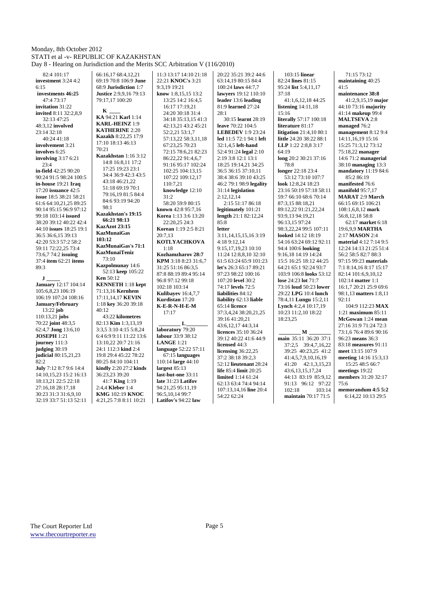#### Monday, 8th October 2012 STATI et al -v- REPUBLIC OF KAZAKHSTAN Day 8 - Hearing on Jurisdiction and the Merits SCC Arbitration V (116/2010)

82:4 101:17 **investment** 3:24 4:2 6:15 **investments 46:25**  47:4 73:17 **invitation** 31:22 **invited** 8:11 32:2,8,9 32:13 47:25 48:3,12 **involved** 23:14 32:18 40:24 41:18 **involvement** 3:21 **involves** 6:25 **involving** 3:17 6:21  $23.4$ **in-field** 42:25 90:20 90:24 91:5 98:24 100:5 **in-house** 19:21 **Iraq** 17:20 **issuance** 42:5 **issue** 18:5 38:21 58:21 61:6 64:10,21,25 89:25 90:14 95:15 96:9 97:12 99:18 103:14 **issued** 38:20 39:12 40:22 42:4 44:10 **issues** 18:25 19:1 36:5 36:6,15 39:13 42:20 53:3 57:2 58:2 59:11 72:22,25 73:4 73:6,7 74:2 **issuing** 37:4 **item** 62:21 **items** 89:3  **J \_\_\_\_\_ January** 12:17 104:14

105:6,8,23 106:19 106:19 107:24 108:16 **January/February** 13:22 **job** 110:13,21 **jobs** 70:22 **joint** 48:3,5 62:4,7 **Jong** 13:6,10 **JOSEPH** 1:21 **journey** 111:3 **judging** 30:19 **judicial** 80:15,21,23  $82:2$ **July** 7:12 8:7 9:6 14:4 14:10,15,23 15:2 16:13 18:13,21 22:5 22:18 27:16,18 28:17,18 30:23 31:3 31:6,9,10 32:19 33:7 51:13 52:11 66:16,17 68:4,12,21 69:19 70:8 106:9 **June** 68:9 **Jurisdiction** 1:7 **Justice** 2:9,9,16 79:13 79:17,17 100:20  $\mathbf{K}$ **KA** 94:21 **Karl** 1:14 **KARL-HEINZ** 1:9 **KATHERINE** 2:20 **Kazakh** 8:22,25 17:9 17:10 18:13 46:13 70:21 **Kazakhstan** 1:16 3:12 14:8 16:8,11 17:2 17:25 19:23 23:1 34:4 36:9 42:3 43:5  $43.1846.2122$ 51:18 69:19 70:1 79:16,19 81:5 84:4 84:6 93:19 94:20  $98.1$ **Kazakhstan's 19:15 66:21 98:13 KazAzot 23:15 KazMunaiGas 103:12 KazMunaiGas's 71:1 KazMunaiTeniz**  73:10 **Kazpolmunay** 14:6 52:13 **keep** 105:22 **Ken** 50:12 **KENNETH** 1:18 **kept** 71:13,16 **Kernhem** 17:11,14,17 **KEVIN** 1:18 **key** 36:20 39:18 40:12 43:22 **kilometres** 82:13 **Kim** 1:3,13,19 3:3,5 3:10 4:15 5:8,24 6:4 6:9 9:11 11:22 13:6 13:10,22 20:7 21:16 24:1 112:3 **kind** 2:4 19:8 29:4 45:22 78:22 80:25 84:10 104:11 **kindly** 2:20 27:2 **kinds** 36:23,23 39:20

41:7 **King** 1:19 2:4,4 **Kleber** 1:4 **KMG** 102:19 **KNOC** 4:21,25 7:8 8:11 10:21

34:18 35:13,15 41:3 42:13,21 43:2 45:21 52:2,21 53:1,7 57:13,22 58:3,11,18 67:23,25 70:23 72:15 78:6,21 82:23 86:22,22 91:4,6,7 91:16 95:17 102:24 102:25 104:13,15 107:22 109:12,17 110:7,21 **knowledge** 12:10  $31.2$ 58:20 59:9 80:15 **known** 42:8 95:7,16 **Korea** 1:13 3:6 13:20 22:20,25 24:3 **Korean** 1:19 2:5 8:21  $20:7,13$ **KOTLYACHKOVA**  1:18 **Kozhamzharov 28:7 KPM** 3:18 8:23 31:6,7 31:25 51:16 86:3,5 87:8 88:19 89:4 95:14 96:8 97:12 99:18 102:18 103:14 **Kulibayev** 16:4,7,7 **Kurdistan** 17:20 **K-E-R-N-H-E-M** 17:17  **\_\_\_\_\_\_\_\_ L \_\_\_\_\_\_\_\_ laboratory** 79:20 **labour** 33:9 38:12 **LANGE** 1:21 **language** 52:22 57:11 67:15 **languages** 110:14 **large** 44:10 **largest** 85:13 **last-but-one** 33:11 **late** 31:23 **Latifov**

94:21,25 95:11,19 96:5,10,14 99:7 **Latifov's** 94:22 **law**

11:3 13:17 14:10 21:18 22:21 **KNOC's** 3:21 9:3,19 19:21 **know** 1:8,15,15 13:2 13:25 14:2 16:4,5 16:17 17:19,21 24:20 30:18 31:4

20:22 35:21 39:2 44:6 63:14,19 80:15 84:4 100:24 **laws** 44:7,7 **lawyers** 19:12 110:10 **leader** 13:6 **leading** 81:9 **learned** 27:24 28:1 30:15 **learnt** 28:19 **leave** 70:22 104:5 **LEBEDEV** 1:9 23:24 **led** 11:5 72:1 94:1 **left** 32:1,4,5 **left-hand** 52:4 91:24 **legal** 2:10 2:19 3:8 12:1 13:1 18:25 19:14,21 34:25 36:5 36:15 37:10,11 38:4 38:6 39:10 43:25 46:2 79:1 98:9 **legality** 31:14 **legislation** 2:12,12,14 2:15 51:17 86:18 **legitimately** 101:21 **length** 21:1 82:12,24  $85.8$ **letter** 3:11,14,15,15,16 3:19 4:18 9:12,14 9:15,17,19,23 10:10 11:24 12:8,8,10 32:10 61:5 63:24 65:9 101:23 **let's** 26:3 65:17 89:21 97:23 98:22 100:16 107:20 **level** 30:2 74:17 **levels** 72:5 **liabilities** 84:12 **liability** 62:13 **liable** 65:14 **licence** 37:3,4,24 38:20,21,25 39:16 41:20,21 43:6,12,17 44:3,14 **licences** 35:10 36:24 39:12 40:22 41:6 44:9 **licensed** 44:3 **licensing** 36:22,25 37:2 38:18 39:2,3 52:12 **lieutenant** 28:24 **life** 85:4 **limit** 20:25 **limited** 1:14 61:24 62:13 63:4 74:4 94:14 107:13,14,16 **line** 20:4

103:15 **linear** 82:24 **lines** 81:15 95:24 **list** 5:4,11,17  $37.18$ 41:1,6,12,18 44:25 **listening** 14:11,18  $15.16$ **literally** 57:17 100:18 **literature** 81:17 **litigation** 21:4,10 80:1 **little** 24:20 38:22 88:1 **LLP** 1:22 2:8,8 3:17 64:19 **long** 20:2 30:21 37:16 78:8 **longer** 22:18 23:4 53:12 73:10 107:7 **look** 12:8,24 18:23 23:16 50:19 57:18 58:11 59:7 66:10 68:6 70:14 87:3,15 88:18,21 89:12,22 91:21,22,24 93:9,13 94:19,21 96:13,15 97:24 98:3,22,24 99:5 107:11 **looked** 14:12 18:19 54:16 63:24 69:12 92:11 94:4 100:6 **looking** 9:16,18 14:19 14:24 15:5 16:25 18:12 44:25 64:21 65:1 92:24 93:7 103:9 106:8 **looks** 53:12 **lose** 24:23 **lot** 71:7 73:16 **loud** 50:23 **lower** 29:22 **LPG** 10:4 **lunch** 78:4,11 **Lungu** 15:2,11 **Lynch** 4:2,4 10:17,19 10:23 11:2,10 18:22 18:23,25  $\mathbf{M}$ **main** 35:11 36:20 37:1 37:2,5 39:4,7,16,22 39:25 40:23,25 41:2 41:4,5,7,9,10,16,19

> $41:20$   $42:1,3,15,23$ 43:6,13,15,17,24 44:13 83:19 85:9,12 91:13 96:12 97:22 102:18 103:14 **maintain** 70:17 71:5

71:15 73:12 **maintaining** 40:25  $41.5$ **maintenance 38:8**  41:2,9,15,19 **major** 44:10 73:16 **majority** 41:14 **makeup** 99:4 **MALTSEVA** 2:8 **managed** 76:2 **management** 8:12 9:4 14:11,16,19 15:16 15:25 71:3,12 73:12 75:18,22 **manager** 14:6 71:2 **managerial** 38:10 **managing** 13:3 **mandatory** 11:19 84:6 85:2 86:19 **manifested** 76:6 **manifold** 95:7,17 **MARAT** 2:9 **March** 66:15 69:15 106:21 108:1,6,8,12 **mark** 56:8,12,18 58:8 62:17 **market** 6:18 19:6,9,9 **MARTHA** 2:17 **MASON** 2:4 **material** 4:12 7:14 9:5 12:24 14:13 21:25 51:4 56:2 58:5 82:7 88:3 97:15 99:23 **materials** 7:1 8:14,16 8:17 15:17 82:14 101:6,9,10,12 102:14 **matter** 1:1 16:1,7 20:21 25:9 69:6 98:1,13 **matters** 1:8,11 92:11 104:9 112:23 **MAX** 1:21 **maximum** 85:11 **McGowan** 1:24 **mean** 27:16 31:9 71:24 72:3 73:1,6 76:4 89:6 90:16 96:23 **means** 36:3 83:18 **measures** 91:11 **meet** 13:15 107:9 **meeting** 14:16 15:3,13  $15.2548.5667$ 

**members** 31:20 32:17 75:6 **memorandum 4:5 5:2**  6:14,22 10:13 29:5

**meetings** 19:22

54:22 62:24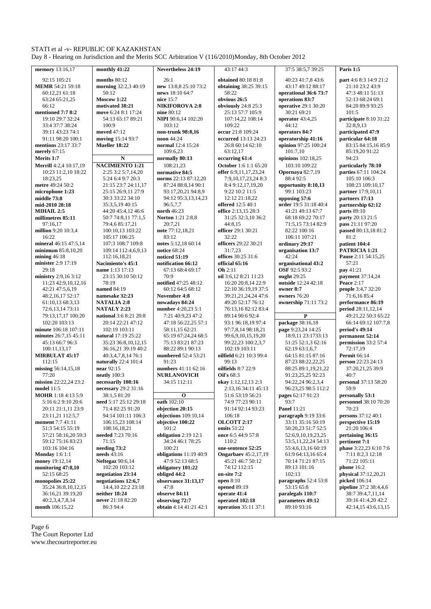Day 8 - Hearing on Jurisdiction and the Merits SCC Arbitration V (116/2010) Monday, 8th October 2012

| memory 13:16,17                       | monthly 41:22                                | Nevertheless 24:19                      | 43:17 44:3                                     | 37:5 38:5,7 39:25                        | Paris 1:5                                                              |
|---------------------------------------|----------------------------------------------|-----------------------------------------|------------------------------------------------|------------------------------------------|------------------------------------------------------------------------|
| 92:15 105:21                          | months 80:12                                 | 26:1                                    | <b>obtained</b> 80:18 81:8                     | 40:23 41:7,8 43:6                        | part 4:6 8:3 14:9 21:2                                                 |
| <b>MEMR</b> 54:21 59:18               | morning 32:2,3 40:19                         | new 13:8,8 25:10 73:2                   | obtaining 38:25 39:15                          | 43:17 49:12 88:17                        | 21:10 23:2 43:9                                                        |
| 60:12,21 61:18                        | 50:12                                        | news 18:10 64:7                         | 58:22                                          | operational 36:6 73:7                    | 47:3 48:11 51:13                                                       |
| 63:24 65:21,25                        | Moscow 1:22                                  | nice 15:7                               | obvious 26:5                                   | operations 83:7                          | 52:13 68:24 69:1                                                       |
| 66:12                                 | motivated 38:21                              | <b>NIKIFOROVA 2:8</b>                   | obviously 24:8 25:3                            | <b>operative</b> 29:1 30:20              | 84:20 89:9 93:25                                                       |
| mentioned 7:7 8:2                     | move 6:24 8:1 17:24                          | nine 80:12                              | 25:13 57:7 105:9                               | 30:21 69:21                              | 101:5                                                                  |
| 19:10 29:7 32:24                      | 54:13 65:17 89:21                            | <b>NIPI</b> 90:6,14 102:20              | 107:14,22 108:14                               | operator $43:4,25$                       | participate 8:10 31:22                                                 |
| 33:4 37:7 38:24                       | 100:9                                        | 103:12                                  | 109:22                                         | 44:12                                    | 32:8,9,13                                                              |
| 39:11 43:23 74:1                      | moved 47:12                                  | non-trunk 98:8,16                       | occur 21:8 109:24                              | operators 84:7                           | participated 47:9                                                      |
| 91:11 98:20 100:1                     | moving 15:14 93:7                            | noon 44:24                              | occurred 13:13 24:23                           | operatorship 41:16                       | particular 64:18                                                       |
| mentions 23:17 33:7                   | Mueller 18:22                                | normal 12:4 15:24                       | 26:8 60:14 62:10                               | opinion 97:25 100:24                     | 83:15 84:15,16 85:9                                                    |
| merely $67:15$                        | $\mathbf N$                                  | 109:6.23                                | 63:12,17                                       | 101:7,10                                 | 85:19,20 91:22                                                         |
| Merits 1:7                            |                                              | normally 80:13                          | occurring 61:4                                 | opinions 102:18,25                       | 94:23                                                                  |
| Merrill 4:2,4 10:17,19                | <b>NACIMIENTO 1:21</b><br>2:25 3:2 5:7,14,20 | 108:21,23<br>normative 84:5             | October 1:6 1:1 65:20<br>offer 6:9,11,17,23,24 | 103:10 109:22<br><b>Opornaya</b> 82:7,19 | particularly 78:10<br>parties 67:11 104:24                             |
| 10:23 11:2,10 18:22<br>18:23,25       | 5:24 6:4 9:7 20:3                            | norms 22:13 87:12,20                    | 7:9,10,17,23,24 8:3                            | 88:4 92:5                                | 105:10 106:3                                                           |
| metre 49:24 50:2                      | 21:15 23:7 24:11,17                          | 87:24 88:8,14 90:1                      | 8:4 9:12,17,19,20                              | opportunity 8:10,13                      | 108:23 109:10,17                                                       |
| microphone 1:23                       | 25:15 26:9,11 27:9                           | 93:17,20,21 94:8,9                      | 9:22 10:2 11:5                                 | 99:1 103:23                              | partner 17:9,10,11                                                     |
| middle 73:8                           | 30:3 33:22 34:10                             | 94:12 95:3,13,14,23                     | 12:12 21:18,22                                 | opposing 57:6                            | partners 17:13                                                         |
| mid-2010 28:18                        | 35:3,5,19 40:15                              | 96:5,7,7                                | <b>offered</b> 12:5 40:1                       | order 19:5 31:18 40:4                    | partnership 62:12                                                      |
| <b>MIHAIL 2:5</b>                     | 44:20 45:4,12 46:6                           | north 46:23                             | office 2:13,15 28:3                            | 41:21 49:13 67:7                         | parts 89:10                                                            |
| millimetres 85:11                     | 50:7 74:8,11 77:1,5                          | Norton 1:21 2:8,8                       | 31:25 32:3,10 36:2                             | 68:18 69:22 70:17                        | <b>party</b> 20:13 21:5                                                |
| 97:16,17                              | 79:4,6 85:17,21                              | 20:7,21                                 | 44:8,15                                        | 71:5,15 73:14 82:9                       | pass 21:11 97:20                                                       |
| million 9:20 10:3,4                   | 100:10,13 103:22                             | note 77:12,18,21                        | officer 29:1 30:21                             | 82:22 100:16                             | passed 80:13,18 81:2                                                   |
| 16:22<br>mineral 46:15 47:5,14        | 105:17 106:25<br>107:3 108:7 109:8           | 83:12<br>notes 5:12,18 60:14            | 32:22<br>officers 29:22 30:21                  | 106:11 107:21<br>ordinary 29:17          | 81:2<br>patient 104:4                                                  |
| minimum $85:8,10,20$                  | 109:14 112:4,6,9,13                          | notice 68:24                            | 31:7.23                                        | organisation 13:7                        | <b>PATRICIA 1:21</b>                                                   |
| mining $46:18$                        | 112:16,18,21                                 | noticed 51:19                           | offices 30:25 31:6                             | 42:24                                    | Pause 2:11 54:15,25                                                    |
| minister 2:9 17:19                    | Nacimiento's 45:1                            | notification 66:12                      | official 65:16                                 | organisational 43:2                      | 57:21                                                                  |
| 29:18                                 | name 1:13 17:13                              | 67:13 68:4 69:17                        | <b>Oh</b> 2:11                                 | <b>OSF</b> 92:5 93:2                     | pay 41:21                                                              |
| ministry $2:9,163:12$                 | 23:15 30:10 50:12                            | 70:9                                    | oil 3:6,12 8:21 11:23                          | ought 29:25                              | payment 37:14,24                                                       |
| 11:23 42:9,10,12,16                   | 78:19                                        | notified 47:25 48:12                    | 16:20 20:8,14 22:9                             | outside 12:24 42:18                      | <b>Peace 2:17</b>                                                      |
| 42:21 47:5,6,19                       | named 84:19                                  | 60:12 64:5 68:12                        | 22:10 36:19,19 37:5                            | owner 8:7                                | people 3:4,7 32:20                                                     |
|                                       |                                              |                                         |                                                |                                          |                                                                        |
| 48:2,16,17 52:17                      | namesake 32:23                               | November 4:8                            | 39:21,21,24,24 47:6                            | owners 76:20                             | 71:6,16 85:4                                                           |
| 61:10,13 68:3,13                      | <b>NATALIA 2:8</b>                           | nowadays 84:24                          | 49:20 52:17 76:12                              | ownership 71:11 73:2                     | performance 86:19                                                      |
| 72:6,13,14 73:11                      | <b>NATALY 2:23</b>                           | number 4:20,23 5:1                      | 76:13,16 82:12 83:4                            |                                          | <b>period</b> 28:11,12,14                                              |
| 79:13,17,17 100:20                    | national 3:6 8:21 20:8                       | 7:21 40:9,23 47:2                       | 89:14 90:6 92:4                                | $\mathbf{P}$                             |                                                                        |
| 102:20 103:13                         | 20:14 22:21 47:12                            | 47:18 56:22,25 57:1                     | 93:1 96:18,19 97:4                             | package 38:16,18                         | 49:21,22 50:3 65:22<br>66:14 69:12 107:7,8                             |
| minute 106:18 107:11                  | 102:19 103:11                                | 58:11,15 62:21                          | 97:7,8,14 98:18,21                             | page 9:23,24 14:25                       | period's 49:14                                                         |
| minutes 26:7,15 45:11                 | natural 17:19 25:22                          | 65:19 67:24,24 68:5                     | 99:6,9,10,15,19,20                             | 18:9,11 23:1733:13                       | permanent 52:14                                                        |
| 45:13 66:7 96:3                       | 35:23 36:8,10,12,15                          | 75:13 83:21 87:23                       | 99:22,23 100:2,3,7<br>102:19 103:11            | 51:25 52:1,3 62:16                       | permission 33:2 57:4                                                   |
| 100:11,13,17<br><b>MIRBULAT 45:17</b> | 36:16,21 39:19 40:2<br>40:3,4,7,8,14 76:1    | 88:22 89:1 90:13<br>numbered 52:4 53:21 | oilfield 6:21 10:3 99:4                        | 62:19 63:1,6,7<br>64:15 81:15 87:16      | 72:17,19<br><b>Permit 66:14</b>                                        |
| 112:15                                | naturally 22:4 101:4                         | 91:23                                   | 99:13                                          | 87:23 88:22,22,25                        | person 22:23 24:13                                                     |
| missing 56:14,15,18                   | near 92:15                                   | numbers 41:11 62:16                     | oilfields 8:7 22:9                             | 88:25 89:1,19,21,22                      | 37:20,21,25 39:9                                                       |
| 77:20                                 | neatly $100:3$                               | <b>NURLANOVICH</b>                      | <b>Oil's 68:3</b>                              | 91:23,25,25 92:23                        | 40:7                                                                   |
| mission 22:22,24 23:2                 | necessarily 108:16                           | 34:15 112:11                            | okay 1:12,12,13 2:3                            | 94:22,24 96:2,3,4                        | personal 37:13 58:20                                                   |
| <b>model</b> 11:5                     | necessary 29:2 31:16                         |                                         | 2:13,16 34:11 45:13                            | 96:23,25 98:5 112:2                      | 59:9                                                                   |
| <b>MOHR</b> 1:18 4:13 5:9             | 38:1,5 81:20                                 | $\bf{0}$                                | 51:6 53:19 56:21                               | pages 62:17 91:23                        | personally 53:1                                                        |
| 5:16 6:2 9:10 20:6                    | need 5:17 25:12 29:18                        | oath 102:10                             | 74:9 77:23 90:11                               | 93:7                                     |                                                                        |
| 20:11 21:1,11 23:9                    | 71:4 82:25 91:20                             | objection 20:15                         | 91:14 92:14 93:23                              | <b>Panel 11:21</b>                       | 70:23                                                                  |
| 23:11,21 112:5,7                      | 94:14 101:11 106:3                           | objections $109:10,14$                  | 106:18                                         | paragraph 9:19 33:6                      | persons 37:12 40:1                                                     |
| moment 7:7 41:11<br>51:3 54:15 55:19  | 106:15,23 108:14<br>108:16,18,21             | objective 100:22<br>101:2               | OLCOTT 2:17<br>omits 51:22                     | 33:11 35:16 50:19<br>50:20,23 51:7 52:5  | perspective 15:19<br>21:20 106:4                                       |
| 57:21 58:16,20 59:3                   | needed 7:23 70:16                            | obligation 2:19 12:1                    | once 6:5 44:9 57:8                             | 52:6,9,10,19,23,25                       | pertaining 36:15                                                       |
| 59:12 75:16 83:23                     | 71:15                                        | 34:24 46:1 78:25                        | 110:2                                          | 53:5, 11, 22, 24 54: 13                  | pertinent 7:1                                                          |
| 103:16 104:16                         | needing 73:2                                 | 100:21                                  | one-sentence 52:25                             | 55:4,6,13,16 60:19                       |                                                                        |
| <b>Monday</b> 1:6 1:1                 | needs $43:16$                                | obligations 11:19 40:9                  | <b>Ongarbaev</b> 45:2,17,19                    | 61:9 64:13,16 65:4                       | 7:11 8:2,3 12:18                                                       |
| money 19:12,14                        | <b>Neftegaz</b> 90:6,14                      | 47:9 52:13 68:5                         | 45:21 46:7 50:12                               | 70:14 71:21 87:15                        | 71:22 105:11                                                           |
| monitoring 47:8,10                    | 102:20 103:12                                | obligatory 101:22                       | 74:12 112:15                                   | 89:13 101:16                             | phone $16:2$                                                           |
| 52:15 68:25                           | negotiation 23:14                            | obliged 44:2                            | on-site 7:2                                    | 102:13                                   | physical 37:12,20,21                                                   |
| monopolies 25:22                      | negotiations 12:6,7                          | observance 31:13,17                     | open $8:10$                                    | paragraphs 52:4 53:8                     | picked 106:14                                                          |
| 35:24 36:8,10,12,15                   | 14:4,10 22:2 23:18                           | 47:8                                    | opened 89:19                                   | 53:15 65:8                               | pipeline 37:2 38:4,4,6                                                 |
| 36:16,21 39:19,20<br>40:2,3,4,7,8,14  | neither 18:24<br>never 21:18 82:20           | observe $84:11$<br>observing 72:7       | operate 41:4<br>operated 102:18                | paralegals 110:7<br>parameters 49:12     | 38:7 39:4,7,11,14<br>39:16 41:4,20 42:2                                |
| month 106:15,22                       | 86:3 94:4                                    | obtain 4:14 41:21 42:1                  | operation 35:11 37:1                           | 89:10 93:16                              | personnel 38:10 70:20<br>phase 3:22,23 6:10 7:6<br>42:14,15 43:6,13,15 |

Page 6

The Court Reporter Ltd www.thecourtreporter.eu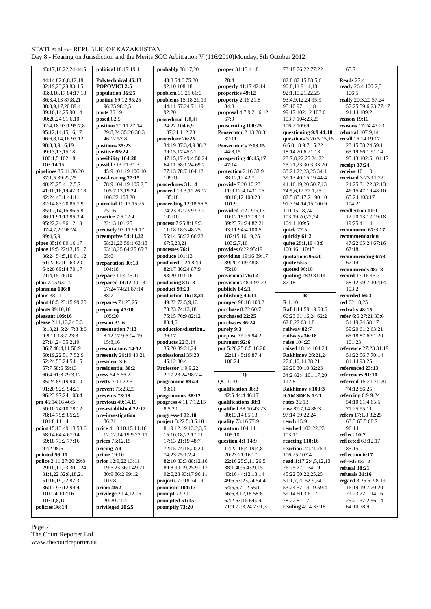Day 8 - Hearing on Jurisdiction and the Merits SCC Arbitration V (116/2010) Monday, 8th October 2012

| 43:17,18,22,24 44:5             | political 18:17 19:1        | probably 28:17,20                                | proper 31:13 41:8                       | 73:18 76:22 77:22                  | 65:7                                  |
|---------------------------------|-----------------------------|--------------------------------------------------|-----------------------------------------|------------------------------------|---------------------------------------|
| 44:14 82:6,8,12,18              | Polytechnical 46:13         | 43:8 54:6 75:20                                  | 78:4                                    | 82:8 87:15 88:5,6                  | <b>Reads</b> 27:4                     |
| 82:19.23.23 83:4.5              | POPOVICI 2:5                | 92:10 108:18                                     | properly 41:17 42:14                    | 90:8,11 91:4,18                    | ready 26:4 100:2,3                    |
| 83:8, 16, 17 84: 17, 18         | population 36:25            | problem 31:21 61:6                               | properties 49:12                        | 92:1, 10, 21, 22, 25               | 106:5                                 |
| 86:3,4,13 87:8,21               | portion 89:12 95:25         | problems 15:18 21:19                             | property $2:1621:8$                     | 93:4.9.12.24 95:9                  | really 20:3,20 57:24                  |
| 88:3.9.17.20 89:4               | 96:25 98:2,5                | 44:11 57:24 71:19                                | 84:8                                    | 95:10 97:11,18                     | 57:25 59:6,23 77:17                   |
| 89:10,14,25 90:14               | ports 36:19                 | 92:20                                            | proposal 4:7,9,21 6:12                  | 99:17 102:12 103:6                 | 94:14 109:2                           |
| 90:20,24 91:6,10                | posed 82:5                  | procedural 1:8,11                                | 67:9                                    | 103:7 104:23,25                    | reason $19:10$                        |
| 92:4,18 93:1 95:7,8             | position 20:11 27:14        | 24:22 104:6,9                                    | prosecuting 100:25                      | 106:2 109:9                        | reasons 17:24 47:23                   |
| 95:12,14,15,16,17               | 29:8,24 35:20 36:3          | 107:21 112:23                                    | <b>Prosecutor 2:13 28:3</b>             | questioning 9:9 44:18              | rebuttal 107:9,14                     |
| 96:6,8,14,16 97:12              | 46:12 57:8                  | procedure 26:25                                  | 32:11                                   | questions 3:20 5:15,16             | recall 16:14 19:17                    |
| 98:8,8,9,16,19                  | positions 35:23             | 34:19 37:3.4.9 38:2                              | Prosecutor's 2:13,15                    | 6:6 8:18 9:7 15:22                 | 23:15 58:24 59:1                      |
| 99:13,13,15,18                  | positive 65:24              | 39:15,17 45:21                                   | 44:8,15                                 | 18:14 20:6 21:13                   | 65:19 66:1 91:14                      |
| 100:1,5 102:18                  | possibility 104:20          | 47:15,17 49:4 50:24                              | prospecting 46:15,17                    | 23:7,8,22,25 24:22                 | 95:13 102:6 104:17                    |
| 103:14,15                       | possible 13:21 31:3         | 64:11 68:1,24 69:2                               | 47:14                                   | 25:21,23 30:3 33:20                | receipt 37:24                         |
| pipelines 35:11 36:20           | 45:9 101:19 106:10          | 77:13 78:7 104:12                                | protection 2:16 33:9                    | 33:21,22,23,25 34:1                | receive 101:10                        |
| 37:1,5 39:22,25                 | post-hearing 77:15          | 109:10                                           | 38:12,12 42:7                           | 39:13 40:15,19 44:4                | received 3:23 11:22                   |
| 40:23,25 41:2,5,7               | 78:9 104:19 105:2,5         | procedures 31:14                                 | provide 7:20 10:23                      | 44:16,19,20 50:7,13                | 24:25 31:22 32:13                     |
| 41:10,16,19 42:3,18             | 105:7,13,19,24              | proceed 19:3,11 26:12                            | 11:9 12:4,1431:16                       | 74:5,6,12 77:1,25                  | 46:15 47:19 48:10                     |
| 42:24 43:1 44:11                | 106:22 108:20               | 105:18                                           | 40:10,12 100:23                         | 82:5 85:17,21 90:10                | 65:24 103:17                          |
| 82:14 83:20 85:7,9              | potential 10:17 15:25       | proceeding 12:18 56:5                            | 101:9                                   | 91:3 94:14,15 100:9                | 104:21                                |
| 85:12,14,16 86:5,8              | 75:16                       | 74:23 87:23 93:20                                | provided 7:22 9:5,13                    | 100:15,18,24                       | recollection 11:1                     |
| 86:11 91:13 95:3,4              | <b>practice</b> 7:5 12:4    | 102:10                                           | 10:12 15:17 19:19                       | 103:19,20,22,24                    | 12:20 13:12 19:18                     |
| 95:22,24 96:12,18               | 22:13 101:25                | process 7:25 8:1 9:3                             | 39:23 74:24 82:21                       | 104:1 109:5                        | 19:25 41:14                           |
| 97:4,7,22 98:24                 | precisely 97:11 99:17       | 11:18 18:3 48:25                                 | 93:11 94:4 100:5                        | quick 77:5                         | recommend 67:3,17                     |
| 99:4,6,9                        | preemptive 54:11,22         | 55:14 58:22 66:22                                | 102:15,16,19,25                         | quickly 61:2                       | recommendation                        |
| pipes 85:16 89:16,17            | 58:21,23 59:1 63:13         | 67:5,20,21                                       | 103:2.7.10                              | quite 28:1,19 43:8                 | 47:22 65:24 67:16                     |
| place 19:5 22:13,15,17          | 63:18,25 64:25 65:3         | processes 76:1                                   | provides 6:22 95:19                     | 100:16 110:13                      | 67:18                                 |
| 36:24 54:5,10 61:12             | 65:6                        | produce 101:13                                   | providing 19:16 39:17                   | quotations 95:20                   | recommending 67:3                     |
| 61:22 62:11 63:20               | preparation 30:13           | <b>produced</b> 1:24 82:9                        | 39:20 41:9 48:8                         | quote 65:5                         | 67:14                                 |
| 64:20 69:14 70:17               | 104:18                      | 82:17 86:24 87:9                                 | 75:10                                   | quoted 96:10                       | recommends 48:18                      |
| 71:4,15 76:10                   | prepare 11:4 45:10          | 93:20 103:16                                     | provisional 76:12                       | quoting 28:9 81:14                 | record 17:16 45:7                     |
| plan 72:5 93:14                 | prepared 14:12 30:18        | producing 81:18                                  | provisions 48:4 97:22                   | 87:18                              | 58:12 99:7 102:14                     |
| planning 106:8                  | 67:24 74:21 87:14           | product 99:23                                    | publicly 84:21                          |                                    | 103:2                                 |
|                                 |                             |                                                  |                                         |                                    |                                       |
| plans 38:11                     | 88:7                        | production 16:18,21                              | publishing 40:11                        | $\mathbf R$                        | recorded 66:3                         |
| plant 10:5 23:15 99:20          | prepares $74:23,25$         | 49:22 72:5,9,13                                  | pumped 98:18 100:2                      | R1:10                              | red 62:18,25                          |
| plants 99:10,16                 | preparing 47:10             | 73:23 74:13,18                                   | purchase 8:22 60:7                      | Raf 1:14 59:19 60:6                | redrafts 48:15                        |
| pleasant 109:16                 | 105:20                      | 75:15 76:9 82:12                                 | purchased 22:25                         | 60:23 61:16.24 62:2                | refer 6:6 27:21 33:6                  |
| please 2:11,13,24 3:3           | present 31:6                | 83:4,6                                           | purchases 36:24                         | 62:8,22 63:4,8                     | 51:19,24 58:17                        |
| 3:13,21 5:24 7:8 8:6            | presentation 7:13           | production/distribu                              | purely 9:3                              | railway 82:7                       | 59:20 61:2 63:21                      |
| 9:9,11 18:7 23:8                | 8:12,179:514:19             | 36:17                                            | purpose 79:25 84:2                      | railways 36:18                     | 65:18 87:6 91:20                      |
| 27:14,24 35:2,19                | 15:8,16                     | products $22:3,14$                               | pursuant 92:6                           | raise 104:23                       | 101:23                                |
| 36:7 46:4,11 50:9               | presentations 14:12         | 36:20 39:21,24                                   | put 5:20,25 6:5 16:20                   | raised 18:14 104:24                | reference 27:23 31:19                 |
| 50:19,22 51:7 52:9              | presently 20:19 40:21       | professional 35:20                               | 22:11 45:19 87:4                        | <b>Rakhimov</b> 26:21,24           | 51:22 56:7 70:14                      |
| 52:24 53:24 54:15               | president 3:6               | 46:12 80:4                                       | 100:24                                  | 27:6,10,14 28:21                   | 81:14 93:25                           |
| 57:7 58:6 59:13                 | presidential 36:2           | <b>Professor</b> 1:9,9,22                        |                                         | 29:20 30:10 32:23                  | referenced 23:13                      |
| 60:4 61:8 79:3,12               | press 64:6 65:2             | 2:17 23:24 98:2,4                                | $\mathbf Q$                             | 34:2 82:4 101:17,20                | references 91:10                      |
| 85:24 89:19 90:10               | pretty 7:11 22:5            | programme 89:24                                  | <b>OC</b> 1:10                          | 112:8                              | referred 15:21 71:20                  |
| 91:20 92:3 94:21                | <b>prevent</b> 75:23,25     | 93:11                                            | qualification 38:3                      | Rakhimov's 103:3                   | 74:12 86:25                           |
| 96:23 97:24 103:4               | prevents 73:18              | programmes 38:12                                 | 42:5 44:4 46:17                         | <b>RAMSDEN 1:21</b>                | referring $6:99:24$                   |
| pm 45:14,16 46:5                | previous $49:14,19$         | progress 4:11 7:12,15                            | qualifications 38:1                     | <b>rates</b> 36:13                 | 54:10 61:4 65:5                       |
| 50:10 74:10 78:12               | pre-established 22:12       | 8:5,20                                           | qualified 38:10 43:23<br>80:13,14 85:13 | raw 82:7,14 88:3<br>97:14 99:22,24 | 71:25 95:11                           |
| 78:14 79:5 85:25<br>104:8 111:4 | pre-investigation<br>86:21  | progressed 22:18<br><b>project</b> 3:22 5:3 6:10 | quality 73:16 77:9                      | reach $15:9$                       | refers 17:1,8 32:25<br>63:3 65:5 68:7 |
| point 15:13 49:13 58:6          | price 4:10 10:15 11:16      | 8:19 12:19 13:2,3,6                              | quantum $104:14$                        | reached 102:22,23                  | 96:14                                 |
| 58:14 64:4 67:14                | 12:12,14 19:9 22:11         | 15:10,18,22 17:11                                | 105:10                                  | 103:11                             | reflect 10:7                          |
| 69:18 73:2 77:16                | <b>prices</b> 75:12,15      | 17:13 21:19 48:7                                 | question 4:1 14:9                       | reacting 110:16                    | reflected $63:12,17$                  |
| 97:2 98:6                       | pricing 7:4                 | 72:15 74:15,20,20                                | 17:22 18:4 19:4,8                       | reaction 24:24 25:4                | 85:15                                 |
| pointed 56:11                   | prime 19:10                 | 74:23 75:1,2,4                                   | 20:23 21:16,17                          | 106:25 107:4                       | reflection 6:17                       |
| police 2:11 27:20 29:8          | prior 12:9,22 13:11         | 82:10 83:3 88:12,16                              | 22:16 25:3,11 26:5                      | read 1:17 2:4,5,12,13              | refresh 13:12                         |
| 29:10,12,23 30:1,24             | 19:5,23 36:1 49:21          | 89:8 90:19,25 91:17                              | 38:1 40:5 43:9,15                       | 26:25 27:1 34:19                   | refusal 38:21                         |
| 31:1,22 32:8,18,21              | 80:9 86:2 99:12             | 92:6,23 93:17 96:11                              | 43:16 44:12,13,14                       | 45:22 50:22,25,25                  | refusals 31:16                        |
| 51:16,19,22 82:3                | 103:8                       | <b>projects</b> 72:18 74:19                      | 49:6 53:23,24 54:4                      | 51:1,7,20 52:9,24                  | regard 3:25 5:3 8:19                  |
| 86:17 93:12 94:4                | priori 49:2                 | promised 104:17                                  | 54:5,6,7,12 55:1                        | 53:24 57:14,19 59:4                | 16:19 19:7 20:20                      |
| 101:24 102:16                   | <b>privilege</b> 20:4,12,15 | prompt 73:20                                     | 56:6,8,12,18 58:8                       | 59:14 60:3 61:7                    | 21:23 22:1,14,16                      |
| 103:1,8,10                      | 20:20 21:4                  | prompted 51:15                                   | 62:2 63:15 64:24                        | 78:22 81:17                        | 25:21 37:2 56:14                      |
| policies 36:14                  | privileged 20:25            | promptly 73:20                                   | 71:9 72:3,24 73:1,3                     | reading 4:14 33:18                 | 64:10 78:9                            |

Page 7

The Court Reporter Ltd www.thecourtreporter.eu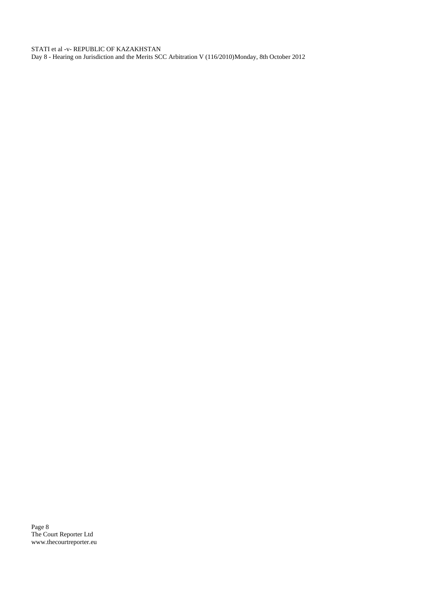STATI et al -v- REPUBLIC OF KAZAKHSTAN Day 8 - Hearing on Jurisdiction and the Merits SCC Arbitration V (116/2010) Monday, 8th October 2012

Page 8 The Court Reporter Ltd www.thecourtreporter.eu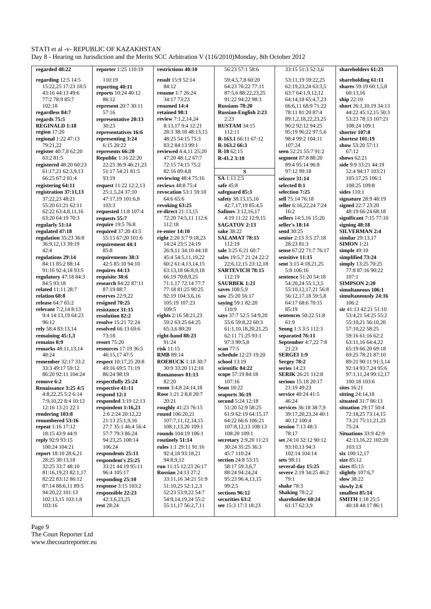Day 8 - Hearing on Jurisdiction and the Merits SCC Arbitration V (116/2010) Monday, 8th October 2012

| regarded 48:22              | reporter 1:25 110:19       | restrictions 40:10                       | 56:23 57:1 58:6                        | 33:15 51:3 52:3.6                 | shareholders 61:23                         |
|-----------------------------|----------------------------|------------------------------------------|----------------------------------------|-----------------------------------|--------------------------------------------|
| regarding $12:5$ 14:5       | 110:19                     | result 15:9 52:14                        | 59:4,5,7,8 60:20                       | 53:11,19 59:22,25                 | shareholding 61:11                         |
| 15:22.25 17:23 18:5         | reporting 40:11            | 84:12                                    | 64:23 76:22 77:11                      | 62:19,23,24 63:3,5                | shares 59:19 60:1,5,8                      |
| 43:16 44:13 49:6            | reports 10:24 40:12        | resume 1:7 26:24                         | 87:5,6 88:22,23,25                     | 63:7 64:1,9,12,12                 | 60:13,16                                   |
| 77:2 78:9 85:7              | 86:12                      | 34:17 73:23                              | 91:22 94:22 98:3                       | 64:14,18 65:4,7,23                | ship $22:10$                               |
| 102:18                      | represent 20:7 30:11       | resumed 14:4                             | <b>Russians 78:20</b>                  | 66:6.11 68:9 71:22                | short 26:1,10,19 34:13                     |
| regardless 84:7             | 57:16                      | retained 98:1                            | <b>Russian-English 2:23</b>            | 78:11 81:20 87:4                  | 44:22 45:12,15 50:3                        |
| regards 75:5                | representative 20:13       | review 7:1,2,14,24                       | 2:23                                   | 89:1,2,18,22,23,25                | 53:23 78:13 107:21                         |
| <b>REGINALD 1:18</b>        | 30:23                      | 8:13,179:412:21                          | <b>RUSTAM 34:15</b>                    | 90:2 92:12 94:25                  | 108:24 109:1                               |
| region $17:20$              | representatives 16:6       | 28:3 38:18 48:13,15                      | 112:11                                 | 95:19 96:22 97:5,6                | shorter 107:8                              |
| regional 1:22 47:13         | representing 3:24          | 48:25 54:15 75:3                         | R-163.1 66:11 67:12                    | 98:4 99:2 104:11                  | shortest 101:19                            |
| 79:21,22                    | 6:15 20:22                 | 83:2 84:13 99:1                          | R-163.2 66:3                           | 107:24                            | show 53:20 57:11                           |
| register 40:7,8 62:20       | represents 66:20           | reviewed 4:4,11 25:20                    | $R-1862:15$                            | seen 52:21 55:7 91:2              | 67:12                                      |
| 63:2 81:5                   | <b>Republic</b> 1:16 22:20 | 47:20 48:1,2 67:7                        | R-41.2 3:10                            | segment 87:8 88:20                | shows $62:21$                              |
| registered 48:20 60:23      | 22:25 36:9 46:21.23        | 72:15 74:15 75:2                         |                                        | 89:4 95:14 96:8                   | side 9:9 33:21 44:19                       |
| 61:17,21 62:3,9,13          | 51:17 54:21 81:5           | 82:16 89:4,8                             | S                                      | 97:12 99:18                       | 52:4 94:17 103:21                          |
| 66:25 67:2 81:4             | 93:19                      | reviewing 48:4 75:16                     | SA 1:13 2:5                            | seizure 31:14                     | 105:17,25 106:1                            |
|                             | request 11:22 12:2,13      | reviews 48:8 75:4                        | safe 45:8                              |                                   | 108:25 109:8                               |
| registering 64:11           |                            | revocation 53:1 59:10                    |                                        | selected 8:1                      | sides 110:1                                |
| registration 37:11,13       | 25:1,5,24 37:10            |                                          | safeguard 85:3                         | selection 7:25                    |                                            |
| 37:22,23 48:21              | 47:17,19 101:6,8           | 64:6 65:6                                | safety 38:13,15,16                     | sell 75:14 76:18                  | signature 28:9 48:19                       |
| 55:20 61:21 62:11           | 103:3                      | revoking 63:25                           | 42:7,17,19 85:4,5                      | seller 6:16,22,24 7:24            | signed 22:7 23:20                          |
| 62:22 63:4,8,11,16          | requested 11:8 107:4       | re-direct 21:13,15                       | <b>Safinov</b> 3:12,16,17              | 16:2                              | 48:19 66:24 68:18                          |
| 63:20 64:19 70:3            | requests 55:7              | 72:20 74:5,11 112:6                      | 4:19 11:22 12:9,15                     | sellers 14:5.16 15:20             | significant $7:1577:10$                    |
| regularly 51:14             | require 19:5 76:8          | 112:18                                   | SAGATOV 2:13                           | seller's 18:14                    | signing $48:18$                            |
| regulated 47:18             | required 37:20 43:5        | re-enter 14:10                           | sake 38:22                             | send 30:25                        | <b>SILVERMAN 2:4</b>                       |
| regulation $35:2336:8$      | 55:15 67:20 101:6          | right 2:20 3:7 9:18,23                   | <b>SALAMAT 78:15</b>                   | senior 2:13 3:5 27:18             | similar $29:13.17$                         |
| 36:9,12,13 39:19            | requirement 44:1           | 14:24 23:5 24:19                         | 112:19                                 | 28:23 81:3                        | <b>SIMON</b> 1:21                          |
| 42:4                        | 85:8                       | 26:9,11 34:10 44:18                      | sale 3:25 6:21 60:7                    | sense 67:22 71:7 76:17            | simple $49:10$                             |
| regulations 29:14           | requirements 38:3          | 45:4 54:5,11,19,22                       | sales 19:5,7 21:24 22:2                | sensitive 11:15                   | simplified 73:24                           |
| 84:11 85:2 88:14            | 42:5 85:10 94:10           | 60:2 61:4,13,14,15                       | 22:6, 12, 15 23: 12, 18                | sent 3:15 4:18,21,25              | simply $13:25\,70:25$                      |
| 91:16 92:4,18 93:5          | requires 44:13             | 63:13,18 66:8,9,18                       | <b>SARTEVICH 78:15</b>                 | 5:8 106:16                        | 77:8 87:16 90:22                           |
| regulatory $47:1884:3$      | requisite 38:6             | 66:19 70:8,9,25                          | 112:19                                 | sentence 51:20 54:18              | 107:1                                      |
| 84:5 93:18                  | research 84:22 87:11       | 71:1,17 72:14 77:7                       | <b>SAURBEK 1:21</b>                    | 54:20,24 55:1,3,5                 | <b>SIMPSON 2:20</b>                        |
| related 11:11 28:7          | 87:19 88:7                 | 77:18 81:25 90:25                        | saves 108:5,9                          | 55:10,12,17,21 56:8               | simultaneous 106:1                         |
| relation 68:8               | reserves 22:9,22           | 92:19 104:3,6,16                         | saw 25:20 56:17                        | 56:12,17,18 59:5,8                | simultaneously 24:16                       |
| release 64:7 65:2           | resigned 70:25             | 105:19 107:23                            | saying 59:1 82:20                      | 64:17 68:6 70:15                  | 106:2                                      |
| relevant 7:2,14 8:13        | resistance 31:15           | 109:5                                    | 110.9                                  | 85:19                             | sir 41:13 42:21 51:10                      |
| 9:4 14:13,19 64:23          | resolution 82:2            | rights 2:16 58:21,23                     | says 37:7 52:5 54:9,20                 | sentences 50:22 51:8              | 53:4,21 54:25 55:2                         |
| 96:12                       |                            |                                          |                                        | 61:9                              |                                            |
|                             | resolve 15:21 72:24        | 59:2 63:25 64:25                         | 55:6 59:8,22 60:3                      |                                   | 55:10,21 56:10,20                          |
| rely 58:4 83:13,14          | resolved 66:13 69:6        | 65:3,6 80:20                             | 61:1, 10, 18, 20, 21, 25               | Seong 1:3 3:5 112:3               | 57:10,22 58:25                             |
| remaining 45:1,3            | 73:18                      | right-hand 88:23                         | 62:11 71:25 93:1                       | separated 76:11                   | 59:16 61:16 62:2                           |
| remains 8:9                 | <b>resort</b> 75:20        | 91:24                                    | 97:3 99:5,8                            | September 4:7,22 7:8              | 63:11,16 64:4,22                           |
| remarks 48:11.13.14         | resources 17:19 36:5       | risk 11:15                               | scan 77:5                              | 21:23                             | 65:19 66:20 69:18                          |
| 48:24                       | 46:15,17 47:5              | <b>RMB</b> 89:14                         | schedule 12:23 19:20                   | <b>SERGEI 1:9</b>                 | 69:25 78:21 87:10                          |
| remember 32:17 33:2         | respect 10:17,25 20:8      | <b>ROEBUCK 1:18 30:7</b>                 | school 13:19                           | Sergey 78:2                       | 89:21 90:11 91:3,14                        |
| 33:3 49:17 59:12            | 49:16 69:5 71:19           | 30:9 33:20 112:10                        | scientific 84:22                       | series 14:23                      | 92:14 93:7,24 95:6                         |
| 86:20 92:11 104:24          | 86:24 98:19                | Romanosov 81:13                          | scope 57:19 84:18                      | <b>SERIK 26:21 112:8</b>          | 97:1,11,24 99:12,17                        |
| remove 6:2                  | respectfully 25:24         | 82:20                                    | 107:16                                 | serious 15:18 20:17               | 100:18 103:6                               |
| Renaissance 3:25 4:5        | respective 41:11           | room $3:4,8$ 24:14,18                    | <b>Sean 18:22</b>                      | 21:19 49:23                       | sites 16:21                                |
| 4:8,22,25 5:2 6:14          | respond 12:1               | Rose 1:21 2:8,8 20:7                     | seaports 36:19                         | service 40:24 41:5                | sitting $24:14,18$                         |
| 7:9,10,22 8:4 10:12         | responded 3:19 12:13       | 20:21                                    | second 5:24 12:18                      | 46:24                             | situated 31:7 86:13                        |
| 12:16 13:21 22:1            | respondent 1:16,23         | roughly 41:23 76:15                      | 51:20 52:9 58:25                       | services 36:18 38:7,9             | situation 29:17 50:4                       |
| rendering 103:8             | 2:6 2:24 20:12,22          | <b>round</b> 106:20,21                   | 61:9 62:19 64:15,17                    | 39:17,20,23,24 40:1               | 72:18,25 73:14,15                          |
| renumbered 53:16            | 21:13 25:1,9,16            | 107:7,11,12,14,15                        | 64:22 66:6 106:21                      | 40:12 100:4                       | 73:21 75:11,21,23                          |
| repeat 1:16 17:12           | 27:7 35:1 46:4 56:4        | 108:1,13,20 109:1                        | 107:8, 12, 13 108:13                   | session 7:13 48:3                 | 75:24                                      |
| 18:15 43:9 44:9             | 57:7 79:3 86:24            | rounds 104:19 106:1                      | 108:20 109:1                           | 78:17                             | <b>Situations 33:9 42:9</b>                |
| reply 92:9 93:15            | 94:23,25 100:14            | routinely 51:14                          | secretary 2:9,20 11:23                 | set 24:10 32:12 90:12             | 42:13,16,22 102:20                         |
| 100:24 104:21               | 106:24                     | rules 1:1 29:11 91:16                    | 30:24 35:25 36:3                       | 93:10,13 94:3                     | 103:13                                     |
| report 18:10 28:6,21        | respondents 25:11          | 92:4,18 93:18,21                         | 45:7 110:24                            | 102:14 104:14                     | $\sin 100:12,17$                           |
| 28:25 30:13,18              | respondent's 25:25         | 94:8,9,12                                | section 24:8 53:15                     | sets 98:11                        | size 85:12                                 |
| 32:25 33:7 48:10            | 33:21 44:19 95:11          | run 11:15 12:23 26:17                    | 58:17 59:3,6,7                         | several-day 15:25                 | sizes $85:15$                              |
| 81:16,19,23 82:1,17         | 96:4 105:17                | <b>Russian</b> 24:13 27:2                | 88:24 94:24,24                         | severe 2:19 34:25 46:2            | slightly 107:6,7                           |
| 82:22 83:12 86:12           | responding 25:10           | 33:11,16 34:21 51:9                      | 95:23 96:4,13,15                       | 79:1                              | slow 38:22                                 |
| 87:14 88:6,11 89:5          | response 3:15 103:2        | 51:10,25 52:1,2,3                        | 99:2.5                                 | shake 78:3                        | slowly $2:6$                               |
| 94:20,22 101:13             | responsible 22:23          | 52:23 53:9,22 54:7                       | sections 96:12                         | Shaking $78:2,2$                  | smallest 85:14                             |
| 102:13,15 103:1,8<br>103:16 | 42:3,6,23,25<br>rest 28:24 | 54:9,14,19,24 55:2<br>55:11,17 56:2,7,11 | securities 63:2<br>see 15:3 17:3 18:23 | shareholder 60:24<br>61:17 62:3,9 | <b>SMITH</b> 1:18 25:5<br>40:18 44:17 86:1 |

Page 9

The Court Reporter Ltd www.thecourtreporter.eu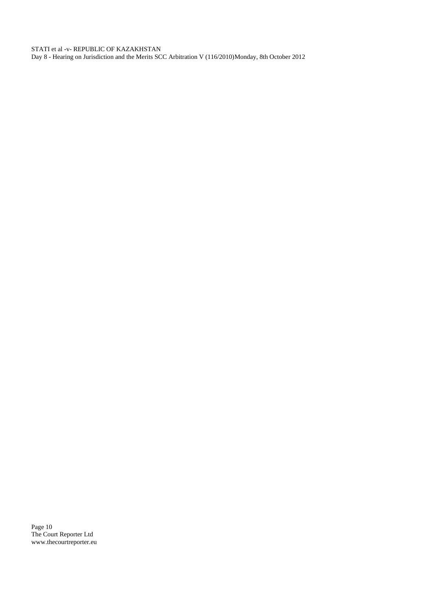STATI et al -v- REPUBLIC OF KAZAKHSTAN Day 8 - Hearing on Jurisdiction and the Merits SCC Arbitration V (116/2010) Monday, 8th October 2012

Page 10 The Court Reporter Ltd www.thecourtreporter.eu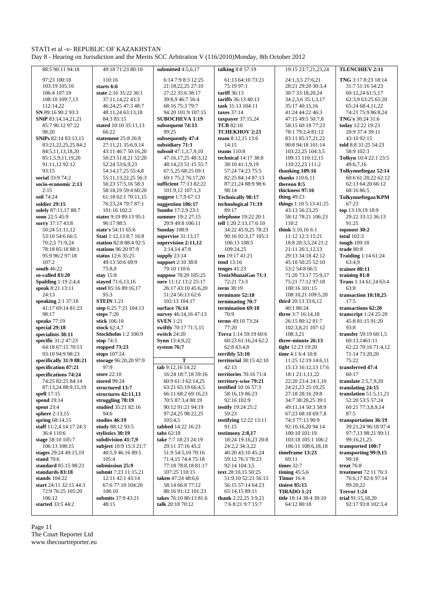#### STATI et al -v- REPUBLIC OF KAZAKHSTAN Day 8 - Hearing on Jurisdiction and the Merits SCC Arbitration V (116/2010) Monday, 8th October 2012

| 88:5 90:11 94:18                             | 49:18 71:23 80:10                           | submitted $4:5,6,17$                          | talking 8:8 57:19                         | 19:15 23:7,21,23,24                   | <b>TLENCHIEV 2:11</b>                         |
|----------------------------------------------|---------------------------------------------|-----------------------------------------------|-------------------------------------------|---------------------------------------|-----------------------------------------------|
| 97:23 100:18                                 | 110:16                                      | 6:14 7:9 8:3 12:25                            | 61:13 64:10 73:21                         | 24:1,3,5 27:6,21                      | TNG 3:17 8:23 18:14                           |
| 103:19 105:16                                | starts 6:6                                  | 21:18,22,25 27:10                             | 75:19 97:1                                | 28:21 29:20 30:3,4                    | 31:7 51:16 54:23                              |
| 106:4 107:19                                 | state 2:16 35:22 36:1                       | 27:22 35:6 38:17                              | tariff $36:13$                            | 30:7 33:18,20,24                      | 60:12,24 61:5,17                              |
| 108:10 109:7,13                              | 37:11,14,22 43:3                            | 39:8,9 46:7 56:4                              | tariffs 36:13 40:13                       | 34:2,3,6 35:1,3,17                    | 62:3,9 63:25 65:20                            |
| 112:14,22                                    | 46:24,25 47:3 48:7                          | 68:16 75:3 79:7                               | task 31:13 104:11                         | 35:17 40:15,16                        | 65:24 68:4,11,22                              |
| SN 89:16 90:2 93:3                           | 48:11,24 63:13,18                           | 94:20 101:9 107:15                            | taxes 37:14                               | 41:24 44:22 46:3                      | 74:21 75:9 86:8,24                            |
| SNiP 83:14,14,21,21                          | 84:3 85:15                                  | <b>SUBOCHEVA 1:19</b>                         | taxpayer 37:15,24                         | 47:15 49:5 50:7,8                     | TNG's 30:24 31:6                              |
| 85:7 96:12 97:22                             | stated 10:10 35:11,13                       | subsequent 74:13                              | <b>TCB 82:10</b>                          | 58:15 60:18 77:23                     | today 12:22 19:23                             |
| 98:20                                        | 66:22                                       | 99:25                                         | <b>TCHEKHOV 2:23</b>                      | 78:1 79:2,4 81:12                     | 20:9 37:4 39:11                               |
| SNiPs 82:14 83:13,15                         | statement 25:8 26:8                         | subsequently 47:4                             | team 8:12,15 13:6                         | 83:11 85:17,21,22                     | 43:10 92:15                                   |
| 83:21,22,25,25 84:2                          | 27:11,21 35:6,9,14                          | subsidiary 71:1                               | 14:15                                     | 90:8 94:18 101:14                     | told 8:8 31:25 54:23                          |
| 84:5,11,13,18,20                             | 43:11 46:7 50:16,20                         | subsoil 47:1,3,7,9,10                         | teams $110:8$                             | 103:22,25 104:3,5                     | 58:9 102:3                                    |
| 85:1,5,9,11,19,20                            | 50:23 51:8,21 52:20                         | 47:16,17,25 48:3,12                           | technical 14:17 38:8                      | 109:15 110:12,15                      | Tolkyn 10:4 22:1 23:5                         |
| 91:11,12 92:12                               | 52:24 53:6,9,23                             | 48:14,23 51:15 55:7                           | 38:10 41:1,9,19                           | 110:22,23 111:2                       | 49:6,7,16                                     |
| 93:15                                        | 54:14,17,25 55:4,8                          | 67:5,25 68:25 69:1                            | 57:24 74:23 75:5                          | thanking 109:16                       | Tolkynneftegaz 52:14                          |
| social 33:9 74:2                             | 55:11,13,22,25 56:3                         | 69:1 75:2 76:17,20                            | 82:25 84:14 87:13                         | thanks 110:6,11                       | 60:6 61:20,22 62:12                           |
| socio-economic 2:13                          | 56:23 57:5,16 58:3                          | sufficient 77:13 82:22                        | 87:21,24 88:9 98:6                        | thereon 8:5                           | 62:13 64:20 66:12                             |
| 2:15                                         | 58:18,19 59:4 60:20                         | 101:9,12 107:1,3                              | 98:14                                     | thickness 97:16                       | 68:16 86:5                                    |
| soil 74:24                                   | 61:18 62:1 70:11,15                         | suggest 1:7,9 67:13                           | <b>Technically 98:17</b>                  | thing $49:23$                         | Tolkynneftegaz/KPM                            |
| soldier 29:15                                | 76:23,24 79:7 87:1                          | suggestion 106:17                             | technological 71:19<br>89:17              | things 1:10 5:13 41:25                | 67:23                                         |
| solely 87:11,17 88:7<br>soon 22:5 45:9       | 101:16 102:2<br>states 9:19 89:13 95:1      | <b>Sumbe 17:2,9 23:1</b><br>summer 19:2 27:15 | telephone 19:22 20:1                      | 43:13 56:23,25<br>58:12 78:21 106:23  | top 13:19,19 18:9<br>29:22 33:12 36:13        |
| sorry 37:17 43:8                             | 96:17 98:5                                  | 29:9 49:8 106:11                              | tell 1:20 2:13,17 6:10                    | 110:2                                 | 91:25                                         |
| 50:24 51:11,12                               | state's 54:11 65:6                          | <b>Sunday 108:9</b>                           | 34:22 45:9,25 78:23                       | think 5:10,16 6:1                     | topmost 30:2                                  |
| 53:10 54:6 66:5                              | <b>Stati</b> 1:12,13 8:7 16:8               | supervise 31:13,17                            | 90:16 92:3,17 105:3                       | 11:12 12:3 15:21                      | total 102:3                                   |
| 70:2,5 71:9,24                               | station 82:8 88:4 92:5                      | supervision 2:11,12                           | 106:13 108:5                              | 18:8 20:3,5,24 21:2                   | tough 109:18                                  |
| 78:18 85:18 88:1                             | stations 96:20 97:9                         | 2:14,14 47:8                                  | 109:24,25                                 | 21:11 26:1,12,13                      | trade 80:8                                    |
| 95:9 96:2 97:18                              | status 12:6 35:25                           | supply $23:14$                                | ten 19:17 41:21                           | 29:13 34:18 42:12                     | <b>Traiding 1:14 61:24</b>                    |
| 107:2                                        | 49:13 50:6 69:9                             | support 2:10 38:8                             | tend 13:16                                | 45:10 50:25 52:10                     | 63:4.9                                        |
| south 46:22                                  | 75:8,8                                      | 79:10 110:6                                   | tenges $41:23$                            | 53:2 54:8 66:5                        | trainee 80:11                                 |
| so-called 83:20                              | stay $15:8$                                 | suppose 78:20 105:25                          | TenizMunaiGas 71:1                        | 71:20 73:17 75:9,17                   | training 81:8                                 |
| <b>Spalding 1:19 2:4,4</b>                   | stayed 71:6,13,16                           | sure 11:12 13:2 25:17                         | 72:21 73:3                                | 75:21 77:12 97:18                     | Trans 1:14 61:24 63:4                         |
| speak 8:21 13:11                             | steel 85:16 89:16,17                        | 26:17 43:10 45:6,20                           | term 38:19                                | 100:16 101:15                         | 63:8                                          |
| 24:13                                        | 95:3                                        | 51:24 56:13 62:6                              | terminate 52:18                           | 108:10,21 109:5,20                    | transaction 10:18,25                          |
| speaking 2:1 37:18                           | <b>STEIN 1:21</b>                           | 102:13 104:17                                 | terminating 70:7                          | third 20:13 33:6,12                   | 17:5                                          |
| 41:17 69:14 81:23<br>98:17                   | step 6:25 7:21 104:13<br>steps $7:20$       | surface 76:14<br>survey 46:14,16 47:13        | termination 69:18<br>70:9                 | 40:1 80:24<br>three 3:7 16:14,18      | transactions 62:20<br>transcript $1:24$ 25:20 |
| speaks 77:19                                 | stick 106:10                                | <b>SVEN</b> 1:21                              | terms 49:10 73:24                         | 26:15 80:12 81:7                      | 45:8 81:15 91:20                              |
| special 29:18                                | stock 62:4,7                                | swiftly 70:17 71:5,15                         | 77:20                                     | 102:3,8,21 107:12                     | 93:8                                          |
| specialists 38:11                            | <b>Stockholm</b> 1:2 106:9                  | switch 24:20                                  | Terra 1:14 59:19 60:6                     | 108:3,21                              | transfer 59:19 60:1,5                         |
| specific 31:2 47:23                          | stop $74:3$                                 | <b>Synn</b> 13:4,9,22                         | 60:23 61:16,24 62:2                       | three-minute 26:13                    | 60:13,1461:11                                 |
| 64:18 67:15 70:13                            | stopped 73:23                               | system 76:7                                   | 62:8 63:4,8                               | tight 12:23 19:20                     | 62:22 70:16 71:4,12                           |
| 93:10 94:9 98:23                             | stops 107:24                                |                                               | terribly 53:10                            | time 4:1 6:4 10:8                     | 71:14 73:20,20                                |
| specifically 31:9 88:21                      | storage 96:20,20 97:9                       | T                                             | territorial 38:15 42:10                   | 11:25 12:19 14:6,11                   | 75:22                                         |
| specification 87:21                          | 97:9                                        | tab 9:12,16 14:22                             | 42:13                                     | 15:13 16:12,13 17:6                   | transferred 47:4                              |
| specifications 74:24                         | store 22:10                                 | 16:24 18:7,18 59:16                           | territories 70:16 71:4                    | 18:1 21:1,11,22                       | 60:17                                         |
| 74:25 82:25 84:14                            | stored 99:24                                | 60:9 61:3 62:14,25                            | territory-wise 79:21                      | 22:20 23:4 24:1,10                    | translate $2:5,7,9,20$                        |
| 87:13,24 88:9,15,19                          | structured 13:7                             | 63:21 65:19 66:4,5                            | testified 10:16 57:3                      | 24:21,23 25:19,25                     | translating 24:15                             |
| spell 17:15                                  | structures 42:11,13                         | 66:11 68:2 69:16,23                           | 58:16,19 86:23                            | 27:18 28:16 29:8                      | translation $51:5,11,21$                      |
| spend 19:14                                  | struggling 78:19                            | 70:5 87:3,4 88:19                             | 92:16 102:9                               | 34:7 38:20,25 39:1                    | 52:20 53:5 57:24                              |
| spent $23:4$                                 | studied 35:21 82:16                         | 90:12 91:21 94:19                             | testify 19:24 25:2                        | 49:11,14 50:3 58:9                    | 60:21 77:3,8,9,14                             |
| sphere 2:13,15                               | 94:6                                        | 97:24,25 98:22,25<br>103:4,5                  | 59:23<br>testifying $12:22$ 13:11         | 67:23 68:18 69:7,8<br>74:3 77:13 90:9 | 87:5                                          |
| spring $68:14,15$<br>staff 11:2,4 14:17 24:3 | studies 46:19                               |                                               |                                           |                                       | transportation 36:19                          |
| 36:4 110:6                                   |                                             |                                               |                                           |                                       |                                               |
| stage 58:10 105:7                            | study 88:12 93:5                            | tabbed 14:22 16:23                            | 91:15                                     | 92:10,16,20 94:14                     | 39:21,24 96:18 97:4                           |
|                                              | stylistics 30:19                            | tabs $62:18$                                  | testimony 2:8,17                          | 100:10 101:19                         | 97:7,13 98:21 99:11                           |
|                                              | subdivision 41:7,9                          | take 7:7 18:23 24:19<br>29:11 37:16 45:2      | 18:24 19:16,23 20:8                       | 103:18 105:1 106:2                    | 99:16,21,25<br>transported 100:7              |
| 106:13 108:15<br>stages 29:24 49:15,19       | subject 10:9 15:3 21:7<br>40:5,9 46:16 89:5 | 51:9 54:5,10 70:16                            | 24:2,2 34:3,22<br>40:20 43:10 45:24       | 106:11 108:6,18,18<br>timeframe 13:23 | transporting 99:9,15                          |
| stand $70:6$                                 | 105:4                                       | 71:4,15 74:4 75:18                            | 59:12 76:3 78:23                          | 69:11                                 | 99:18                                         |
| standard 85:15 98:23                         | submission 25:9                             | 77:18 78:8,18 81:17                           | 92:14 104:3,5                             | times 32:7                            | treat $76:8$                                  |
| standards 83:18                              | submit 7:23 11:15,21                        | 107:25 110:15                                 | text 28:10,15 50:25                       | timing $45:5,6$                       | treatment 72:11 76:3                          |
| stands 104:22                                | 12:11 42:1 43:14                            | taken 47:24 48:6,6                            | 51:9,10 52:21 56:13                       | <b>Timur</b> 16:4                     | 76:6,17 82:6 97:14                            |
| start 24:11 32:15 44:3                       | 67:6 77:10 104:20                           | 58:14 66:8 77:12                              | 56:15 57:14 64:23                         | tiniest 85:15                         | 99:20,22                                      |
| 72:9 76:25 105:20<br>106:12                  | 108:10                                      | 88:16 91:12 101:23<br>takes 76:10 80:13 81:6  | 65:14,15 89:11                            | <b>TIRADO 1:21</b>                    | Trevor 1:24                                   |
| started 33:5 44:2                            | submits 37:9 43:21<br>48:15                 | talk 20:18 70:12                              | thank 2:22,25 3:9,21<br>7:6 8:21 9:7 15:7 | title 18:14 38:4 39:10<br>64:12 80:18 | trial 91:15,18,20<br>92:17 93:8 102:3,4       |

Page 11 The Court Reporter Ltd www.thecourtreporter.eu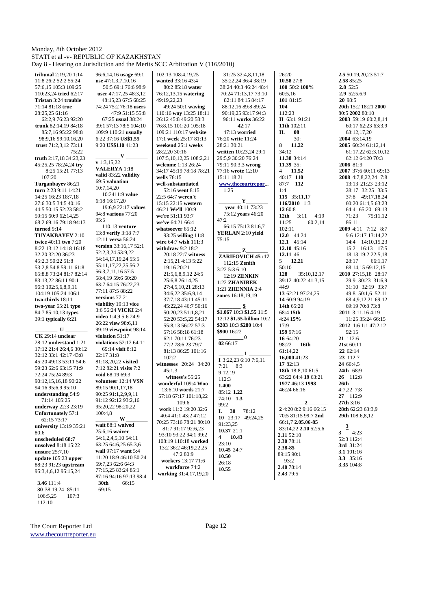#### Monday, 8th October 2012 STATI et al -v- REPUBLIC OF KAZAKHSTAN Day 8 - Hearing on Jurisdiction and the Merits SCC Arbitration V (116/2010)

**tribunal** 2:19,20 1:14 11:8 26:2 52:2 55:24 57:6,15 105:3 109:25 110:23,24 **tried** 62:17 **Tristan** 3:24 **trouble** 71:14 81:18 **true** 28:25,25 61:16 62:2,9 76:23 92:20 **trunk** 82:14,19 84:18 85:7,16 95:22 98:8 98:9,16 99:10,16,20 **trust** 71:2,3,12 73:11  $75.22$ **truth** 2:17,18 34:23,23 45:25,25 78:24,24 **try** 8:25 15:21 77:13  $107.20$ **Turganbayev** 86:21 **turn** 2:23 9:11 14:21 14:25 16:23 18:7,18 27:6 30:5 34:5 40:16 44:5 50:15 52:23 58:2 59:15 60:9 62:14,25 68:2 69:16 79:18 94:13 **turned** 9:14 **TUYAKBAYEV** 2:10 **twice** 40:11 **two** 7:20 8:22 13:12 14:18 16:18 32:20 32:20 36:23  $45.2,350.2251.8$ 53:2,8 54:8 59:11 61:8 65:8,8 73:24 81:7 82:14 83:13,22 86:11 90:1 96:3 102:5,6,8,9,11 104:19 105:24 106:1 **two-thirds** 18:11 **two-year** 65:21 **type** 84:7 85:10,13 **types** 39:1 **typically** 6:21  **\_\_\_\_\_\_\_\_ U \_\_\_\_\_\_\_\_ UK** 29:14 **unclear** 28:12 **understand** 1:21 17:12 21:4 26:4,6 30:12 32:12 33:1 42:17 43:8 45:20 49:13 53:11 54:6 59:23 62:6 63:15 71:9 72:24 75:24 89:3 90:12,15,16,18 90:22 94:16 95:6,9 95:10 **understanding** 54:9 71:14 105:25 **underway** 22:3 23:19 **Unfortunately** 57:1 62:15 73:17 **university** 13:19 35:21 80:6 **unscheduled 68:7** 

**unsolved** 8:18 15:22 **unsure** 25:7,10 **update** 105:23 **upper** 88:23 91:23 **upstream** 95:3,4,6,12 95:15,24

**3.46** 111:4 **30** 38:19,24 85:11<br>106:5.25 107:3  $106:5.25$  $112.10$ 

96:6,14,16 **usage** 69:1 **use** 47:1,3,7,10,16 50:5 69:1 76:6 98:9 **user** 47:17,25 48:3,12 48:15,23 67:5 68:25 74:24 75:2 76:18 **users** 47:9 51:15 55:8 67:25 **usual** 38:24 39:1 57:13 78:5 104:10 109:9 110:21 **usually** 6:22 37:16 **US\$1.55** 9:20 **US\$110** 41:23  **\_\_\_\_\_\_\_\_\_ V \_\_\_\_\_\_\_\_**   $\overline{v}$  1:3,15,22 **VALERYA** 1:18 **valid** 83:22 **validity** 69:5 **valuation** 10:7,14,20 10:2411:9 **value** 6:18 16:17,20 19:6,9 22:17 **values** 94:8 **various** 77:20  $95.5$ 110:13 **venture** 13:8 **verify** 3:18 7:7 12:11 **versa** 56:24 **version** 33:16,17 52:1 52:2,3,24 53:9,22 54:14,17,19,24 55:5 55:11,17,22,25 56:2 56:3,7,11,16 57:5 58:4,19 59:6 60:20 63:7 64:15 76:22,23 77:11 87:5 88:22 **versions** 77:21 **viability** 19:13 **vice** 3:6 56:24 **VICKI** 2:4 **video** 1:4,9 5:6 24:9 26:22 **view** 98:6,11 99:19 **viewpoint** 98:14 **violation** 51:17 **violations** 52:12 64:11 69:14 **visit** 8:12  $22.1731.8$ 81:18,20,22 **visited** 7:12 82:21 **visits** 7:2 **void** 68:19 69:3 **volunteer** 12:14 **VSN** 89:15 90:1,17,18 90:25 91:1,2,9,9,11 91:12 92:12 93:2,16 95:20,22 98:20,22 100:4,8  **\_\_\_\_\_\_\_\_ W \_\_\_\_\_\_\_\_ wait** 88:1 **waived** 25:6,16 **waiver** 54:1,2,4,5,10 54:11 63:25 64:6,25 65:3,6 **wall** 97:17 **want** 5:4 11:20 18:9 46:10 50:24 59:7,23 62:6 64:3 77:15,25 83:24 85:1 87:16 94:16 97:13 98:4

**30th** 66:15 69:15

102:13 108:4,19,25 **wanted** 33:16 43:4 80:2 85:18 **water** 76:12,13,15 **watering** 49:19,22,23 49:24 50:1 **waving** 110:16 **way** 13:25 18:11 26:12 45:8 49:20 58:3 76:8,15 101:20 105:18 109:21 110:17 **website** 17:1 **week** 25:17 81:13 **weekend** 25:1 **weeks** 28:2,20 30:16 107:5,10,12,25 108:2,21 **welcome** 1:13 26:24 34:17 45:19 78:18 78:21 **wells** 76:15 **well-substantiated** 52:16 **went** 8:15 22:5 64:7 **weren't** 15:15 22:15 **western** 46:21 **We'll** 100:9 **we're** 51:11 93:7 **we've** 64:21 66:4 **whatsoever** 65:12 93:25 **willing** 11:8 **wire** 64:7 **wish** 111:3 **withdraw** 9:2 18:2 20:18 22:7 **witness** 2:15,21 4:13 5:22 19:16 20:21 21:5,6,8,9,12 24:5 25:6,8 26:14,25 27:4,5,10,21 28:13 34:6,22 35:6,9,14 37:7,18 43:11 45:11 45:22,24 46:7 50:16 50:20,23 51:1,8,21 52:20 53:5,22 54:17 55:8,13 56:22 57:3 57:16 58:18 61:18 62:1 70:11 76:23 77:2 78:6,23 79:7 81:13 86:25 101:16 102:2 **witnesses** 20:24 34:20  $45.1,3$ **witness's** 55:25 **wonderful** 109:4 **Woo** 13:6,10 **words** 21:7 57:18 67:17 101:18,22 109:6 **work** 11:2 19:20 32:6 40:4 41:1 43:2 47:12 70:25 73:16 78:21 80:10 81:7 91:17 92:6,23 93:10 93:22 94:1 99:2 108:19 110:18 **worked** 13:2 36:2 46:19,22,25 47:2 80:9 **workers** 13:17 71:6 **workforce** 74:2 **working** 31:4,17,19,20

31:25 32:4,8,11,18 35:22,24 36:4 38:19 38:24 40:3 46:24 48:4 70:24 71:13,17 73:10 82:11 84:15 84:17 88:12,16 89:8 89:24 90:19,25 93:17 94:3 96:11 **works** 36:22  $42:17$ 47:13 **worried** 76:20 **write** 11:24 28:21 30:21 **written** 10:23,24 29:1 29:5,9 30:20 76:24 79:11 90:3,3 **wrong** 77:16 **wrote** 12:10 15:11 18:21 **www.thecourtrepor...**  1:25  $\mathbf{Y}$ **year** 40:11 73:23 75:12 **years** 46:20  $47.2$ 66:15 75:13 81:6,7 **YERLAN** 2:10 **yield** 75:15  **\_\_\_\_\_\_\_\_ Z \_\_\_\_\_\_\_\_ ZARIFOVICH 45 :17**  112:15 **Zenith** 3:22 5:3 6:10 12:19 **ZENKIN** 1:22 **ZHANIBEK** 1:21 **ZHENNIA** 2:4 **zones** 16:18,19,19  **\_\_\_\_\_\_\_\_ \$ \$1.067** 10:3 **\$1.55** 11:5 12:12 **\$1.55-billion** 10:2 **\$203** 10:3 **\$280** 10:4 **\$900** 16:22  **\_\_\_\_\_\_\_\_\_ 0 02** 66:17  **\_\_\_\_\_\_\_\_\_ 1 \_\_\_\_\_\_\_\_ I** 3:22,23 6:10 7:6,11  $7.21 \quad 8.3$  $9.12,19$ 112:3 **1,400** 85:12 **1.22** 74:10 **1.3** 99:2<br> $I = 30$  $78.12$ **10** 23:17 49:24,25 91:23,25 **10.37** 21:1 4 **10.43**  $23:10$ **10.45** 24:7 **10.50** 26:18 **10.55**

**10.58** 27:8 **100** 50:2 **100%**  $60.5,16$ **101** 81:15 **104** 112:23 **II** 63:1 91:21 **11th** 102:11 **II. 08** 30: 8 **11.22**  $34.12$ **11.38** 34:14 **11.39** 35: 4 **11.52** 40:17 **110** 87:7 **112** 1:4 **115** 35:11,17 **116/2010** 1:3 **12** 60:8 **12th** 3:11 4:19 11:25 60:2,14 102:11 **12.0** 44:24 **12.1** 45:14 **12.10** 45:16 **12.11** 46: 5 **12.21** 50:10 **128** 35:10,12,17 39:12 40:22 41:3,15  $44.9$ **13** 62:21 97:24,25 **14** 60:9 94:19 **14th** 65:20 68:4 **15th** 4:24 **15%** 17:9 **159** 97:16 **16** 64:20<br>98:22 98:22 **16th** 61:14,22 **16,000** 41:23 **17** 82:13 **18th** 18:8,10 61:5 63:22 64:4 **19** 63:21 **1977** 46:13 **1998** 46:24 66:16  **\_\_\_\_\_\_\_\_ 2 \_\_\_\_\_\_\_ 2** 4:20 8:2 9:16 66:15 70:5 81:15 99:7 **2nd** 66:1,7 **2.05.06-85** 83:14,22 **2.10** 52:5,6 **2.11** 52:10 **2.30** 78:11 **2.38-85** 89:15 90:1 93:2 **2.40** 78:14

**2.43** 79:5

26:20

**2.5** 50:19,20,23 51:7 **2.58** 85:25 **2.8** 52:5 **2.9** 52:5,6,9 **20** 98:5 **20th** 15:2 18:21 **2000** 80:5 **2002** 80:10 **2003** 59:19 60:2,8,14 60:17 62:23 63:3,9 63:12,17,20 **2004** 63:14,19 **2005** 60:24 61:12,14 61:17,22 62:3,10,12 62:12 64:20 70:3 **2006** 81:9 **2007** 37:6 60:11 69:13 **2008** 4:7,8,22,24 7:8 13:13 21:23 23:12 28:17 32:25 33:5 37:8 49:17,18,24 60:20 61:4,5 63:23 64:4 65:20 69:13  $71.23$   $75.1112$ 86:11 **2009** 4:11 7:12 8:7 9:6 12:17 13:14,22 14:4 14:10,15,23 15:2 16:13 17:5 18:13 19:2 22:5,18 28:17 66:1,17 68:14,15 69:12,15 **2010** 27:15,18 28:17 29:9 30:23 31:6,9 31:10 32:19 33:7 49:8 50:1,6 52:11 68:4,9,12,21 69:12 69:19 70:8 73:8 **2011** 3:11,16 4:19 11:25 35:24 66:15 **2012** 1:6 1:1 47:2,12  $92.15$ **21** 112:6 **21st** 60:11 **22** 62:14 **23** 112:7 24 66:4.5 **24th** 68:9 **26** 112:8 **26th** 4:7,22 7:8 **27** 112:9 **27th** 3:16 **28th** 62:23 63:3,9 **29th** 108:6,8,12  $3\frac{3}{5}$ **3** 4:23 52:3 112:4 **3rd** 31:24 **3.1** 101:16 **3.3** 35:16 **3.35** 104:8

The Court Reporter Ltd Page 12 www.thecourtreporter.eu